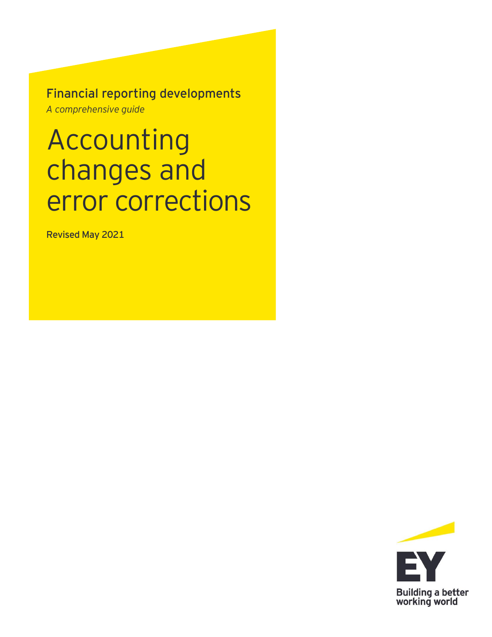Financial reporting developments *A comprehensive guide*

# Accounting changes and error corrections

Revised May 2021

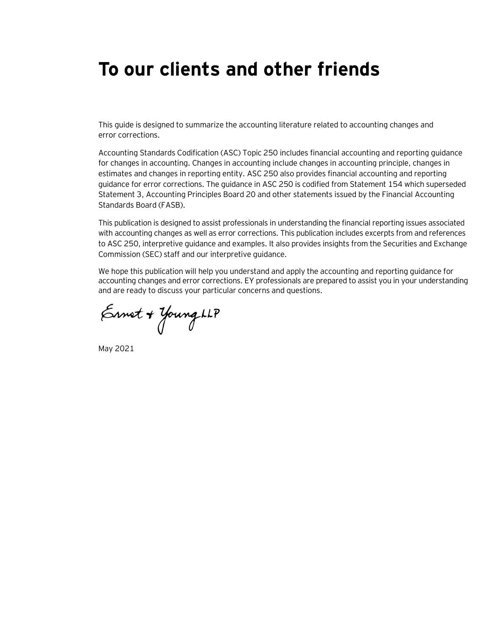## **To our clients and other friends**

This guide is designed to summarize the accounting literature related to accounting changes and error corrections.

Accounting Standards Codification (ASC) Topic 250 includes financial accounting and reporting guidance for changes in accounting. Changes in accounting include changes in accounting principle, changes in estimates and changes in reporting entity. ASC 250 also provides financial accounting and reporting guidance for error corrections. The guidance in ASC 250 is codified from Statement 154 which superseded Statement 3, Accounting Principles Board 20 and other statements issued by the Financial Accounting Standards Board (FASB).

This publication is designed to assist professionals in understanding the financial reporting issues associated with accounting changes as well as error corrections. This publication includes excerpts from and references to ASC 250, interpretive guidance and examples. It also provides insights from the Securities and Exchange Commission (SEC) staff and our interpretive guidance.

We hope this publication will help you understand and apply the accounting and reporting guidance for accounting changes and error corrections. EY professionals are prepared to assist you in your understanding and are ready to discuss your particular concerns and questions.

Ernet + Young LLP

May 2021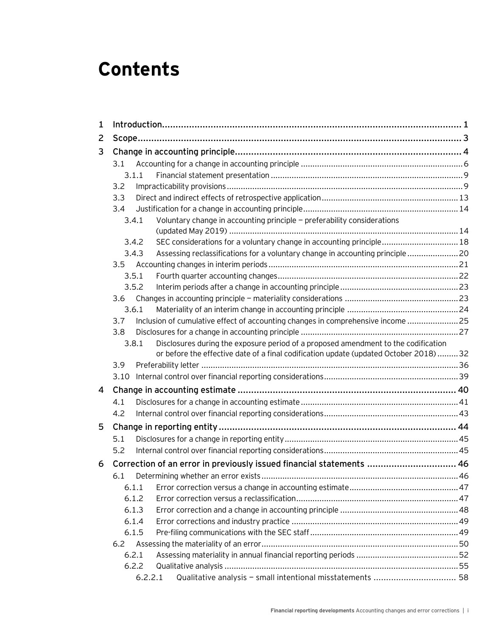## **Contents**

| 1 |       |                                                                                        |  |
|---|-------|----------------------------------------------------------------------------------------|--|
| 2 |       |                                                                                        |  |
| 3 |       |                                                                                        |  |
|   | 3.1   |                                                                                        |  |
|   | 3.1.1 |                                                                                        |  |
|   | 3.2   |                                                                                        |  |
|   | 3.3   |                                                                                        |  |
|   | 3.4   |                                                                                        |  |
|   | 3.4.1 | Voluntary change in accounting principle - preferability considerations                |  |
|   | 3.4.2 | SEC considerations for a voluntary change in accounting principle 18                   |  |
|   | 3.4.3 | Assessing reclassifications for a voluntary change in accounting principle20           |  |
|   | 3.5   |                                                                                        |  |
|   | 3.5.1 |                                                                                        |  |
|   | 3.5.2 |                                                                                        |  |
|   | 3.6   |                                                                                        |  |
|   | 3.6.1 |                                                                                        |  |
|   | 3.7   | Inclusion of cumulative effect of accounting changes in comprehensive income  25       |  |
|   | 3.8   |                                                                                        |  |
|   | 3.8.1 | Disclosures during the exposure period of a proposed amendment to the codification     |  |
|   |       | or before the effective date of a final codification update (updated October 2018)  32 |  |
|   | 3.9   |                                                                                        |  |
|   | 3.10  |                                                                                        |  |
| 4 |       |                                                                                        |  |
|   | 4.1   |                                                                                        |  |
|   | 4.2   |                                                                                        |  |
| 5 |       |                                                                                        |  |
|   | 5.1   |                                                                                        |  |
|   | 5.2   |                                                                                        |  |
| 6 |       | Correction of an error in previously issued financial statements  46                   |  |
|   |       |                                                                                        |  |
|   | 6.1.1 |                                                                                        |  |
|   | 6.1.2 |                                                                                        |  |
|   | 6.1.3 |                                                                                        |  |
|   | 6.1.4 |                                                                                        |  |
|   | 6.1.5 |                                                                                        |  |
|   | 6.2   |                                                                                        |  |
|   | 6.2.1 |                                                                                        |  |
|   | 6.2.2 |                                                                                        |  |
|   |       | 6.2.2.1                                                                                |  |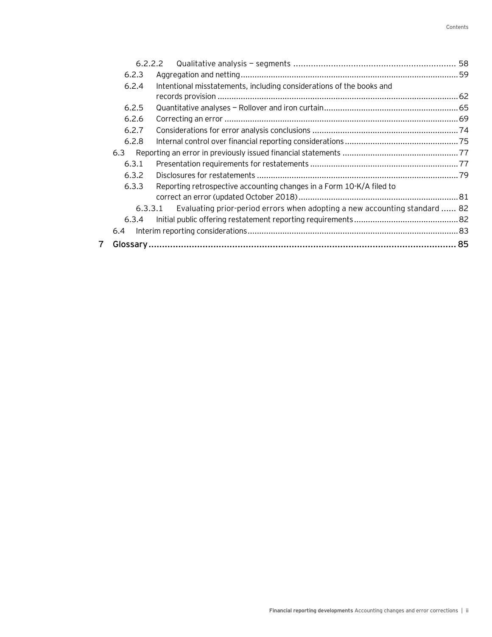|   |       | 6.2.2.2                                                                               |  |
|---|-------|---------------------------------------------------------------------------------------|--|
|   | 6.2.3 |                                                                                       |  |
|   | 6.2.4 | Intentional misstatements, including considerations of the books and                  |  |
|   | 6.2.5 |                                                                                       |  |
|   | 6.2.6 |                                                                                       |  |
|   | 6.2.7 |                                                                                       |  |
|   | 6.2.8 |                                                                                       |  |
|   | 6.3   |                                                                                       |  |
|   | 6.3.1 |                                                                                       |  |
|   | 6.3.2 |                                                                                       |  |
|   | 6.3.3 | Reporting retrospective accounting changes in a Form 10-K/A filed to                  |  |
|   |       | Evaluating prior-period errors when adopting a new accounting standard  82<br>6.3.3.1 |  |
|   | 6.3.4 |                                                                                       |  |
|   | 6.4   |                                                                                       |  |
| 7 |       |                                                                                       |  |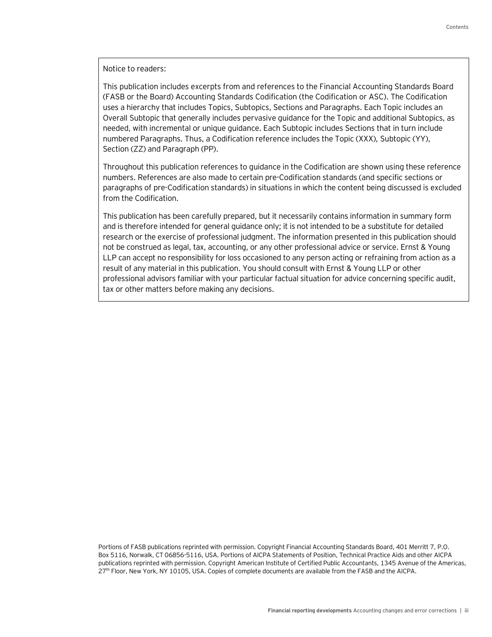#### Notice to readers:

This publication includes excerpts from and references to the Financial Accounting Standards Board (FASB or the Board) Accounting Standards Codification (the Codification or ASC). The Codification uses a hierarchy that includes Topics, Subtopics, Sections and Paragraphs. Each Topic includes an Overall Subtopic that generally includes pervasive guidance for the Topic and additional Subtopics, as needed, with incremental or unique guidance. Each Subtopic includes Sections that in turn include numbered Paragraphs. Thus, a Codification reference includes the Topic (XXX), Subtopic (YY), Section (ZZ) and Paragraph (PP).

Throughout this publication references to guidance in the Codification are shown using these reference numbers. References are also made to certain pre-Codification standards (and specific sections or paragraphs of pre-Codification standards) in situations in which the content being discussed is excluded from the Codification.

This publication has been carefully prepared, but it necessarily contains information in summary form and is therefore intended for general guidance only; it is not intended to be a substitute for detailed research or the exercise of professional judgment. The information presented in this publication should not be construed as legal, tax, accounting, or any other professional advice or service. Ernst & Young LLP can accept no responsibility for loss occasioned to any person acting or refraining from action as a result of any material in this publication. You should consult with Ernst & Young LLP or other professional advisors familiar with your particular factual situation for advice concerning specific audit, tax or other matters before making any decisions.

Portions of FASB publications reprinted with permission. Copyright Financial Accounting Standards Board, 401 Merritt 7, P.O. Box 5116, Norwalk, CT 06856-5116, USA. Portions of AICPA Statements of Position, Technical Practice Aids and other AICPA publications reprinted with permission. Copyright American Institute of Certified Public Accountants, 1345 Avenue of the Americas, 27th Floor, New York, NY 10105, USA. Copies of complete documents are available from the FASB and the AICPA.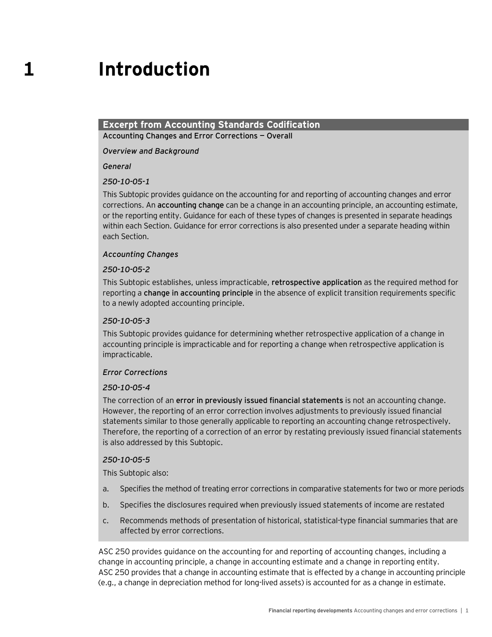## <span id="page-5-0"></span>**1 Introduction**

## **Excerpt from Accounting Standards Codification**

Accounting Changes and Error Corrections — Overall

*Overview and Background*

*General*

## *250-10-05-1*

This Subtopic provides guidance on the accounting for and reporting of accounting changes and error corrections. An **accounting change** can be a change in an accounting principle, an accounting estimate, or the reporting entity. Guidance for each of these types of changes is presented in separate headings within each Section. Guidance for error corrections is also presented under a separate heading within each Section.

## *Accounting Changes*

## *250-10-05-2*

This Subtopic establishes, unless impracticable, **retrospective application** as the required method for reporting a **change in accounting principle** in the absence of explicit transition requirements specific to a newly adopted accounting principle.

## *250-10-05-3*

This Subtopic provides guidance for determining whether retrospective application of a change in accounting principle is impracticable and for reporting a change when retrospective application is impracticable.

## *Error Corrections*

## *250-10-05-4*

The correction of an **error in previously issued financial statements** is not an accounting change. However, the reporting of an error correction involves adjustments to previously issued financial statements similar to those generally applicable to reporting an accounting change retrospectively. Therefore, the reporting of a correction of an error by restating previously issued financial statements is also addressed by this Subtopic.

## *250-10-05-5*

This Subtopic also:

- a. Specifies the method of treating error corrections in comparative statements for two or more periods
- b. Specifies the disclosures required when previously issued statements of income are restated
- c. Recommends methods of presentation of historical, statistical-type financial summaries that are affected by error corrections.

ASC 250 provides guidance on the accounting for and reporting of accounting changes, including a change in accounting principle, a change in accounting estimate and a change in reporting entity. ASC 250 provides that a change in accounting estimate that is effected by a change in accounting principle (e.g., a change in depreciation method for long-lived assets) is accounted for as a change in estimate.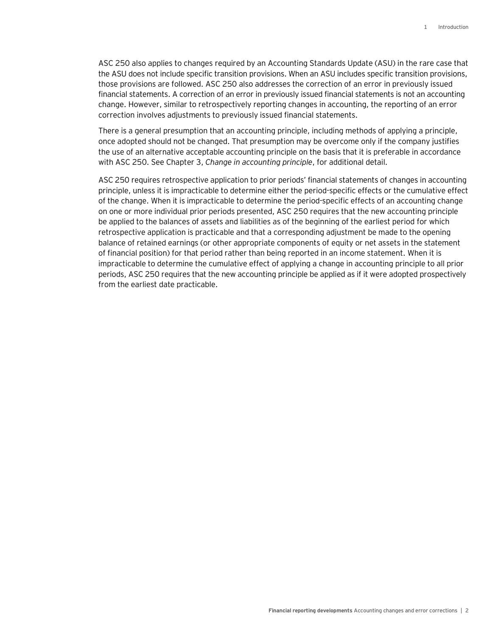ASC 250 also applies to changes required by an Accounting Standards Update (ASU) in the rare case that the ASU does not include specific transition provisions. When an ASU includes specific transition provisions, those provisions are followed. ASC 250 also addresses the correction of an error in previously issued financial statements. A correction of an error in previously issued financial statements is not an accounting change. However, similar to retrospectively reporting changes in accounting, the reporting of an error correction involves adjustments to previously issued financial statements.

There is a general presumption that an accounting principle, including methods of applying a principle, once adopted should not be changed. That presumption may be overcome only if the company justifies the use of an alternative acceptable accounting principle on the basis that it is preferable in accordance with ASC 250. See Chapter 3, *Change in accounting principle*, for additional detail.

ASC 250 requires retrospective application to prior periods' financial statements of changes in accounting principle, unless it is impracticable to determine either the period-specific effects or the cumulative effect of the change. When it is impracticable to determine the period-specific effects of an accounting change on one or more individual prior periods presented, ASC 250 requires that the new accounting principle be applied to the balances of assets and liabilities as of the beginning of the earliest period for which retrospective application is practicable and that a corresponding adjustment be made to the opening balance of retained earnings (or other appropriate components of equity or net assets in the statement of financial position) for that period rather than being reported in an income statement. When it is impracticable to determine the cumulative effect of applying a change in accounting principle to all prior periods, ASC 250 requires that the new accounting principle be applied as if it were adopted prospectively from the earliest date practicable.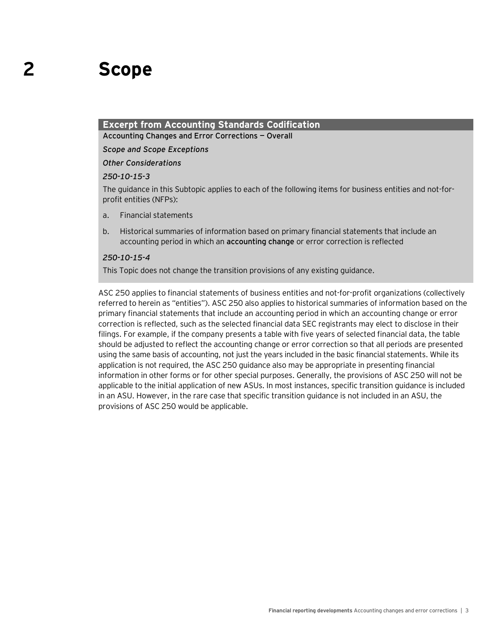## <span id="page-7-0"></span>**2 Scope**

## **Excerpt from Accounting Standards Codification**

Accounting Changes and Error Corrections — Overall

*Scope and Scope Exceptions*

#### *Other Considerations*

#### *250-10-15-3*

The guidance in this Subtopic applies to each of the following items for business entities and not-forprofit entities (NFPs):

- a. Financial statements
- b. Historical summaries of information based on primary financial statements that include an accounting period in which an **accounting change** or error correction is reflected

### *250-10-15-4*

This Topic does not change the transition provisions of any existing guidance.

ASC 250 applies to financial statements of business entities and not-for-profit organizations (collectively referred to herein as "entities"). ASC 250 also applies to historical summaries of information based on the primary financial statements that include an accounting period in which an accounting change or error correction is reflected, such as the selected financial data SEC registrants may elect to disclose in their filings. For example, if the company presents a table with five years of selected financial data, the table should be adjusted to reflect the accounting change or error correction so that all periods are presented using the same basis of accounting, not just the years included in the basic financial statements. While its application is not required, the ASC 250 guidance also may be appropriate in presenting financial information in other forms or for other special purposes. Generally, the provisions of ASC 250 will not be applicable to the initial application of new ASUs. In most instances, specific transition guidance is included in an ASU. However, in the rare case that specific transition guidance is not included in an ASU, the provisions of ASC 250 would be applicable.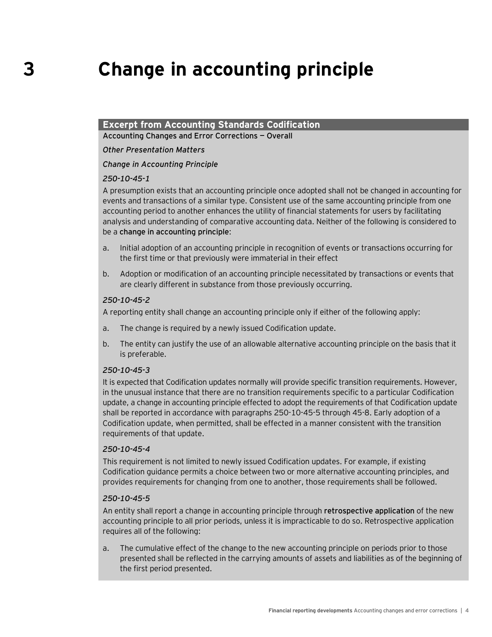## <span id="page-8-0"></span>**3 Change in accounting principle**

## **Excerpt from Accounting Standards Codification**

Accounting Changes and Error Corrections — Overall

*Other Presentation Matters*

## *Change in Accounting Principle*

## *250-10-45-1*

A presumption exists that an accounting principle once adopted shall not be changed in accounting for events and transactions of a similar type. Consistent use of the same accounting principle from one accounting period to another enhances the utility of financial statements for users by facilitating analysis and understanding of comparative accounting data. Neither of the following is considered to be a **change in accounting principle**:

- a. Initial adoption of an accounting principle in recognition of events or transactions occurring for the first time or that previously were immaterial in their effect
- b. Adoption or modification of an accounting principle necessitated by transactions or events that are clearly different in substance from those previously occurring.

## *250-10-45-2*

A reporting entity shall change an accounting principle only if either of the following apply:

- a. The change is required by a newly issued Codification update.
- b. The entity can justify the use of an allowable alternative accounting principle on the basis that it is preferable.

## *250-10-45-3*

It is expected that Codification updates normally will provide specific transition requirements. However, in the unusual instance that there are no transition requirements specific to a particular Codification update, a change in accounting principle effected to adopt the requirements of that Codification update shall be reported in accordance with paragraphs 250-10-45-5 through 45-8. Early adoption of a Codification update, when permitted, shall be effected in a manner consistent with the transition requirements of that update.

## *250-10-45-4*

This requirement is not limited to newly issued Codification updates. For example, if existing Codification guidance permits a choice between two or more alternative accounting principles, and provides requirements for changing from one to another, those requirements shall be followed.

## *250-10-45-5*

An entity shall report a change in accounting principle through **retrospective application** of the new accounting principle to all prior periods, unless it is impracticable to do so. Retrospective application requires all of the following:

a. The cumulative effect of the change to the new accounting principle on periods prior to those presented shall be reflected in the carrying amounts of assets and liabilities as of the beginning of the first period presented.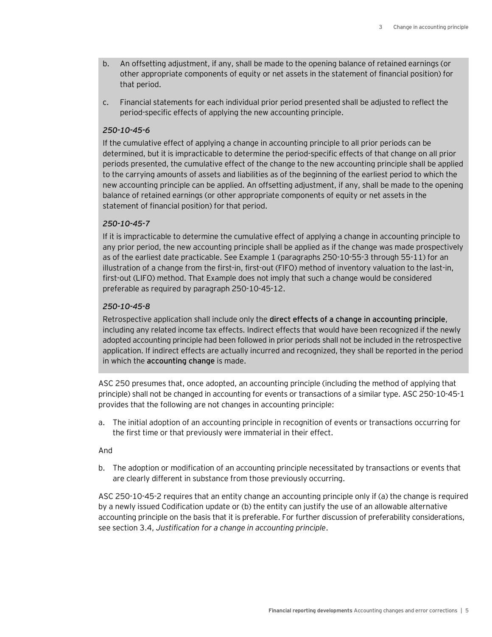- b. An offsetting adjustment, if any, shall be made to the opening balance of retained earnings (or other appropriate components of equity or net assets in the statement of financial position) for that period.
- c. Financial statements for each individual prior period presented shall be adjusted to reflect the period-specific effects of applying the new accounting principle.

## *250-10-45-6*

If the cumulative effect of applying a change in accounting principle to all prior periods can be determined, but it is impracticable to determine the period-specific effects of that change on all prior periods presented, the cumulative effect of the change to the new accounting principle shall be applied to the carrying amounts of assets and liabilities as of the beginning of the earliest period to which the new accounting principle can be applied. An offsetting adjustment, if any, shall be made to the opening balance of retained earnings (or other appropriate components of equity or net assets in the statement of financial position) for that period.

## *250-10-45-7*

If it is impracticable to determine the cumulative effect of applying a change in accounting principle to any prior period, the new accounting principle shall be applied as if the change was made prospectively as of the earliest date practicable. See Example 1 (paragraphs 250-10-55-3 through 55-11) for an illustration of a change from the first-in, first-out (FIFO) method of inventory valuation to the last-in, first-out (LIFO) method. That Example does not imply that such a change would be considered preferable as required by paragraph 250-10-45-12.

## *250-10-45-8*

Retrospective application shall include only the **direct effects of a change in accounting principle**, including any related income tax effects. Indirect effects that would have been recognized if the newly adopted accounting principle had been followed in prior periods shall not be included in the retrospective application. If indirect effects are actually incurred and recognized, they shall be reported in the period in which the **accounting change** is made.

ASC 250 presumes that, once adopted, an accounting principle (including the method of applying that principle) shall not be changed in accounting for events or transactions of a similar type. ASC 250-10-45-1 provides that the following are not changes in accounting principle:

a. The initial adoption of an accounting principle in recognition of events or transactions occurring for the first time or that previously were immaterial in their effect.

## And

b. The adoption or modification of an accounting principle necessitated by transactions or events that are clearly different in substance from those previously occurring.

ASC 250-10-45-2 requires that an entity change an accounting principle only if (a) the change is required by a newly issued Codification update or (b) the entity can justify the use of an allowable alternative accounting principle on the basis that it is preferable. For further discussion of preferability considerations, see section 3.4, *Justification for a change in accounting principle*.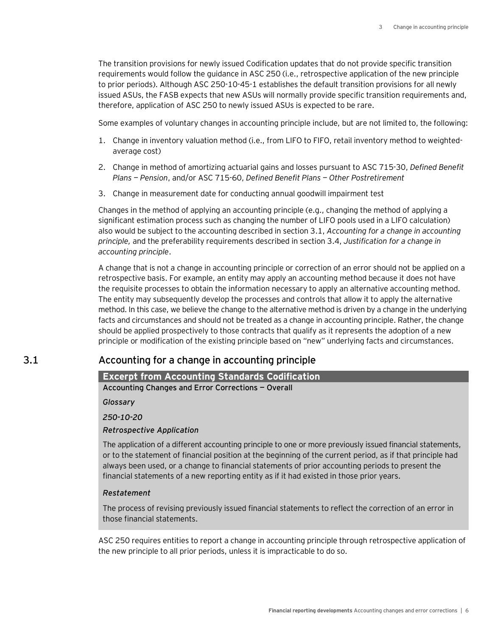The transition provisions for newly issued Codification updates that do not provide specific transition requirements would follow the guidance in ASC 250 (i.e., retrospective application of the new principle to prior periods). Although ASC 250-10-45-1 establishes the default transition provisions for all newly issued ASUs, the FASB expects that new ASUs will normally provide specific transition requirements and, therefore, application of ASC 250 to newly issued ASUs is expected to be rare.

Some examples of voluntary changes in accounting principle include, but are not limited to, the following:

- 1. Change in inventory valuation method (i.e., from LIFO to FIFO, retail inventory method to weightedaverage cost)
- 2. Change in method of amortizing actuarial gains and losses pursuant to ASC 715-30, *Defined Benefit Plans — Pension*, and/or ASC 715-60, *Defined Benefit Plans — Other Postretirement*
- 3. Change in measurement date for conducting annual goodwill impairment test

Changes in the method of applying an accounting principle (e.g., changing the method of applying a significant estimation process such as changing the number of LIFO pools used in a LIFO calculation) also would be subject to the accounting described in section 3.1, *Accounting for a change in accounting principle,* and the preferability requirements described in section 3.4, *Justification for a change in accounting principle*.

A change that is not a change in accounting principle or correction of an error should not be applied on a retrospective basis. For example, an entity may apply an accounting method because it does not have the requisite processes to obtain the information necessary to apply an alternative accounting method. The entity may subsequently develop the processes and controls that allow it to apply the alternative method. In this case, we believe the change to the alternative method is driven by a change in the underlying facts and circumstances and should not be treated as a change in accounting principle. Rather, the change should be applied prospectively to those contracts that qualify as it represents the adoption of a new principle or modification of the existing principle based on "new" underlying facts and circumstances.

## <span id="page-10-0"></span>**3.1 Accounting for a change in accounting principle**

## **Excerpt from Accounting Standards Codification**

Accounting Changes and Error Corrections — Overall

*Glossary*

*250-10-20*

#### *Retrospective Application*

The application of a different accounting principle to one or more previously issued financial statements, or to the statement of financial position at the beginning of the current period, as if that principle had always been used, or a change to financial statements of prior accounting periods to present the financial statements of a new reporting entity as if it had existed in those prior years.

#### *Restatement*

The process of revising previously issued financial statements to reflect the correction of an error in those financial statements.

ASC 250 requires entities to report a change in accounting principle through retrospective application of the new principle to all prior periods, unless it is impracticable to do so.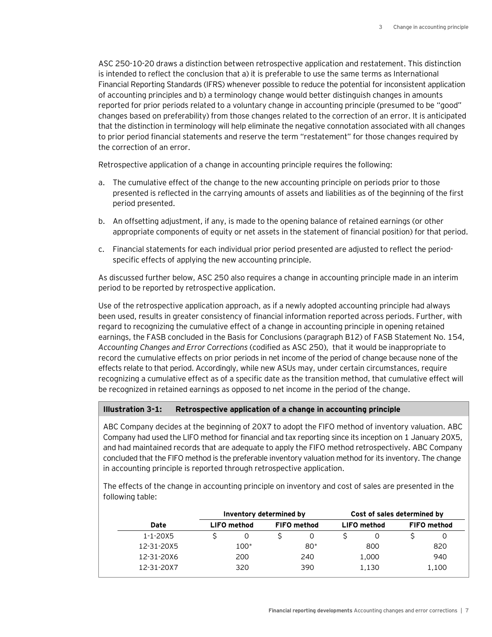ASC 250-10-20 draws a distinction between retrospective application and restatement. This distinction is intended to reflect the conclusion that a) it is preferable to use the same terms as International Financial Reporting Standards (IFRS) whenever possible to reduce the potential for inconsistent application of accounting principles and b) a terminology change would better distinguish changes in amounts reported for prior periods related to a voluntary change in accounting principle (presumed to be "good" changes based on preferability) from those changes related to the correction of an error. It is anticipated that the distinction in terminology will help eliminate the negative connotation associated with all changes to prior period financial statements and reserve the term "restatement" for those changes required by the correction of an error.

Retrospective application of a change in accounting principle requires the following:

- a. The cumulative effect of the change to the new accounting principle on periods prior to those presented is reflected in the carrying amounts of assets and liabilities as of the beginning of the first period presented.
- b. An offsetting adjustment, if any, is made to the opening balance of retained earnings (or other appropriate components of equity or net assets in the statement of financial position) for that period.
- c. Financial statements for each individual prior period presented are adjusted to reflect the periodspecific effects of applying the new accounting principle.

As discussed further below, ASC 250 also requires a change in accounting principle made in an interim period to be reported by retrospective application.

Use of the retrospective application approach, as if a newly adopted accounting principle had always been used, results in greater consistency of financial information reported across periods. Further, with regard to recognizing the cumulative effect of a change in accounting principle in opening retained earnings, the FASB concluded in the Basis for Conclusions (paragraph B12) of FASB Statement No. 154, *Accounting Changes and Error Corrections* (codified as ASC 250), that it would be inappropriate to record the cumulative effects on prior periods in net income of the period of change because none of the effects relate to that period. Accordingly, while new ASUs may, under certain circumstances, require recognizing a cumulative effect as of a specific date as the transition method, that cumulative effect will be recognized in retained earnings as opposed to net income in the period of the change.

## **Illustration 3-1: Retrospective application of a change in accounting principle**

ABC Company decides at the beginning of 20X7 to adopt the FIFO method of inventory valuation. ABC Company had used the LIFO method for financial and tax reporting since its inception on 1 January 20X5, and had maintained records that are adequate to apply the FIFO method retrospectively. ABC Company concluded that the FIFO method is the preferable inventory valuation method for its inventory. The change in accounting principle is reported through retrospective application.

The effects of the change in accounting principle on inventory and cost of sales are presented in the following table:

|            |             | Inventory determined by |                    |       |             | Cost of sales determined by |                    |       |  |  |
|------------|-------------|-------------------------|--------------------|-------|-------------|-----------------------------|--------------------|-------|--|--|
| Date       | LIFO method |                         | <b>FIFO</b> method |       | LIFO method |                             | <b>FIFO</b> method |       |  |  |
| 1-1-20X5   |             |                         |                    |       |             |                             |                    |       |  |  |
| 12-31-20X5 |             | 100*                    |                    | $80*$ |             | 800                         |                    | 820   |  |  |
| 12-31-20X6 | 200         |                         |                    | 240   |             | 1,000                       | 940                |       |  |  |
| 12-31-20X7 |             | 320                     |                    | 390   |             | 1,130                       |                    | 1,100 |  |  |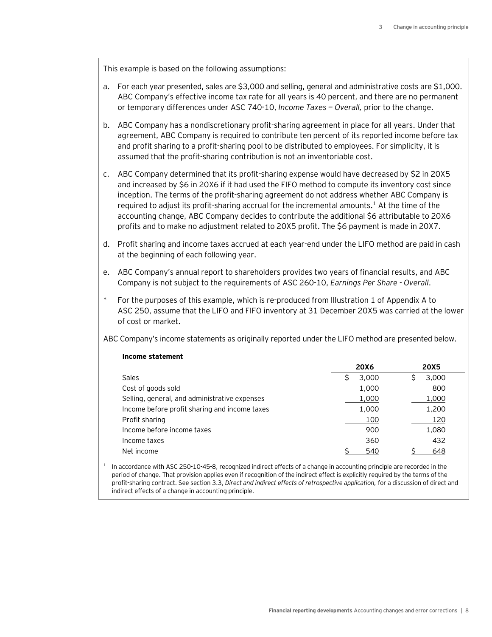This example is based on the following assumptions:

**Income statement**

- a. For each year presented, sales are \$3,000 and selling, general and administrative costs are \$1,000. ABC Company's effective income tax rate for all years is 40 percent, and there are no permanent or temporary differences under ASC 740-10, *Income Taxes — Overall,* prior to the change.
- b. ABC Company has a nondiscretionary profit-sharing agreement in place for all years. Under that agreement, ABC Company is required to contribute ten percent of its reported income before tax and profit sharing to a profit-sharing pool to be distributed to employees. For simplicity, it is assumed that the profit-sharing contribution is not an inventoriable cost.
- c. ABC Company determined that its profit-sharing expense would have decreased by \$2 in 20X5 and increased by \$6 in 20X6 if it had used the FIFO method to compute its inventory cost since inception. The terms of the profit-sharing agreement do not address whether ABC Company is required to adjust its profit-sharing accrual for the incremental amounts.<sup>1</sup> At the time of the accounting change, ABC Company decides to contribute the additional \$6 attributable to 20X6 profits and to make no adjustment related to 20X5 profit. The \$6 payment is made in 20X7.
- d. Profit sharing and income taxes accrued at each year-end under the LIFO method are paid in cash at the beginning of each following year.
- e. ABC Company's annual report to shareholders provides two years of financial results, and ABC Company is not subject to the requirements of ASC 260-10, *Earnings Per Share - Overall*.
- For the purposes of this example, which is re-produced from Illustration 1 of Appendix A to ASC 250, assume that the LIFO and FIFO inventory at 31 December 20X5 was carried at the lower of cost or market.

ABC Company's income statements as originally reported under the LIFO method are presented below.

| income statement                              |             |             |
|-----------------------------------------------|-------------|-------------|
|                                               | <b>20X6</b> | <b>20X5</b> |
| <b>Sales</b>                                  | 3,000<br>S  | 3,000<br>S  |
| Cost of goods sold                            | 1,000       | 800         |
| Selling, general, and administrative expenses | 1,000       | 1,000       |
| Income before profit sharing and income taxes | 1,000       | 1,200       |
| Profit sharing                                | 100         | 120         |
| Income before income taxes                    | 900         | 1,080       |
| Income taxes                                  | 360         | 432         |
| Net income                                    | 540         | 648         |
|                                               |             |             |

<sup>1</sup> In accordance with ASC 250-10-45-8, recognized indirect effects of a change in accounting principle are recorded in the period of change. That provision applies even if recognition of the indirect effect is explicitly required by the terms of the profit-sharing contract. See section 3.3, *Direct and indirect effects of retrospective application,* for a discussion of direct and indirect effects of a change in accounting principle.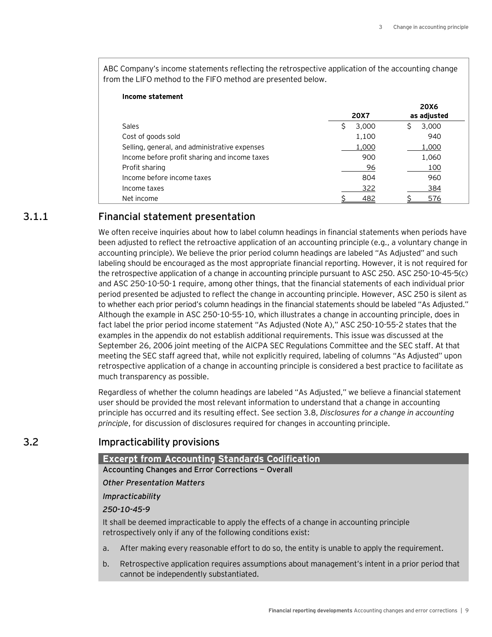ABC Company's income statements reflecting the retrospective application of the accounting change from the LIFO method to the FIFO method are presented below.

| Income statement                              |             |                            |
|-----------------------------------------------|-------------|----------------------------|
|                                               | <b>20X7</b> | <b>20X6</b><br>as adjusted |
| <b>Sales</b>                                  | 3,000<br>S  | 3,000<br>Ś                 |
| Cost of goods sold                            | 1,100       | 940                        |
| Selling, general, and administrative expenses | 1,000       | 1,000                      |
| Income before profit sharing and income taxes | 900         | 1,060                      |
| Profit sharing                                | 96          | 100                        |
| Income before income taxes                    | 804         | 960                        |
| Income taxes                                  | 322         | 384                        |
| Net income                                    | 482         | 576                        |

## <span id="page-13-0"></span>3.1.1 Financial statement presentation

We often receive inquiries about how to label column headings in financial statements when periods have been adjusted to reflect the retroactive application of an accounting principle (e.g., a voluntary change in accounting principle). We believe the prior period column headings are labeled "As Adjusted" and such labeling should be encouraged as the most appropriate financial reporting. However, it is not required for the retrospective application of a change in accounting principle pursuant to ASC 250. ASC 250-10-45-5(c) and ASC 250-10-50-1 require, among other things, that the financial statements of each individual prior period presented be adjusted to reflect the change in accounting principle. However, ASC 250 is silent as to whether each prior period's column headings in the financial statements should be labeled "As Adjusted." Although the example in ASC 250-10-55-10, which illustrates a change in accounting principle, does in fact label the prior period income statement "As Adjusted (Note A)," ASC 250-10-55-2 states that the examples in the appendix do not establish additional requirements. This issue was discussed at the September 26, 2006 joint meeting of the AICPA SEC Regulations Committee and the SEC staff. At that meeting the SEC staff agreed that, while not explicitly required, labeling of columns "As Adjusted" upon retrospective application of a change in accounting principle is considered a best practice to facilitate as much transparency as possible.

Regardless of whether the column headings are labeled "As Adjusted," we believe a financial statement user should be provided the most relevant information to understand that a change in accounting principle has occurred and its resulting effect. See section 3.8, *Disclosures for a change in accounting principle*, for discussion of disclosures required for changes in accounting principle.

## <span id="page-13-1"></span>**3.2 Impracticability provisions**

## **Excerpt from Accounting Standards Codification**

Accounting Changes and Error Corrections — Overall

## *Other Presentation Matters*

*Impracticability*

## *250-10-45-9*

It shall be deemed impracticable to apply the effects of a change in accounting principle retrospectively only if any of the following conditions exist:

- a. After making every reasonable effort to do so, the entity is unable to apply the requirement.
- b. Retrospective application requires assumptions about management's intent in a prior period that cannot be independently substantiated.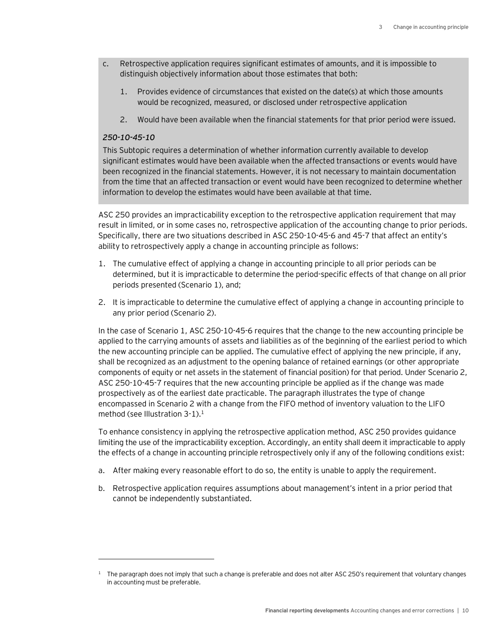- c. Retrospective application requires significant estimates of amounts, and it is impossible to distinguish objectively information about those estimates that both:
	- 1. Provides evidence of circumstances that existed on the date(s) at which those amounts would be recognized, measured, or disclosed under retrospective application
	- 2. Would have been available when the financial statements for that prior period were issued.

## *250-10-45-10*

This Subtopic requires a determination of whether information currently available to develop significant estimates would have been available when the affected transactions or events would have been recognized in the financial statements. However, it is not necessary to maintain documentation from the time that an affected transaction or event would have been recognized to determine whether information to develop the estimates would have been available at that time.

ASC 250 provides an impracticability exception to the retrospective application requirement that may result in limited, or in some cases no, retrospective application of the accounting change to prior periods. Specifically, there are two situations described in ASC 250-10-45-6 and 45-7 that affect an entity's ability to retrospectively apply a change in accounting principle as follows:

- 1. The cumulative effect of applying a change in accounting principle to all prior periods can be determined, but it is impracticable to determine the period-specific effects of that change on all prior periods presented (Scenario 1), and;
- 2. It is impracticable to determine the cumulative effect of applying a change in accounting principle to any prior period (Scenario 2).

In the case of Scenario 1, ASC 250-10-45-6 requires that the change to the new accounting principle be applied to the carrying amounts of assets and liabilities as of the beginning of the earliest period to which the new accounting principle can be applied. The cumulative effect of applying the new principle, if any, shall be recognized as an adjustment to the opening balance of retained earnings (or other appropriate components of equity or net assets in the statement of financial position) for that period. Under Scenario 2, ASC 250-10-45-7 requires that the new accounting principle be applied as if the change was made prospectively as of the earliest date practicable. The paragraph illustrates the type of change encompassed in Scenario 2 with a change from the FIFO method of inventory valuation to the LIFO method (see Illustration 3-1). 1

To enhance consistency in applying the retrospective application method, ASC 250 provides guidance limiting the use of the impracticability exception. Accordingly, an entity shall deem it impracticable to apply the effects of a change in accounting principle retrospectively only if any of the following conditions exist:

- a. After making every reasonable effort to do so, the entity is unable to apply the requirement.
- b. Retrospective application requires assumptions about management's intent in a prior period that cannot be independently substantiated.

<sup>&</sup>lt;sup>1</sup> The paragraph does not imply that such a change is preferable and does not alter ASC 250's requirement that voluntary changes in accounting must be preferable.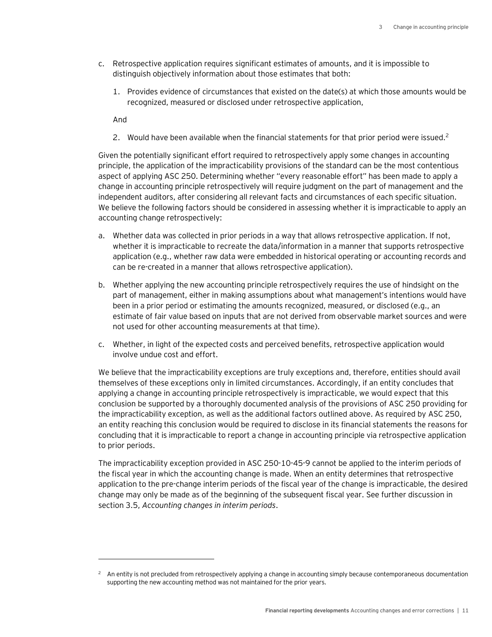- c. Retrospective application requires significant estimates of amounts, and it is impossible to distinguish objectively information about those estimates that both:
	- 1. Provides evidence of circumstances that existed on the date(s) at which those amounts would be recognized, measured or disclosed under retrospective application,

And

2. Would have been available when the financial statements for that prior period were issued.<sup>2</sup>

Given the potentially significant effort required to retrospectively apply some changes in accounting principle, the application of the impracticability provisions of the standard can be the most contentious aspect of applying ASC 250. Determining whether "every reasonable effort" has been made to apply a change in accounting principle retrospectively will require judgment on the part of management and the independent auditors, after considering all relevant facts and circumstances of each specific situation. We believe the following factors should be considered in assessing whether it is impracticable to apply an accounting change retrospectively:

- a. Whether data was collected in prior periods in a way that allows retrospective application. If not, whether it is impracticable to recreate the data/information in a manner that supports retrospective application (e.g., whether raw data were embedded in historical operating or accounting records and can be re-created in a manner that allows retrospective application).
- b. Whether applying the new accounting principle retrospectively requires the use of hindsight on the part of management, either in making assumptions about what management's intentions would have been in a prior period or estimating the amounts recognized, measured, or disclosed (e.g., an estimate of fair value based on inputs that are not derived from observable market sources and were not used for other accounting measurements at that time).
- c. Whether, in light of the expected costs and perceived benefits, retrospective application would involve undue cost and effort.

We believe that the impracticability exceptions are truly exceptions and, therefore, entities should avail themselves of these exceptions only in limited circumstances. Accordingly, if an entity concludes that applying a change in accounting principle retrospectively is impracticable, we would expect that this conclusion be supported by a thoroughly documented analysis of the provisions of ASC 250 providing for the impracticability exception, as well as the additional factors outlined above. As required by ASC 250, an entity reaching this conclusion would be required to disclose in its financial statements the reasons for concluding that it is impracticable to report a change in accounting principle via retrospective application to prior periods.

The impracticability exception provided in ASC 250-10-45-9 cannot be applied to the interim periods of the fiscal year in which the accounting change is made. When an entity determines that retrospective application to the pre-change interim periods of the fiscal year of the change is impracticable, the desired change may only be made as of the beginning of the subsequent fiscal year. See further discussion in section 3.5, *Accounting changes in interim periods*.

<sup>&</sup>lt;sup>2</sup> An entity is not precluded from retrospectively applying a change in accounting simply because contemporaneous documentation supporting the new accounting method was not maintained for the prior years.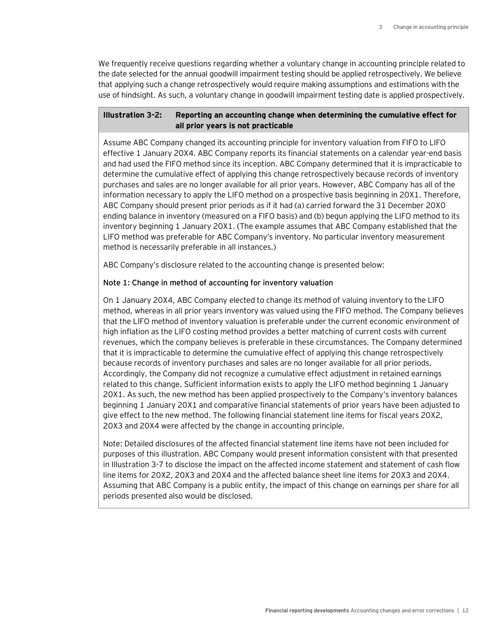We frequently receive questions regarding whether a voluntary change in accounting principle related to the date selected for the annual goodwill impairment testing should be applied retrospectively. We believe that applying such a change retrospectively would require making assumptions and estimations with the use of hindsight. As such, a voluntary change in goodwill impairment testing date is applied prospectively.

## **Illustration 3-2: Reporting an accounting change when determining the cumulative effect for all prior years is not practicable**

Assume ABC Company changed its accounting principle for inventory valuation from FIFO to LIFO effective 1 January 20X4. ABC Company reports its financial statements on a calendar year-end basis and had used the FIFO method since its inception. ABC Company determined that it is impracticable to determine the cumulative effect of applying this change retrospectively because records of inventory purchases and sales are no longer available for all prior years. However, ABC Company has all of the information necessary to apply the LIFO method on a prospective basis beginning in 20X1. Therefore, ABC Company should present prior periods as if it had (a) carried forward the 31 December 20X0 ending balance in inventory (measured on a FIFO basis) and (b) begun applying the LIFO method to its inventory beginning 1 January 20X1. (The example assumes that ABC Company established that the LIFO method was preferable for ABC Company's inventory. No particular inventory measurement method is necessarily preferable in all instances.)

ABC Company's disclosure related to the accounting change is presented below:

#### **Note 1: Change in method of accounting for inventory valuation**

On 1 January 20X4, ABC Company elected to change its method of valuing inventory to the LIFO method, whereas in all prior years inventory was valued using the FIFO method. The Company believes that the LIFO method of inventory valuation is preferable under the current economic environment of high inflation as the LIFO costing method provides a better matching of current costs with current revenues, which the company believes is preferable in these circumstances. The Company determined that it is impracticable to determine the cumulative effect of applying this change retrospectively because records of inventory purchases and sales are no longer available for all prior periods. Accordingly, the Company did not recognize a cumulative effect adjustment in retained earnings related to this change. Sufficient information exists to apply the LIFO method beginning 1 January 20X1. As such, the new method has been applied prospectively to the Company's inventory balances beginning 1 January 20X1 and comparative financial statements of prior years have been adjusted to give effect to the new method. The following financial statement line items for fiscal years 20X2, 20X3 and 20X4 were affected by the change in accounting principle.

Note: Detailed disclosures of the affected financial statement line items have not been included for purposes of this illustration. ABC Company would present information consistent with that presented in Illustration 3-7 to disclose the impact on the affected income statement and statement of cash flow line items for 20X2, 20X3 and 20X4 and the affected balance sheet line items for 20X3 and 20X4. Assuming that ABC Company is a public entity, the impact of this change on earnings per share for all periods presented also would be disclosed.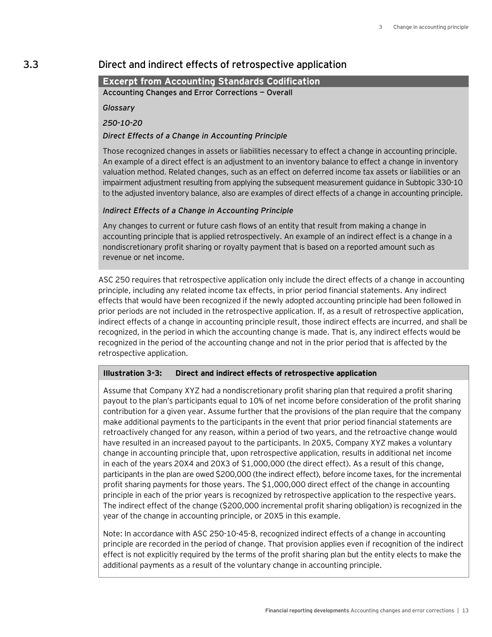## <span id="page-17-0"></span>**3.3 Direct and indirect effects of retrospective application**

## **Excerpt from Accounting Standards Codification**

Accounting Changes and Error Corrections — Overall

*Glossary*

### *250-10-20*

## *Direct Effects of a Change in Accounting Principle*

Those recognized changes in assets or liabilities necessary to effect a change in accounting principle. An example of a direct effect is an adjustment to an inventory balance to effect a change in inventory valuation method. Related changes, such as an effect on deferred income tax assets or liabilities or an impairment adjustment resulting from applying the subsequent measurement guidance in Subtopic 330-10 to the adjusted inventory balance, also are examples of direct effects of a change in accounting principle.

## *Indirect Effects of a Change in Accounting Principle*

Any changes to current or future cash flows of an entity that result from making a change in accounting principle that is applied retrospectively. An example of an indirect effect is a change in a nondiscretionary profit sharing or royalty payment that is based on a reported amount such as revenue or net income.

ASC 250 requires that retrospective application only include the direct effects of a change in accounting principle, including any related income tax effects, in prior period financial statements. Any indirect effects that would have been recognized if the newly adopted accounting principle had been followed in prior periods are not included in the retrospective application. If, as a result of retrospective application, indirect effects of a change in accounting principle result, those indirect effects are incurred, and shall be recognized, in the period in which the accounting change is made. That is, any indirect effects would be recognized in the period of the accounting change and not in the prior period that is affected by the retrospective application.

## **Illustration 3-3: Direct and indirect effects of retrospective application**

Assume that Company XYZ had a nondiscretionary profit sharing plan that required a profit sharing payout to the plan's participants equal to 10% of net income before consideration of the profit sharing contribution for a given year. Assume further that the provisions of the plan require that the company make additional payments to the participants in the event that prior period financial statements are retroactively changed for any reason, within a period of two years, and the retroactive change would have resulted in an increased payout to the participants. In 20X5, Company XYZ makes a voluntary change in accounting principle that, upon retrospective application, results in additional net income in each of the years 20X4 and 20X3 of \$1,000,000 (the direct effect). As a result of this change, participants in the plan are owed \$200,000 (the indirect effect), before income taxes, for the incremental profit sharing payments for those years. The \$1,000,000 direct effect of the change in accounting principle in each of the prior years is recognized by retrospective application to the respective years. The indirect effect of the change (\$200,000 incremental profit sharing obligation) is recognized in the year of the change in accounting principle, or 20X5 in this example.

Note: In accordance with ASC 250-10-45-8, recognized indirect effects of a change in accounting principle are recorded in the period of change. That provision applies even if recognition of the indirect effect is not explicitly required by the terms of the profit sharing plan but the entity elects to make the additional payments as a result of the voluntary change in accounting principle.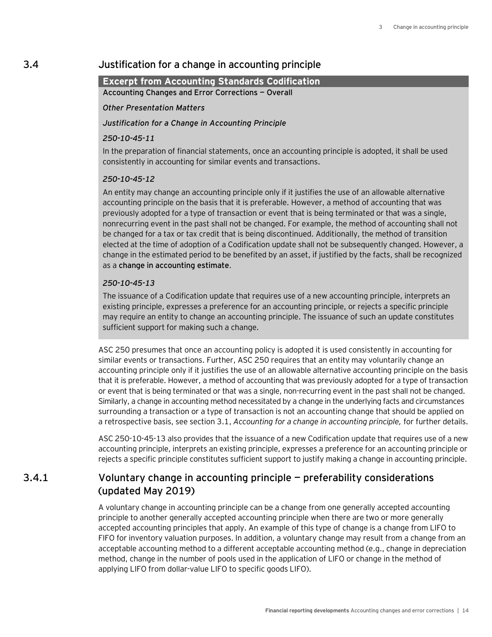## <span id="page-18-0"></span>**3.4 Justification for a change in accounting principle**

## **Excerpt from Accounting Standards Codification**

Accounting Changes and Error Corrections — Overall

*Other Presentation Matters*

*Justification for a Change in Accounting Principle*

#### *250-10-45-11*

In the preparation of financial statements, once an accounting principle is adopted, it shall be used consistently in accounting for similar events and transactions.

## *250-10-45-12*

An entity may change an accounting principle only if it justifies the use of an allowable alternative accounting principle on the basis that it is preferable. However, a method of accounting that was previously adopted for a type of transaction or event that is being terminated or that was a single, nonrecurring event in the past shall not be changed. For example, the method of accounting shall not be changed for a tax or tax credit that is being discontinued. Additionally, the method of transition elected at the time of adoption of a Codification update shall not be subsequently changed. However, a change in the estimated period to be benefited by an asset, if justified by the facts, shall be recognized as a **change in accounting estimate**.

## *250-10-45-13*

The issuance of a Codification update that requires use of a new accounting principle, interprets an existing principle, expresses a preference for an accounting principle, or rejects a specific principle may require an entity to change an accounting principle. The issuance of such an update constitutes sufficient support for making such a change.

ASC 250 presumes that once an accounting policy is adopted it is used consistently in accounting for similar events or transactions. Further, ASC 250 requires that an entity may voluntarily change an accounting principle only if it justifies the use of an allowable alternative accounting principle on the basis that it is preferable. However, a method of accounting that was previously adopted for a type of transaction or event that is being terminated or that was a single, non-recurring event in the past shall not be changed. Similarly, a change in accounting method necessitated by a change in the underlying facts and circumstances surrounding a transaction or a type of transaction is not an accounting change that should be applied on a retrospective basis, see section 3.1, *Accounting for a change in accounting principle,* for further details.

ASC 250-10-45-13 also provides that the issuance of a new Codification update that requires use of a new accounting principle, interprets an existing principle, expresses a preference for an accounting principle or rejects a specific principle constitutes sufficient support to justify making a change in accounting principle.

## <span id="page-18-1"></span>3.4.1 Voluntary change in accounting principle — preferability considerations (updated May 2019)

A voluntary change in accounting principle can be a change from one generally accepted accounting principle to another generally accepted accounting principle when there are two or more generally accepted accounting principles that apply. An example of this type of change is a change from LIFO to FIFO for inventory valuation purposes. In addition, a voluntary change may result from a change from an acceptable accounting method to a different acceptable accounting method (e.g., change in depreciation method, change in the number of pools used in the application of LIFO or change in the method of applying LIFO from dollar-value LIFO to specific goods LIFO).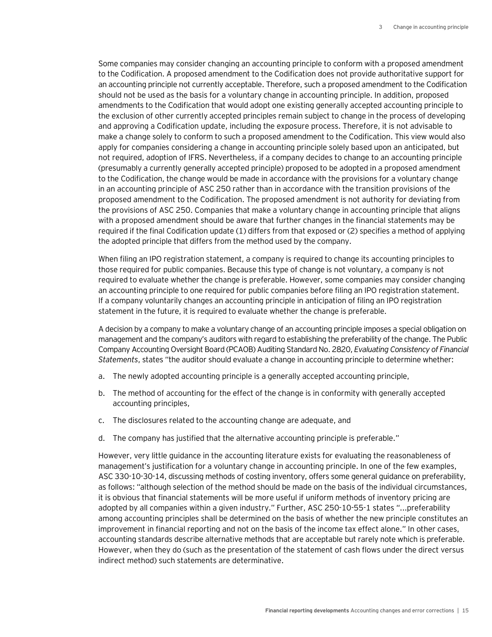Some companies may consider changing an accounting principle to conform with a proposed amendment to the Codification. A proposed amendment to the Codification does not provide authoritative support for an accounting principle not currently acceptable. Therefore, such a proposed amendment to the Codification should not be used as the basis for a voluntary change in accounting principle. In addition, proposed amendments to the Codification that would adopt one existing generally accepted accounting principle to the exclusion of other currently accepted principles remain subject to change in the process of developing and approving a Codification update, including the exposure process. Therefore, it is not advisable to make a change solely to conform to such a proposed amendment to the Codification. This view would also apply for companies considering a change in accounting principle solely based upon an anticipated, but not required, adoption of IFRS. Nevertheless, if a company decides to change to an accounting principle (presumably a currently generally accepted principle) proposed to be adopted in a proposed amendment to the Codification, the change would be made in accordance with the provisions for a voluntary change in an accounting principle of ASC 250 rather than in accordance with the transition provisions of the proposed amendment to the Codification. The proposed amendment is not authority for deviating from the provisions of ASC 250. Companies that make a voluntary change in accounting principle that aligns with a proposed amendment should be aware that further changes in the financial statements may be required if the final Codification update (1) differs from that exposed or (2) specifies a method of applying the adopted principle that differs from the method used by the company.

When filing an IPO registration statement, a company is required to change its accounting principles to those required for public companies. Because this type of change is not voluntary, a company is not required to evaluate whether the change is preferable. However, some companies may consider changing an accounting principle to one required for public companies before filing an IPO registration statement. If a company voluntarily changes an accounting principle in anticipation of filing an IPO registration statement in the future, it is required to evaluate whether the change is preferable.

A decision by a company to make a voluntary change of an accounting principle imposes a special obligation on management and the company's auditors with regard to establishing the preferability of the change. The Public Company Accounting Oversight Board (PCAOB) Auditing Standard No. 2820, *Evaluating Consistency of Financial Statements*, states "the auditor should evaluate a change in accounting principle to determine whether:

- a. The newly adopted accounting principle is a generally accepted accounting principle,
- b. The method of accounting for the effect of the change is in conformity with generally accepted accounting principles,
- c. The disclosures related to the accounting change are adequate, and
- d. The company has justified that the alternative accounting principle is preferable."

However, very little guidance in the accounting literature exists for evaluating the reasonableness of management's justification for a voluntary change in accounting principle. In one of the few examples, ASC 330-10-30-14, discussing methods of costing inventory, offers some general guidance on preferability, as follows: "although selection of the method should be made on the basis of the individual circumstances, it is obvious that financial statements will be more useful if uniform methods of inventory pricing are adopted by all companies within a given industry." Further, ASC 250-10-55-1 states "...preferability among accounting principles shall be determined on the basis of whether the new principle constitutes an improvement in financial reporting and not on the basis of the income tax effect alone." In other cases, accounting standards describe alternative methods that are acceptable but rarely note which is preferable. However, when they do (such as the presentation of the statement of cash flows under the direct versus indirect method) such statements are determinative.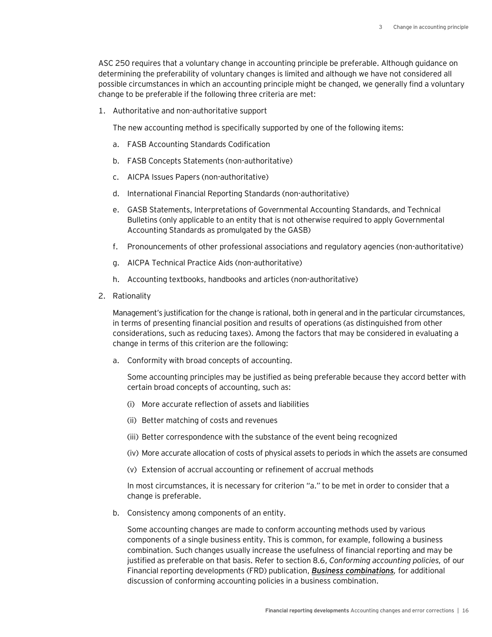ASC 250 requires that a voluntary change in accounting principle be preferable. Although guidance on determining the preferability of voluntary changes is limited and although we have not considered all possible circumstances in which an accounting principle might be changed, we generally find a voluntary change to be preferable if the following three criteria are met:

1. Authoritative and non-authoritative support

The new accounting method is specifically supported by one of the following items:

- a. FASB Accounting Standards Codification
- b. FASB Concepts Statements (non-authoritative)
- c. AICPA Issues Papers (non-authoritative)
- d. International Financial Reporting Standards (non-authoritative)
- e. GASB Statements, Interpretations of Governmental Accounting Standards, and Technical Bulletins (only applicable to an entity that is not otherwise required to apply Governmental Accounting Standards as promulgated by the GASB)
- f. Pronouncements of other professional associations and regulatory agencies (non-authoritative)
- g. AICPA Technical Practice Aids (non-authoritative)
- h. Accounting textbooks, handbooks and articles (non-authoritative)
- 2. Rationality

Management's justification for the change is rational, both in general and in the particular circumstances, in terms of presenting financial position and results of operations (as distinguished from other considerations, such as reducing taxes). Among the factors that may be considered in evaluating a change in terms of this criterion are the following:

a. Conformity with broad concepts of accounting.

Some accounting principles may be justified as being preferable because they accord better with certain broad concepts of accounting, such as:

- (i) More accurate reflection of assets and liabilities
- (ii) Better matching of costs and revenues
- (iii) Better correspondence with the substance of the event being recognized
- (iv) More accurate allocation of costs of physical assets to periods in which the assets are consumed
- (v) Extension of accrual accounting or refinement of accrual methods

In most circumstances, it is necessary for criterion "a." to be met in order to consider that a change is preferable.

b. Consistency among components of an entity.

Some accounting changes are made to conform accounting methods used by various components of a single business entity. This is common, for example, following a business combination. Such changes usually increase the usefulness of financial reporting and may be justified as preferable on that basis. Refer to section 8.6, *Conforming accounting policies,* of our Financial reporting developments (FRD) publication, *[Business combinations](https://www.ey.com/en_us/assurance/accountinglink/financial-reporting-developments---business-combinations),* for additional discussion of conforming accounting policies in a business combination.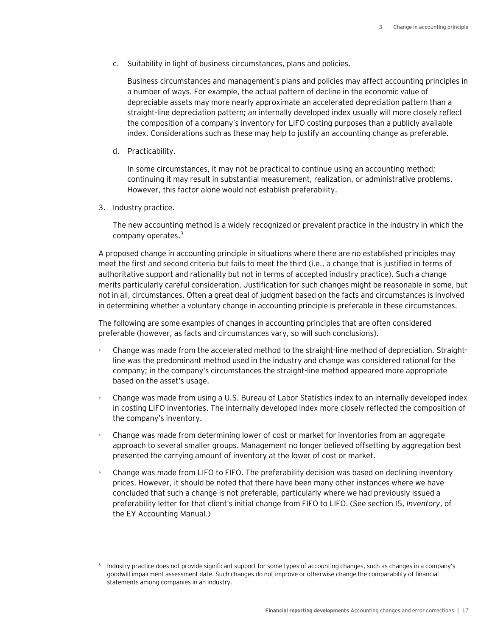c. Suitability in light of business circumstances, plans and policies.

Business circumstances and management's plans and policies may affect accounting principles in a number of ways. For example, the actual pattern of decline in the economic value of depreciable assets may more nearly approximate an accelerated depreciation pattern than a straight-line depreciation pattern; an internally developed index usually will more closely reflect the composition of a company's inventory for LIFO costing purposes than a publicly available index. Considerations such as these may help to justify an accounting change as preferable.

d. Practicability.

In some circumstances, it may not be practical to continue using an accounting method; continuing it may result in substantial measurement, realization, or administrative problems. However, this factor alone would not establish preferability.

3. Industry practice.

The new accounting method is a widely recognized or prevalent practice in the industry in which the company operates.<sup>3</sup>

A proposed change in accounting principle in situations where there are no established principles may meet the first and second criteria but fails to meet the third (i.e., a change that is justified in terms of authoritative support and rationality but not in terms of accepted industry practice). Such a change merits particularly careful consideration. Justification for such changes might be reasonable in some, but not in all, circumstances. Often a great deal of judgment based on the facts and circumstances is involved in determining whether a voluntary change in accounting principle is preferable in these circumstances.

The following are some examples of changes in accounting principles that are often considered preferable (however, as facts and circumstances vary, so will such conclusions).

- Change was made from the accelerated method to the straight-line method of depreciation. Straightline was the predominant method used in the industry and change was considered rational for the company; in the company's circumstances the straight-line method appeared more appropriate based on the asset's usage.
- Change was made from using a U.S. Bureau of Labor Statistics index to an internally developed index in costing LIFO inventories. The internally developed index more closely reflected the composition of the company's inventory.
- Change was made from determining lower of cost or market for inventories from an aggregate approach to several smaller groups. Management no longer believed offsetting by aggregation best presented the carrying amount of inventory at the lower of cost or market.
- Change was made from LIFO to FIFO. The preferability decision was based on declining inventory prices. However, it should be noted that there have been many other instances where we have concluded that such a change is not preferable, particularly where we had previously issued a preferability letter for that client's initial change from FIFO to LIFO. (See section I5, *Inventory*, of the EY Accounting Manual*.*)

<sup>&</sup>lt;sup>3</sup> Industry practice does not provide significant support for some types of accounting changes, such as changes in a company's goodwill impairment assessment date. Such changes do not improve or otherwise change the comparability of financial statements among companies in an industry.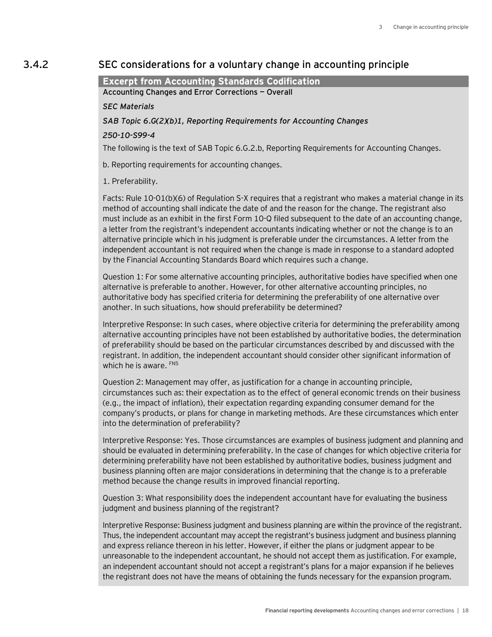## <span id="page-22-0"></span>3.4.2 SEC considerations for a voluntary change in accounting principle

## **Excerpt from Accounting Standards Codification**

Accounting Changes and Error Corrections — Overall

*SEC Materials*

### *SAB Topic 6.G(2)(b)1, Reporting Requirements for Accounting Changes*

### *250-10-S99-4*

The following is the text of SAB Topic 6.G.2.b, Reporting Requirements for Accounting Changes.

b. Reporting requirements for accounting changes.

1. Preferability.

Facts: Rule 10-01(b)(6) of Regulation S-X requires that a registrant who makes a material change in its method of accounting shall indicate the date of and the reason for the change. The registrant also must include as an exhibit in the first Form 10-Q filed subsequent to the date of an accounting change, a letter from the registrant's independent accountants indicating whether or not the change is to an alternative principle which in his judgment is preferable under the circumstances. A letter from the independent accountant is not required when the change is made in response to a standard adopted by the Financial Accounting Standards Board which requires such a change.

Question 1: For some alternative accounting principles, authoritative bodies have specified when one alternative is preferable to another. However, for other alternative accounting principles, no authoritative body has specified criteria for determining the preferability of one alternative over another. In such situations, how should preferability be determined?

Interpretive Response: In such cases, where objective criteria for determining the preferability among alternative accounting principles have not been established by authoritative bodies, the determination of preferability should be based on the particular circumstances described by and discussed with the registrant. In addition, the independent accountant should consider other significant information of which he is aware.  $F<sup>NS</sup>$ 

Question 2: Management may offer, as justification for a change in accounting principle, circumstances such as: their expectation as to the effect of general economic trends on their business (e.g., the impact of inflation), their expectation regarding expanding consumer demand for the company's products, or plans for change in marketing methods. Are these circumstances which enter into the determination of preferability?

Interpretive Response: Yes. Those circumstances are examples of business judgment and planning and should be evaluated in determining preferability. In the case of changes for which objective criteria for determining preferability have not been established by authoritative bodies, business judgment and business planning often are major considerations in determining that the change is to a preferable method because the change results in improved financial reporting.

Question 3: What responsibility does the independent accountant have for evaluating the business judgment and business planning of the registrant?

Interpretive Response: Business judgment and business planning are within the province of the registrant. Thus, the independent accountant may accept the registrant's business judgment and business planning and express reliance thereon in his letter. However, if either the plans or judgment appear to be unreasonable to the independent accountant, he should not accept them as justification. For example, an independent accountant should not accept a registrant's plans for a major expansion if he believes the registrant does not have the means of obtaining the funds necessary for the expansion program.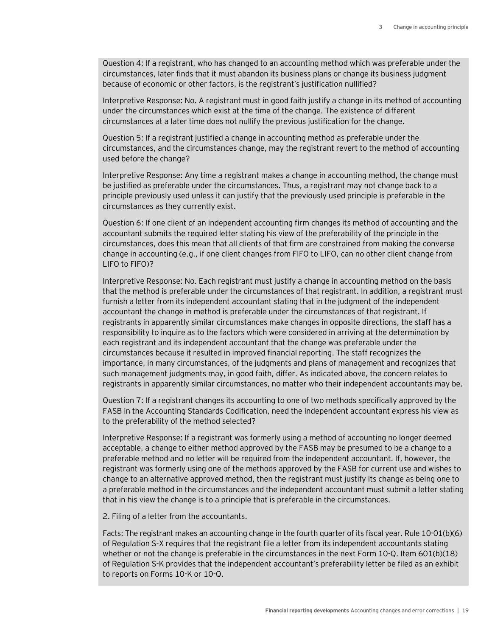Question 4: If a registrant, who has changed to an accounting method which was preferable under the circumstances, later finds that it must abandon its business plans or change its business judgment because of economic or other factors, is the registrant's justification nullified?

Interpretive Response: No. A registrant must in good faith justify a change in its method of accounting under the circumstances which exist at the time of the change. The existence of different circumstances at a later time does not nullify the previous justification for the change.

Question 5: If a registrant justified a change in accounting method as preferable under the circumstances, and the circumstances change, may the registrant revert to the method of accounting used before the change?

Interpretive Response: Any time a registrant makes a change in accounting method, the change must be justified as preferable under the circumstances. Thus, a registrant may not change back to a principle previously used unless it can justify that the previously used principle is preferable in the circumstances as they currently exist.

Question 6: If one client of an independent accounting firm changes its method of accounting and the accountant submits the required letter stating his view of the preferability of the principle in the circumstances, does this mean that all clients of that firm are constrained from making the converse change in accounting (e.g., if one client changes from FIFO to LIFO, can no other client change from LIFO to FIFO)?

Interpretive Response: No. Each registrant must justify a change in accounting method on the basis that the method is preferable under the circumstances of that registrant. In addition, a registrant must furnish a letter from its independent accountant stating that in the judgment of the independent accountant the change in method is preferable under the circumstances of that registrant. If registrants in apparently similar circumstances make changes in opposite directions, the staff has a responsibility to inquire as to the factors which were considered in arriving at the determination by each registrant and its independent accountant that the change was preferable under the circumstances because it resulted in improved financial reporting. The staff recognizes the importance, in many circumstances, of the judgments and plans of management and recognizes that such management judgments may, in good faith, differ. As indicated above, the concern relates to registrants in apparently similar circumstances, no matter who their independent accountants may be.

Question 7: If a registrant changes its accounting to one of two methods specifically approved by the FASB in the Accounting Standards Codification, need the independent accountant express his view as to the preferability of the method selected?

Interpretive Response: If a registrant was formerly using a method of accounting no longer deemed acceptable, a change to either method approved by the FASB may be presumed to be a change to a preferable method and no letter will be required from the independent accountant. If, however, the registrant was formerly using one of the methods approved by the FASB for current use and wishes to change to an alternative approved method, then the registrant must justify its change as being one to a preferable method in the circumstances and the independent accountant must submit a letter stating that in his view the change is to a principle that is preferable in the circumstances.

2. Filing of a letter from the accountants.

Facts: The registrant makes an accounting change in the fourth quarter of its fiscal year. Rule 10-01(b)(6) of Regulation S-X requires that the registrant file a letter from its independent accountants stating whether or not the change is preferable in the circumstances in the next Form 10-Q. Item 601(b)(18) of Regulation S-K provides that the independent accountant's preferability letter be filed as an exhibit to reports on Forms 10-K or 10-Q.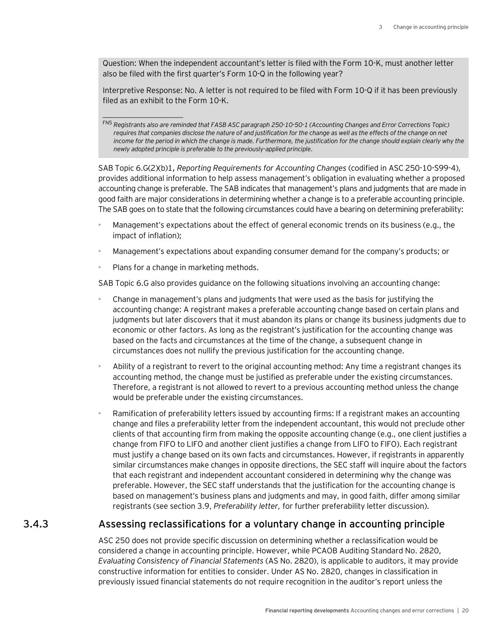Question: When the independent accountant's letter is filed with the Form 10-K, must another letter also be filed with the first quarter's Form 10-Q in the following year?

Interpretive Response: No. A letter is not required to be filed with Form 10-Q if it has been previously filed as an exhibit to the Form 10-K.

SAB Topic 6.G(2)(b)1**,** *Reporting Requirements for Accounting Changes* (codified in ASC 250-10-S99-4), provides additional information to help assess management's obligation in evaluating whether a proposed accounting change is preferable. The SAB indicates that management's plans and judgments that are made in good faith are major considerations in determining whether a change is to a preferable accounting principle. The SAB goes on to state that the following circumstances could have a bearing on determining preferability:

- Management's expectations about the effect of general economic trends on its business (e.g., the impact of inflation);
- Management's expectations about expanding consumer demand for the company's products; or
- Plans for a change in marketing methods.

SAB Topic 6.G also provides guidance on the following situations involving an accounting change:

- Change in management's plans and judgments that were used as the basis for justifying the accounting change: A registrant makes a preferable accounting change based on certain plans and judgments but later discovers that it must abandon its plans or change its business judgments due to economic or other factors. As long as the registrant's justification for the accounting change was based on the facts and circumstances at the time of the change, a subsequent change in circumstances does not nullify the previous justification for the accounting change.
- Ability of a registrant to revert to the original accounting method: Any time a registrant changes its accounting method, the change must be justified as preferable under the existing circumstances. Therefore, a registrant is not allowed to revert to a previous accounting method unless the change would be preferable under the existing circumstances.
- Ramification of preferability letters issued by accounting firms: If a registrant makes an accounting change and files a preferability letter from the independent accountant, this would not preclude other clients of that accounting firm from making the opposite accounting change (e.g., one client justifies a change from FIFO to LIFO and another client justifies a change from LIFO to FIFO). Each registrant must justify a change based on its own facts and circumstances. However, if registrants in apparently similar circumstances make changes in opposite directions, the SEC staff will inquire about the factors that each registrant and independent accountant considered in determining why the change was preferable. However, the SEC staff understands that the justification for the accounting change is based on management's business plans and judgments and may, in good faith, differ among similar registrants (see section 3.9, *Preferability letter,* for further preferability letter discussion).

## <span id="page-24-0"></span>3.4.3 Assessing reclassifications for a voluntary change in accounting principle

ASC 250 does not provide specific discussion on determining whether a reclassification would be considered a change in accounting principle. However, while PCAOB Auditing Standard No. 2820, *Evaluating Consistency of Financial Statements* (AS No. 2820), is applicable to auditors, it may provide constructive information for entities to consider. Under AS No. 2820, changes in classification in previously issued financial statements do not require recognition in the auditor's report unless the

FN5 *Registrants also are reminded that FASB ASC paragraph 250-10-50-1 (Accounting Changes and Error Corrections Topic) requires that companies disclose the nature of and justification for the change as well as the effects of the change on net*  income for the period in which the change is made. Furthermore, the justification for the change should explain clearly why the *newly adopted principle is preferable to the previously-applied principle*.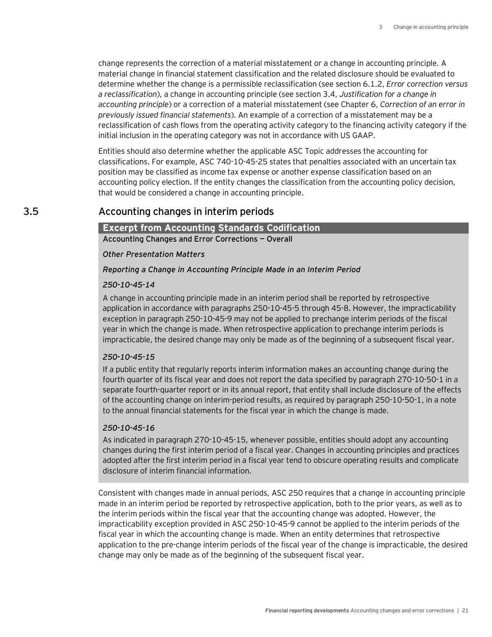change represents the correction of a material misstatement or a change in accounting principle. A material change in financial statement classification and the related disclosure should be evaluated to determine whether the change is a permissible reclassification (see section 6.1.2, *Error correction versus a reclassification*), a change in accounting principle (see section 3.4, *Justification for a change in accounting principle*) or a correction of a material misstatement (see Chapter 6, *Correction of an error in previously issued financial statements*). An example of a correction of a misstatement may be a reclassification of cash flows from the operating activity category to the financing activity category if the initial inclusion in the operating category was not in accordance with US GAAP.

Entities should also determine whether the applicable ASC Topic addresses the accounting for classifications. For example, ASC 740-10-45-25 states that penalties associated with an uncertain tax position may be classified as income tax expense or another expense classification based on an accounting policy election. If the entity changes the classification from the accounting policy decision, that would be considered a change in accounting principle.

## <span id="page-25-0"></span>**3.5 Accounting changes in interim periods**

## **Excerpt from Accounting Standards Codification**

Accounting Changes and Error Corrections — Overall

*Other Presentation Matters*

### *Reporting a Change in Accounting Principle Made in an Interim Period*

#### *250-10-45-14*

A change in accounting principle made in an interim period shall be reported by retrospective application in accordance with paragraphs 250-10-45-5 through 45-8. However, the impracticability exception in paragraph 250-10-45-9 may not be applied to prechange interim periods of the fiscal year in which the change is made. When retrospective application to prechange interim periods is impracticable, the desired change may only be made as of the beginning of a subsequent fiscal year.

#### *250-10-45-15*

If a public entity that regularly reports interim information makes an accounting change during the fourth quarter of its fiscal year and does not report the data specified by paragraph 270-10-50-1 in a separate fourth-quarter report or in its annual report, that entity shall include disclosure of the effects of the accounting change on interim-period results, as required by paragraph 250-10-50-1, in a note to the annual financial statements for the fiscal year in which the change is made.

#### *250-10-45-16*

As indicated in paragraph 270-10-45-15, whenever possible, entities should adopt any accounting changes during the first interim period of a fiscal year. Changes in accounting principles and practices adopted after the first interim period in a fiscal year tend to obscure operating results and complicate disclosure of interim financial information.

Consistent with changes made in annual periods, ASC 250 requires that a change in accounting principle made in an interim period be reported by retrospective application, both to the prior years, as well as to the interim periods within the fiscal year that the accounting change was adopted. However, the impracticability exception provided in ASC 250-10-45-9 cannot be applied to the interim periods of the fiscal year in which the accounting change is made. When an entity determines that retrospective application to the pre-change interim periods of the fiscal year of the change is impracticable, the desired change may only be made as of the beginning of the subsequent fiscal year.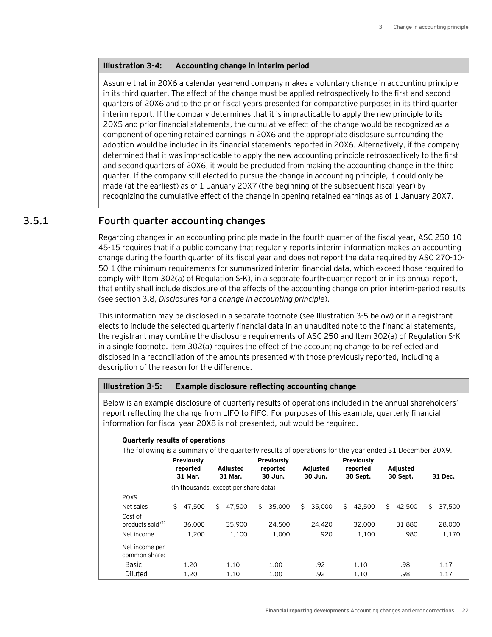#### **Illustration 3-4: Accounting change in interim period**

Assume that in 20X6 a calendar year-end company makes a voluntary change in accounting principle in its third quarter. The effect of the change must be applied retrospectively to the first and second quarters of 20X6 and to the prior fiscal years presented for comparative purposes in its third quarter interim report. If the company determines that it is impracticable to apply the new principle to its 20X5 and prior financial statements, the cumulative effect of the change would be recognized as a component of opening retained earnings in 20X6 and the appropriate disclosure surrounding the adoption would be included in its financial statements reported in 20X6. Alternatively, if the company determined that it was impracticable to apply the new accounting principle retrospectively to the first and second quarters of 20X6, it would be precluded from making the accounting change in the third quarter. If the company still elected to pursue the change in accounting principle, it could only be made (at the earliest) as of 1 January 20X7 (the beginning of the subsequent fiscal year) by recognizing the cumulative effect of the change in opening retained earnings as of 1 January 20X7.

## <span id="page-26-0"></span>3.5.1 Fourth quarter accounting changes

Regarding changes in an accounting principle made in the fourth quarter of the fiscal year, ASC 250-10- 45-15 requires that if a public company that regularly reports interim information makes an accounting change during the fourth quarter of its fiscal year and does not report the data required by ASC 270-10- 50-1 (the minimum requirements for summarized interim financial data, which exceed those required to comply with Item 302(a) of Regulation S-K), in a separate fourth-quarter report or in its annual report, that entity shall include disclosure of the effects of the accounting change on prior interim-period results (see section 3.8, *Disclosures for a change in accounting principle*).

This information may be disclosed in a separate footnote (see Illustration 3-5 below) or if a registrant elects to include the selected quarterly financial data in an unaudited note to the financial statements, the registrant may combine the disclosure requirements of ASC 250 and Item 302(a) of Regulation S-K in a single footnote. Item 302(a) requires the effect of the accounting change to be reflected and disclosed in a reconciliation of the amounts presented with those previously reported, including a description of the reason for the difference.

## **Illustration 3-5: Example disclosure reflecting accounting change**

Below is an example disclosure of quarterly results of operations included in the annual shareholders' report reflecting the change from LIFO to FIFO. For purposes of this example, quarterly financial information for fiscal year 20X8 is not presented, but would be required.

#### **Quarterly results of operations**

The following is a summary of the quarterly results of operations for the year ended 31 December 20X9.

|                                            | Previously<br>reported<br>31 Mar. | Adiusted<br>31 Mar.                   | <b>Previously</b><br>reported<br>30 Jun. | Adiusted<br>30 Jun. | <b>Previously</b><br>reported<br>30 Sept. | Adjusted<br>30 Sept. | 31 Dec.         |
|--------------------------------------------|-----------------------------------|---------------------------------------|------------------------------------------|---------------------|-------------------------------------------|----------------------|-----------------|
|                                            |                                   | (In thousands, except per share data) |                                          |                     |                                           |                      |                 |
| 20X9                                       |                                   |                                       |                                          |                     |                                           |                      |                 |
| Net sales                                  | Ś.<br>47.500                      | S.<br>47.500                          | Ŝ.<br>35,000                             | Ŝ.<br>35,000        | Ŝ.<br>42,500                              | Ŝ.<br>42,500         | Ŝ.<br>37.500    |
| Cost of<br>products sold (1)<br>Net income | 36.000<br>1.200                   | 35,900<br>1.100                       | 24,500<br>1.000                          | 24,420<br>920       | 32,000<br>1.100                           | 31.880<br>980        | 28,000<br>1.170 |
| Net income per<br>common share:            |                                   |                                       |                                          |                     |                                           |                      |                 |
| <b>Basic</b>                               | 1.20                              | 1.10                                  | 1.00                                     | .92                 | 1.10                                      | .98                  | 1.17            |
| Diluted                                    | 1.20                              | 1.10                                  | 1.00                                     | .92                 | 1.10                                      | .98                  | 1.17            |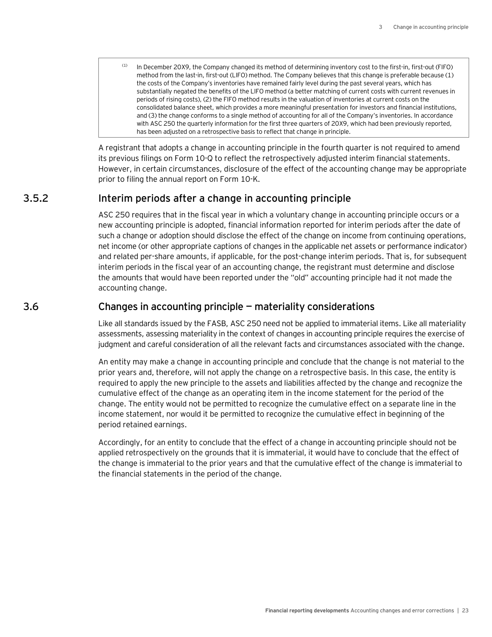In December 20X9, the Company changed its method of determining inventory cost to the first-in, first-out (FIFO) method from the last-in, first-out (LIFO) method. The Company believes that this change is preferable because (1) the costs of the Company's inventories have remained fairly level during the past several years, which has substantially negated the benefits of the LIFO method (a better matching of current costs with current revenues in periods of rising costs), (2) the FIFO method results in the valuation of inventories at current costs on the consolidated balance sheet, which provides a more meaningful presentation for investors and financial institutions, and (3) the change conforms to a single method of accounting for all of the Company's inventories. In accordance with ASC 250 the quarterly information for the first three quarters of 20X9, which had been previously reported, has been adjusted on a retrospective basis to reflect that change in principle.

A registrant that adopts a change in accounting principle in the fourth quarter is not required to amend its previous filings on Form 10-Q to reflect the retrospectively adjusted interim financial statements. However, in certain circumstances, disclosure of the effect of the accounting change may be appropriate prior to filing the annual report on Form 10-K.

## <span id="page-27-0"></span>3.5.2 Interim periods after a change in accounting principle

ASC 250 requires that in the fiscal year in which a voluntary change in accounting principle occurs or a new accounting principle is adopted, financial information reported for interim periods after the date of such a change or adoption should disclose the effect of the change on income from continuing operations, net income (or other appropriate captions of changes in the applicable net assets or performance indicator) and related per-share amounts, if applicable, for the post-change interim periods. That is, for subsequent interim periods in the fiscal year of an accounting change, the registrant must determine and disclose the amounts that would have been reported under the "old" accounting principle had it not made the accounting change.

## <span id="page-27-1"></span>**3.6 Changes in accounting principle — materiality considerations**

Like all standards issued by the FASB, ASC 250 need not be applied to immaterial items. Like all materiality assessments, assessing materiality in the context of changes in accounting principle requires the exercise of judgment and careful consideration of all the relevant facts and circumstances associated with the change.

An entity may make a change in accounting principle and conclude that the change is not material to the prior years and, therefore, will not apply the change on a retrospective basis. In this case, the entity is required to apply the new principle to the assets and liabilities affected by the change and recognize the cumulative effect of the change as an operating item in the income statement for the period of the change. The entity would not be permitted to recognize the cumulative effect on a separate line in the income statement, nor would it be permitted to recognize the cumulative effect in beginning of the period retained earnings.

Accordingly, for an entity to conclude that the effect of a change in accounting principle should not be applied retrospectively on the grounds that it is immaterial, it would have to conclude that the effect of the change is immaterial to the prior years and that the cumulative effect of the change is immaterial to the financial statements in the period of the change.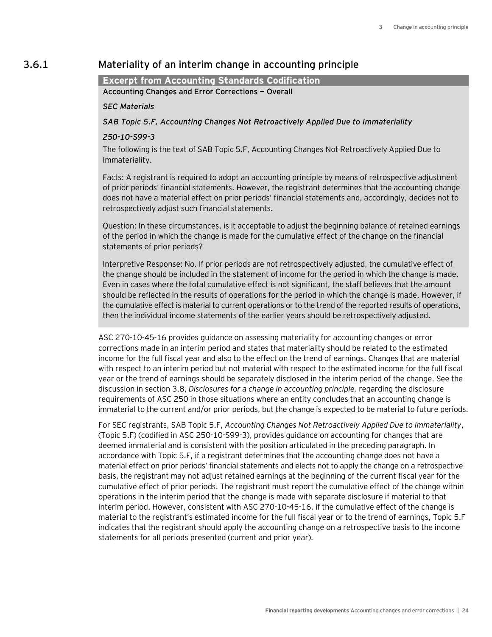## <span id="page-28-0"></span>3.6.1 Materiality of an interim change in accounting principle

## **Excerpt from Accounting Standards Codification**

Accounting Changes and Error Corrections — Overall

*SEC Materials*

## *SAB Topic 5.F, Accounting Changes Not Retroactively Applied Due to Immateriality*

## *250-10-S99-3*

The following is the text of SAB Topic 5.F, Accounting Changes Not Retroactively Applied Due to Immateriality.

Facts: A registrant is required to adopt an accounting principle by means of retrospective adjustment of prior periods' financial statements. However, the registrant determines that the accounting change does not have a material effect on prior periods' financial statements and, accordingly, decides not to retrospectively adjust such financial statements.

Question: In these circumstances, is it acceptable to adjust the beginning balance of retained earnings of the period in which the change is made for the cumulative effect of the change on the financial statements of prior periods?

Interpretive Response: No. If prior periods are not retrospectively adjusted, the cumulative effect of the change should be included in the statement of income for the period in which the change is made. Even in cases where the total cumulative effect is not significant, the staff believes that the amount should be reflected in the results of operations for the period in which the change is made. However, if the cumulative effect is material to current operations or to the trend of the reported results of operations, then the individual income statements of the earlier years should be retrospectively adjusted.

ASC 270-10-45-16 provides guidance on assessing materiality for accounting changes or error corrections made in an interim period and states that materiality should be related to the estimated income for the full fiscal year and also to the effect on the trend of earnings. Changes that are material with respect to an interim period but not material with respect to the estimated income for the full fiscal year or the trend of earnings should be separately disclosed in the interim period of the change. See the discussion in section 3.8, *Disclosures for a change in accounting principle,* regarding the disclosure requirements of ASC 250 in those situations where an entity concludes that an accounting change is immaterial to the current and/or prior periods, but the change is expected to be material to future periods.

For SEC registrants, SAB Topic 5.F, *Accounting Changes Not Retroactively Applied Due to Immateriality*, (Topic 5.F) (codified in ASC 250-10-S99-3), provides guidance on accounting for changes that are deemed immaterial and is consistent with the position articulated in the preceding paragraph. In accordance with Topic 5.F, if a registrant determines that the accounting change does not have a material effect on prior periods' financial statements and elects not to apply the change on a retrospective basis, the registrant may not adjust retained earnings at the beginning of the current fiscal year for the cumulative effect of prior periods. The registrant must report the cumulative effect of the change within operations in the interim period that the change is made with separate disclosure if material to that interim period. However, consistent with ASC 270-10-45-16, if the cumulative effect of the change is material to the registrant's estimated income for the full fiscal year or to the trend of earnings, Topic 5.F indicates that the registrant should apply the accounting change on a retrospective basis to the income statements for all periods presented (current and prior year).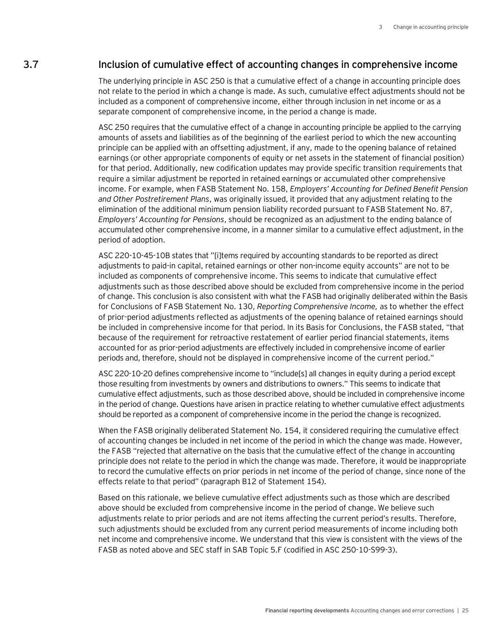## <span id="page-29-0"></span>**3.7 Inclusion of cumulative effect of accounting changes in comprehensive income**

The underlying principle in ASC 250 is that a cumulative effect of a change in accounting principle does not relate to the period in which a change is made. As such, cumulative effect adjustments should not be included as a component of comprehensive income, either through inclusion in net income or as a separate component of comprehensive income, in the period a change is made.

ASC 250 requires that the cumulative effect of a change in accounting principle be applied to the carrying amounts of assets and liabilities as of the beginning of the earliest period to which the new accounting principle can be applied with an offsetting adjustment, if any, made to the opening balance of retained earnings (or other appropriate components of equity or net assets in the statement of financial position) for that period. Additionally, new codification updates may provide specific transition requirements that require a similar adjustment be reported in retained earnings or accumulated other comprehensive income. For example, when FASB Statement No. 158, *Employers' Accounting for Defined Benefit Pension and Other Postretirement Plans*, was originally issued, it provided that any adjustment relating to the elimination of the additional minimum pension liability recorded pursuant to FASB Statement No. 87, *Employers' Accounting for Pensions*, should be recognized as an adjustment to the ending balance of accumulated other comprehensive income, in a manner similar to a cumulative effect adjustment, in the period of adoption.

ASC 220-10-45-10B states that "[i]tems required by accounting standards to be reported as direct adjustments to paid-in capital, retained earnings or other non-income equity accounts" are not to be included as components of comprehensive income. This seems to indicate that cumulative effect adjustments such as those described above should be excluded from comprehensive income in the period of change. This conclusion is also consistent with what the FASB had originally deliberated within the Basis for Conclusions of FASB Statement No. 130, *Reporting Comprehensive Income,* as to whether the effect of prior-period adjustments reflected as adjustments of the opening balance of retained earnings should be included in comprehensive income for that period. In its Basis for Conclusions, the FASB stated, "that because of the requirement for retroactive restatement of earlier period financial statements, items accounted for as prior-period adjustments are effectively included in comprehensive income of earlier periods and, therefore, should not be displayed in comprehensive income of the current period."

ASC 220-10-20 defines comprehensive income to "include[s] all changes in equity during a period except those resulting from investments by owners and distributions to owners." This seems to indicate that cumulative effect adjustments, such as those described above, should be included in comprehensive income in the period of change. Questions have arisen in practice relating to whether cumulative effect adjustments should be reported as a component of comprehensive income in the period the change is recognized.

When the FASB originally deliberated Statement No. 154, it considered requiring the cumulative effect of accounting changes be included in net income of the period in which the change was made. However, the FASB "rejected that alternative on the basis that the cumulative effect of the change in accounting principle does not relate to the period in which the change was made. Therefore, it would be inappropriate to record the cumulative effects on prior periods in net income of the period of change, since none of the effects relate to that period" (paragraph B12 of Statement 154).

Based on this rationale, we believe cumulative effect adjustments such as those which are described above should be excluded from comprehensive income in the period of change. We believe such adjustments relate to prior periods and are not items affecting the current period's results. Therefore, such adjustments should be excluded from any current period measurements of income including both net income and comprehensive income. We understand that this view is consistent with the views of the FASB as noted above and SEC staff in SAB Topic 5.F (codified in ASC 250-10-S99-3).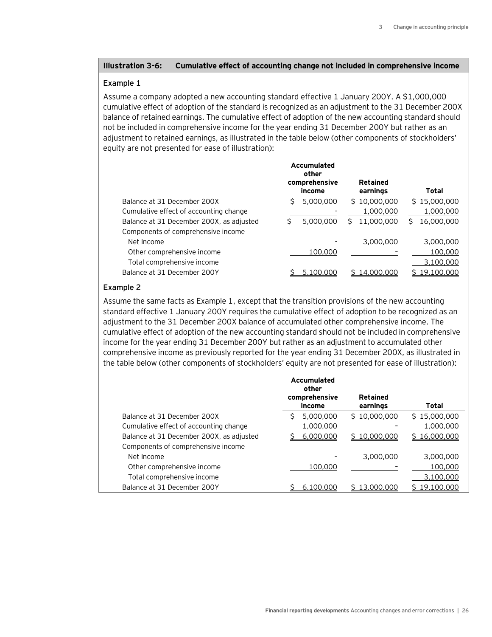#### **Illustration 3-6: Cumulative effect of accounting change not included in comprehensive income**

#### **Example 1**

Assume a company adopted a new accounting standard effective 1 January 200Y. A \$1,000,000 cumulative effect of adoption of the standard is recognized as an adjustment to the 31 December 200X balance of retained earnings. The cumulative effect of adoption of the new accounting standard should not be included in comprehensive income for the year ending 31 December 200Y but rather as an adjustment to retained earnings, as illustrated in the table below (other components of stockholders' equity are not presented for ease of illustration):

|                                          | Accumulated<br>other<br>comprehensive<br>income | <b>Retained</b><br>earnings | Total           |
|------------------------------------------|-------------------------------------------------|-----------------------------|-----------------|
| Balance at 31 December 200X              | 5,000,000                                       | \$10,000,000                | \$15,000,000    |
| Cumulative effect of accounting change   |                                                 | 1.000.000                   | 1,000,000       |
| Balance at 31 December 200X, as adjusted | 5,000,000                                       | 11,000,000<br>S.            | 16,000,000<br>S |
| Components of comprehensive income       |                                                 |                             |                 |
| Net Income                               |                                                 | 3,000,000                   | 3,000,000       |
| Other comprehensive income               | 100,000                                         |                             | 100,000         |
| Total comprehensive income               |                                                 |                             | 3,100,000       |
| Balance at 31 December 200Y              | 5.100.000                                       | .4.000.000                  | 19,100,000      |

## **Example 2**

Assume the same facts as Example 1, except that the transition provisions of the new accounting standard effective 1 January 200Y requires the cumulative effect of adoption to be recognized as an adjustment to the 31 December 200X balance of accumulated other comprehensive income. The cumulative effect of adoption of the new accounting standard should not be included in comprehensive income for the year ending 31 December 200Y but rather as an adjustment to accumulated other comprehensive income as previously reported for the year ending 31 December 200X, as illustrated in the table below (other components of stockholders' equity are not presented for ease of illustration):

|                                          | Accumulated<br>other<br>comprehensive<br>income | <b>Retained</b><br>earnings | Total        |
|------------------------------------------|-------------------------------------------------|-----------------------------|--------------|
| Balance at 31 December 200X              | Ś<br>5,000,000                                  | \$10,000,000                | \$15,000,000 |
| Cumulative effect of accounting change   | 1,000,000                                       |                             | 1,000,000    |
| Balance at 31 December 200X, as adjusted | 6,000,000                                       | \$10,000,000                | \$16,000,000 |
| Components of comprehensive income       |                                                 |                             |              |
| Net Income                               |                                                 | 3,000,000                   | 3,000,000    |
| Other comprehensive income               | 100,000                                         |                             | 100,000      |
| Total comprehensive income               |                                                 |                             | 3,100,000    |
| Balance at 31 December 200Y              | 6.100.000                                       | 13,000,000                  | l9,100,000   |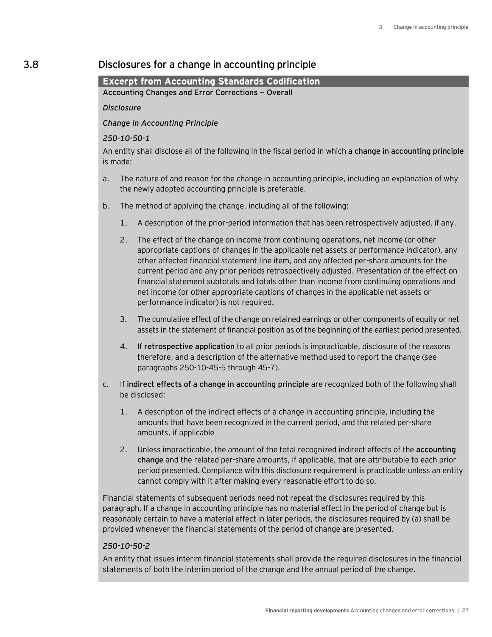## <span id="page-31-0"></span>**3.8 Disclosures for a change in accounting principle**

## **Excerpt from Accounting Standards Codification**

Accounting Changes and Error Corrections — Overall

#### *Disclosure*

*Change in Accounting Principle*

#### *250-10-50-1*

An entity shall disclose all of the following in the fiscal period in which a **change in accounting principle** is made:

- a. The nature of and reason for the change in accounting principle, including an explanation of why the newly adopted accounting principle is preferable.
- b. The method of applying the change, including all of the following:
	- 1. A description of the prior-period information that has been retrospectively adjusted, if any.
	- 2. The effect of the change on income from continuing operations, net income (or other appropriate captions of changes in the applicable net assets or performance indicator), any other affected financial statement line item, and any affected per-share amounts for the current period and any prior periods retrospectively adjusted. Presentation of the effect on financial statement subtotals and totals other than income from continuing operations and net income (or other appropriate captions of changes in the applicable net assets or performance indicator) is not required.
	- 3. The cumulative effect of the change on retained earnings or other components of equity or net assets in the statement of financial position as of the beginning of the earliest period presented.
	- 4. If **retrospective application** to all prior periods is impracticable, disclosure of the reasons therefore, and a description of the alternative method used to report the change (see paragraphs 250-10-45-5 through 45-7).
- c. If **indirect effects of a change in accounting principle** are recognized both of the following shall be disclosed:
	- 1. A description of the indirect effects of a change in accounting principle, including the amounts that have been recognized in the current period, and the related per-share amounts, if applicable
	- 2. Unless impracticable, the amount of the total recognized indirect effects of the **accounting change** and the related per-share amounts, if applicable, that are attributable to each prior period presented. Compliance with this disclosure requirement is practicable unless an entity cannot comply with it after making every reasonable effort to do so.

Financial statements of subsequent periods need not repeat the disclosures required by this paragraph. If a change in accounting principle has no material effect in the period of change but is reasonably certain to have a material effect in later periods, the disclosures required by (a) shall be provided whenever the financial statements of the period of change are presented.

## *250-10-50-2*

An entity that issues interim financial statements shall provide the required disclosures in the financial statements of both the interim period of the change and the annual period of the change.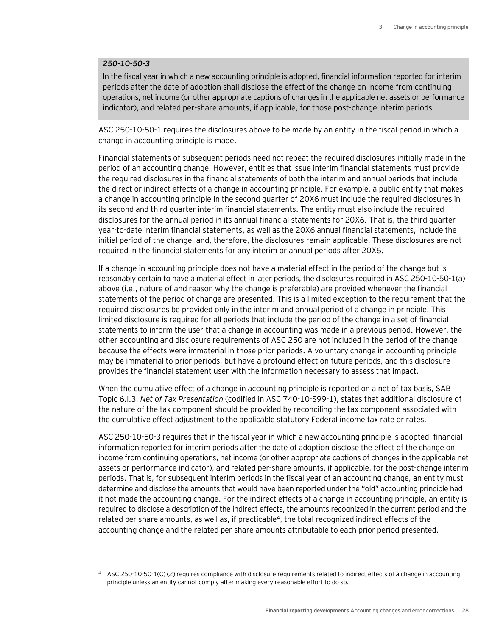#### *250-10-50-3*

In the fiscal year in which a new accounting principle is adopted, financial information reported for interim periods after the date of adoption shall disclose the effect of the change on income from continuing operations, net income (or other appropriate captions of changes in the applicable net assets or performance indicator), and related per-share amounts, if applicable, for those post-change interim periods.

ASC 250-10-50-1 requires the disclosures above to be made by an entity in the fiscal period in which a change in accounting principle is made.

Financial statements of subsequent periods need not repeat the required disclosures initially made in the period of an accounting change. However, entities that issue interim financial statements must provide the required disclosures in the financial statements of both the interim and annual periods that include the direct or indirect effects of a change in accounting principle. For example, a public entity that makes a change in accounting principle in the second quarter of 20X6 must include the required disclosures in its second and third quarter interim financial statements. The entity must also include the required disclosures for the annual period in its annual financial statements for 20X6. That is, the third quarter year-to-date interim financial statements, as well as the 20X6 annual financial statements, include the initial period of the change, and, therefore, the disclosures remain applicable. These disclosures are not required in the financial statements for any interim or annual periods after 20X6.

If a change in accounting principle does not have a material effect in the period of the change but is reasonably certain to have a material effect in later periods, the disclosures required in ASC 250-10-50-1(a) above (i.e., nature of and reason why the change is preferable) are provided whenever the financial statements of the period of change are presented. This is a limited exception to the requirement that the required disclosures be provided only in the interim and annual period of a change in principle. This limited disclosure is required for all periods that include the period of the change in a set of financial statements to inform the user that a change in accounting was made in a previous period. However, the other accounting and disclosure requirements of ASC 250 are not included in the period of the change because the effects were immaterial in those prior periods. A voluntary change in accounting principle may be immaterial to prior periods, but have a profound effect on future periods, and this disclosure provides the financial statement user with the information necessary to assess that impact.

When the cumulative effect of a change in accounting principle is reported on a net of tax basis, SAB Topic 6.I.3, *Net of Tax Presentation* (codified in ASC 740-10-S99-1), states that additional disclosure of the nature of the tax component should be provided by reconciling the tax component associated with the cumulative effect adjustment to the applicable statutory Federal income tax rate or rates.

ASC 250-10-50-3 requires that in the fiscal year in which a new accounting principle is adopted, financial information reported for interim periods after the date of adoption disclose the effect of the change on income from continuing operations, net income (or other appropriate captions of changes in the applicable net assets or performance indicator), and related per-share amounts, if applicable, for the post-change interim periods. That is, for subsequent interim periods in the fiscal year of an accounting change, an entity must determine and disclose the amounts that would have been reported under the "old" accounting principle had it not made the accounting change. For the indirect effects of a change in accounting principle, an entity is required to disclose a description of the indirect effects, the amounts recognized in the current period and the related per share amounts, as well as, if practicable<sup>4</sup>, the total recognized indirect effects of the accounting change and the related per share amounts attributable to each prior period presented.

<sup>4</sup> ASC 250-10-50-1(C) (2) requires compliance with disclosure requirements related to indirect effects of a change in accounting principle unless an entity cannot comply after making every reasonable effort to do so.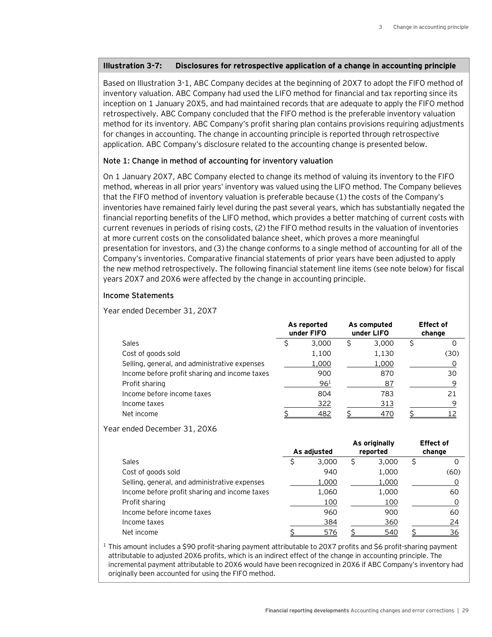## **Illustration 3-7: Disclosures for retrospective application of a change in accounting principle**

Based on Illustration 3-1, ABC Company decides at the beginning of 20X7 to adopt the FIFO method of inventory valuation. ABC Company had used the LIFO method for financial and tax reporting since its inception on 1 January 20X5, and had maintained records that are adequate to apply the FIFO method retrospectively. ABC Company concluded that the FIFO method is the preferable inventory valuation method for its inventory. ABC Company's profit sharing plan contains provisions requiring adjustments for changes in accounting. The change in accounting principle is reported through retrospective application. ABC Company's disclosure related to the accounting change is presented below.

#### **Note 1: Change in method of accounting for inventory valuation**

On 1 January 20X7, ABC Company elected to change its method of valuing its inventory to the FIFO method, whereas in all prior years' inventory was valued using the LIFO method. The Company believes that the FIFO method of inventory valuation is preferable because (1) the costs of the Company's inventories have remained fairly level during the past several years, which has substantially negated the financial reporting benefits of the LIFO method, which provides a better matching of current costs with current revenues in periods of rising costs, (2) the FIFO method results in the valuation of inventories at more current costs on the consolidated balance sheet, which proves a more meaningful presentation for investors, and (3) the change conforms to a single method of accounting for all of the Company's inventories. Comparative financial statements of prior years have been adjusted to apply the new method retrospectively. The following financial statement line items (see note below) for fiscal years 20X7 and 20X6 were affected by the change in accounting principle.

## **Income Statements**

Year ended December 31, 20X7

|                                               |  | As reported<br>under FIFO |    | As computed<br>under LIFO | <b>Effect of</b><br>change |      |  |
|-----------------------------------------------|--|---------------------------|----|---------------------------|----------------------------|------|--|
| <b>Sales</b>                                  |  | 3.000                     | \$ | 3,000                     |                            |      |  |
| Cost of goods sold                            |  | 1,100                     |    | 1,130                     |                            | (30) |  |
| Selling, general, and administrative expenses |  | 1,000                     |    | 1,000                     |                            |      |  |
| Income before profit sharing and income taxes |  | 900                       |    | 870                       |                            | 30   |  |
| Profit sharing                                |  | 96 <sup>1</sup>           |    | 87                        |                            | 9    |  |
| Income before income taxes                    |  | 804                       |    | 783                       |                            | 21   |  |
| Income taxes                                  |  | 322                       |    | 313                       |                            | 9    |  |
| Net income                                    |  | 482                       |    | 470                       |                            | 12   |  |

Year ended December 31, 20X6

|                                               | As adjusted |       | As originally<br>reported |       | <b>Effect of</b><br>change |
|-----------------------------------------------|-------------|-------|---------------------------|-------|----------------------------|
| <b>Sales</b>                                  |             | 3,000 | S                         | 3.000 |                            |
| Cost of goods sold                            |             | 940   |                           | 1,000 | (60)                       |
| Selling, general, and administrative expenses |             | 1,000 |                           | 1,000 |                            |
| Income before profit sharing and income taxes |             | 1,060 |                           | 1,000 | 60                         |
| Profit sharing                                |             | 100   |                           | 100   |                            |
| Income before income taxes                    |             | 960   |                           | 900   | 60                         |
| Income taxes                                  |             | 384   |                           | 360   | 24                         |
| Net income                                    |             | 576   |                           | 540   | 36                         |

<sup>1</sup> This amount includes a \$90 profit-sharing payment attributable to 20X7 profits and \$6 profit-sharing payment attributable to adjusted 20X6 profits, which is an indirect effect of the change in accounting principle. The incremental payment attributable to 20X6 would have been recognized in 20X6 if ABC Company's inventory had originally been accounted for using the FIFO method.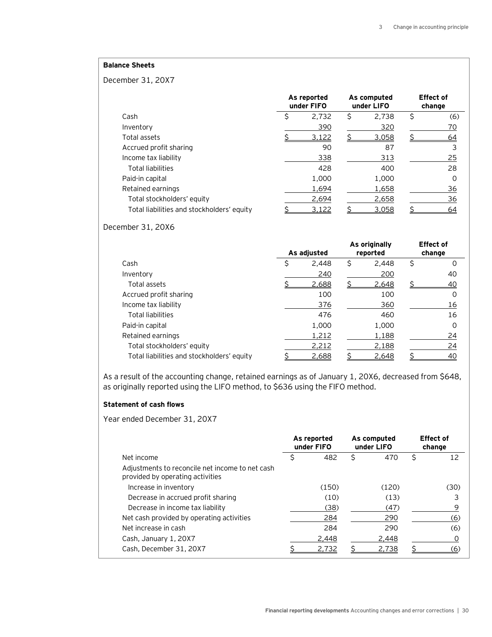## **Balance Sheets**

December 31, 20X7

|                                            | As computed<br>As reported<br>under FIFO<br>under LIFO |    | <b>Effect of</b><br>change |           |
|--------------------------------------------|--------------------------------------------------------|----|----------------------------|-----------|
| Cash                                       | 2,732                                                  | \$ | 2,738                      | \$<br>(6) |
| Inventory                                  | 390                                                    |    | 320                        | 70        |
| Total assets                               | 3,122                                                  |    | 3,058                      | 64        |
| Accrued profit sharing                     | 90                                                     |    | 87                         | 3         |
| Income tax liability                       | 338                                                    |    | 313                        | 25        |
| Total liabilities                          | 428                                                    |    | 400                        | 28        |
| Paid-in capital                            | 1,000                                                  |    | 1,000                      | 0         |
| Retained earnings                          | 1,694                                                  |    | 1,658                      | 36        |
| Total stockholders' equity                 | 2,694                                                  |    | 2,658                      | 36        |
| Total liabilities and stockholders' equity | 3.122                                                  |    | 3,058                      | 64        |

December 31, 20X6

|                                            | As adjusted |       | As originally<br>reported | <b>Effect of</b><br>change |    |
|--------------------------------------------|-------------|-------|---------------------------|----------------------------|----|
| Cash                                       | S           | 2,448 | \$<br>2,448               | \$                         | 0  |
| Inventory                                  |             | 240   | 200                       |                            | 40 |
| Total assets                               |             | 2,688 | <u>2,648</u>              |                            | 40 |
| Accrued profit sharing                     |             | 100   | 100                       |                            | 0  |
| Income tax liability                       |             | 376   | 360                       |                            | 16 |
| Total liabilities                          |             | 476   | 460                       |                            | 16 |
| Paid-in capital                            |             | 1,000 | 1,000                     |                            | 0  |
| Retained earnings                          |             | 1,212 | 1,188                     |                            | 24 |
| Total stockholders' equity                 |             | 2,212 | 2,188                     |                            | 24 |
| Total liabilities and stockholders' equity |             | 2,688 | <u>2,648</u>              |                            | 40 |

As a result of the accounting change, retained earnings as of January 1, 20X6, decreased from \$648, as originally reported using the LIFO method, to \$636 using the FIFO method.

## **Statement of cash flows**

Year ended December 31, 20X7

|                                                                                     | As reported<br>under FIFO | As computed<br>under LIFO | <b>Effect of</b><br>change |  |
|-------------------------------------------------------------------------------------|---------------------------|---------------------------|----------------------------|--|
| Net income                                                                          | \$<br>482                 | S<br>470                  | S<br>12                    |  |
| Adjustments to reconcile net income to net cash<br>provided by operating activities |                           |                           |                            |  |
| Increase in inventory                                                               | (150)                     | (120)                     | (30)                       |  |
| Decrease in accrued profit sharing                                                  | (10)                      | (13)                      | 3                          |  |
| Decrease in income tax liability                                                    | (38)                      | (47)                      | 9                          |  |
| Net cash provided by operating activities                                           | 284                       | 290                       | (6)                        |  |
| Net increase in cash                                                                | 284                       | 290                       | (6)                        |  |
| Cash, January 1, 20X7                                                               | 2,448                     | 2,448                     |                            |  |
| Cash, December 31, 20X7                                                             | 2.732                     | 2,738                     | 6                          |  |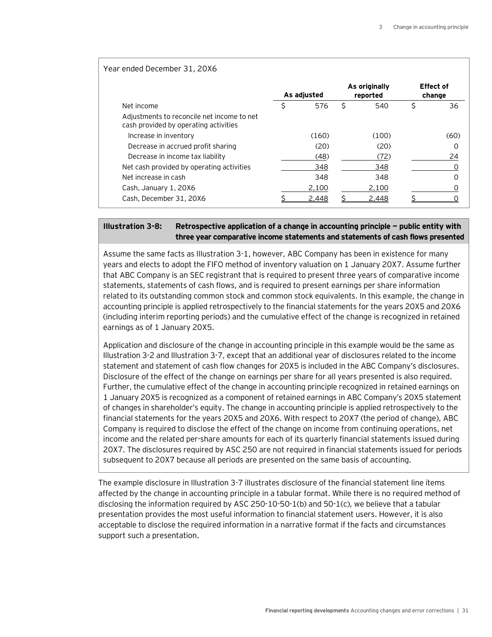| Year ended December 31, 20X6                                                        |             |       |                           |       |   |                            |  |
|-------------------------------------------------------------------------------------|-------------|-------|---------------------------|-------|---|----------------------------|--|
|                                                                                     | As adjusted |       | As originally<br>reported |       |   | <b>Effect of</b><br>change |  |
| Net income                                                                          |             | 576   | Ś                         | 540   | Ś | 36                         |  |
| Adjustments to reconcile net income to net<br>cash provided by operating activities |             |       |                           |       |   |                            |  |
| Increase in inventory                                                               |             | (160) |                           | (100) |   | (60)                       |  |
| Decrease in accrued profit sharing                                                  |             | (20)  |                           | (20)  |   | 0                          |  |
| Decrease in income tax liability                                                    |             | (48)  |                           | (72)  |   | 24                         |  |
| Net cash provided by operating activities                                           |             | 348   |                           | 348   |   |                            |  |
| Net increase in cash                                                                |             | 348   |                           | 348   |   |                            |  |
| Cash, January 1, 20X6                                                               |             | 2.100 |                           | 2.100 |   |                            |  |
| Cash, December 31, 20X6                                                             |             | 2,448 |                           | 2,448 |   |                            |  |

## **Illustration 3-8: Retrospective application of a change in accounting principle — public entity with three year comparative income statements and statements of cash flows presented**

Assume the same facts as Illustration 3-1, however, ABC Company has been in existence for many years and elects to adopt the FIFO method of inventory valuation on 1 January 20X7. Assume further that ABC Company is an SEC registrant that is required to present three years of comparative income statements, statements of cash flows, and is required to present earnings per share information related to its outstanding common stock and common stock equivalents. In this example, the change in accounting principle is applied retrospectively to the financial statements for the years 20X5 and 20X6 (including interim reporting periods) and the cumulative effect of the change is recognized in retained earnings as of 1 January 20X5.

Application and disclosure of the change in accounting principle in this example would be the same as Illustration 3-2 and Illustration 3-7, except that an additional year of disclosures related to the income statement and statement of cash flow changes for 20X5 is included in the ABC Company's disclosures. Disclosure of the effect of the change on earnings per share for all years presented is also required. Further, the cumulative effect of the change in accounting principle recognized in retained earnings on 1 January 20X5 is recognized as a component of retained earnings in ABC Company's 20X5 statement of changes in shareholder's equity. The change in accounting principle is applied retrospectively to the financial statements for the years 20X5 and 20X6. With respect to 20X7 (the period of change), ABC Company is required to disclose the effect of the change on income from continuing operations, net income and the related per-share amounts for each of its quarterly financial statements issued during 20X7. The disclosures required by ASC 250 are not required in financial statements issued for periods subsequent to 20X7 because all periods are presented on the same basis of accounting.

The example disclosure in Illustration 3-7 illustrates disclosure of the financial statement line items affected by the change in accounting principle in a tabular format. While there is no required method of disclosing the information required by ASC 250-10-50-1(b) and 50-1(c), we believe that a tabular presentation provides the most useful information to financial statement users. However, it is also acceptable to disclose the required information in a narrative format if the facts and circumstances support such a presentation.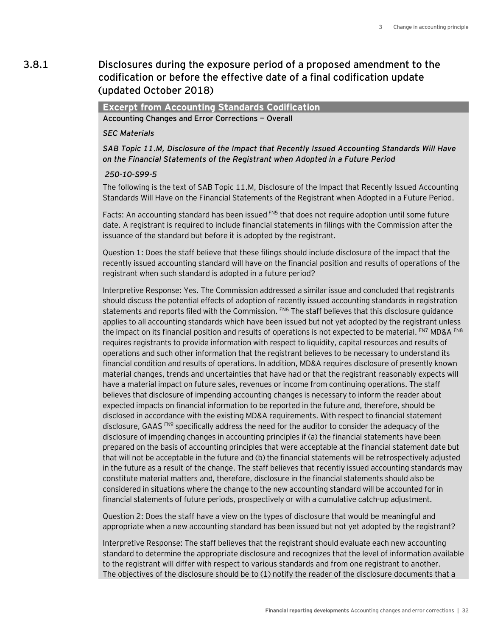# 3.8.1 Disclosures during the exposure period of a proposed amendment to the codification or before the effective date of a final codification update (updated October 2018)

# **Excerpt from Accounting Standards Codification**

Accounting Changes and Error Corrections — Overall

#### *SEC Materials*

*SAB Topic 11.M, Disclosure of the Impact that Recently Issued Accounting Standards Will Have on the Financial Statements of the Registrant when Adopted in a Future Period*

#### *250-10-S99-5*

The following is the text of SAB Topic 11.M, Disclosure of the Impact that Recently Issued Accounting Standards Will Have on the Financial Statements of the Registrant when Adopted in a Future Period.

Facts: An accounting standard has been issued FN5 that does not require adoption until some future date. A registrant is required to include financial statements in filings with the Commission after the issuance of the standard but before it is adopted by the registrant.

Question 1: Does the staff believe that these filings should include disclosure of the impact that the recently issued accounting standard will have on the financial position and results of operations of the registrant when such standard is adopted in a future period?

Interpretive Response: Yes. The Commission addressed a similar issue and concluded that registrants should discuss the potential effects of adoption of recently issued accounting standards in registration statements and reports filed with the Commission. FN6 The staff believes that this disclosure guidance applies to all accounting standards which have been issued but not yet adopted by the registrant unless the impact on its financial position and results of operations is not expected to be material. FN7 MD&A FN8 requires registrants to provide information with respect to liquidity, capital resources and results of operations and such other information that the registrant believes to be necessary to understand its financial condition and results of operations. In addition, MD&A requires disclosure of presently known material changes, trends and uncertainties that have had or that the registrant reasonably expects will have a material impact on future sales, revenues or income from continuing operations. The staff believes that disclosure of impending accounting changes is necessary to inform the reader about expected impacts on financial information to be reported in the future and, therefore, should be disclosed in accordance with the existing MD&A requirements. With respect to financial statement disclosure, GAAS <sup>FN9</sup> specifically address the need for the auditor to consider the adequacy of the disclosure of impending changes in accounting principles if (a) the financial statements have been prepared on the basis of accounting principles that were acceptable at the financial statement date but that will not be acceptable in the future and (b) the financial statements will be retrospectively adjusted in the future as a result of the change. The staff believes that recently issued accounting standards may constitute material matters and, therefore, disclosure in the financial statements should also be considered in situations where the change to the new accounting standard will be accounted for in financial statements of future periods, prospectively or with a cumulative catch-up adjustment.

Question 2: Does the staff have a view on the types of disclosure that would be meaningful and appropriate when a new accounting standard has been issued but not yet adopted by the registrant?

Interpretive Response: The staff believes that the registrant should evaluate each new accounting standard to determine the appropriate disclosure and recognizes that the level of information available to the registrant will differ with respect to various standards and from one registrant to another. The objectives of the disclosure should be to (1) notify the reader of the disclosure documents that a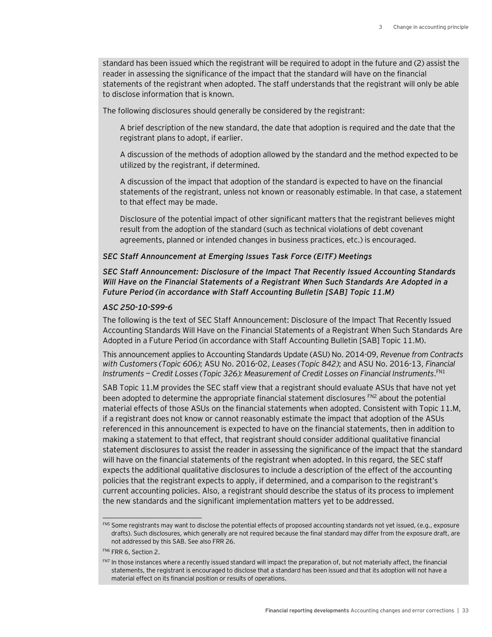standard has been issued which the registrant will be required to adopt in the future and (2) assist the reader in assessing the significance of the impact that the standard will have on the financial statements of the registrant when adopted. The staff understands that the registrant will only be able to disclose information that is known.

The following disclosures should generally be considered by the registrant:

A brief description of the new standard, the date that adoption is required and the date that the registrant plans to adopt, if earlier.

A discussion of the methods of adoption allowed by the standard and the method expected to be utilized by the registrant, if determined.

A discussion of the impact that adoption of the standard is expected to have on the financial statements of the registrant, unless not known or reasonably estimable. In that case, a statement to that effect may be made.

Disclosure of the potential impact of other significant matters that the registrant believes might result from the adoption of the standard (such as technical violations of debt covenant agreements, planned or intended changes in business practices, etc.) is encouraged.

#### *SEC Staff Announcement at Emerging Issues Task Force (EITF) Meetings*

*SEC Staff Announcement: Disclosure of the Impact That Recently Issued Accounting Standards Will Have on the Financial Statements of a Registrant When Such Standards Are Adopted in a Future Period (in accordance with Staff Accounting Bulletin [SAB] Topic 11.M)*

#### *ASC 250-10-S99-6*

The following is the text of SEC Staff Announcement: Disclosure of the Impact That Recently Issued Accounting Standards Will Have on the Financial Statements of a Registrant When Such Standards Are Adopted in a Future Period (in accordance with Staff Accounting Bulletin [SAB] Topic 11.M).

This announcement applies to Accounting Standards Update (ASU) No. 2014-09, *Revenue from Contracts with Customers (Topic 606)*; ASU No. 2016-02, *Leases (Topic 842)*; and ASU No. 2016-13, *Financial Instruments — Credit Losses (Topic 326): Measurement of Credit Losses on Financial Instruments*. FN1

SAB Topic 11.M provides the SEC staff view that a registrant should evaluate ASUs that have not yet been adopted to determine the appropriate financial statement disclosures FN2 about the potential material effects of those ASUs on the financial statements when adopted. Consistent with Topic 11.M, if a registrant does not know or cannot reasonably estimate the impact that adoption of the ASUs referenced in this announcement is expected to have on the financial statements, then in addition to making a statement to that effect, that registrant should consider additional qualitative financial statement disclosures to assist the reader in assessing the significance of the impact that the standard will have on the financial statements of the registrant when adopted. In this regard, the SEC staff expects the additional qualitative disclosures to include a description of the effect of the accounting policies that the registrant expects to apply, if determined, and a comparison to the registrant's current accounting policies. Also, a registrant should describe the status of its process to implement the new standards and the significant implementation matters yet to be addressed.

FN5 Some registrants may want to disclose the potential effects of proposed accounting standards not yet issued, (e.g., exposure drafts). Such disclosures, which generally are not required because the final standard may differ from the exposure draft, are not addressed by this SAB. See also FRR 26.

FN6 FRR 6, Section 2.

FN7 In those instances where a recently issued standard will impact the preparation of, but not materially affect, the financial statements, the registrant is encouraged to disclose that a standard has been issued and that its adoption will not have a material effect on its financial position or results of operations.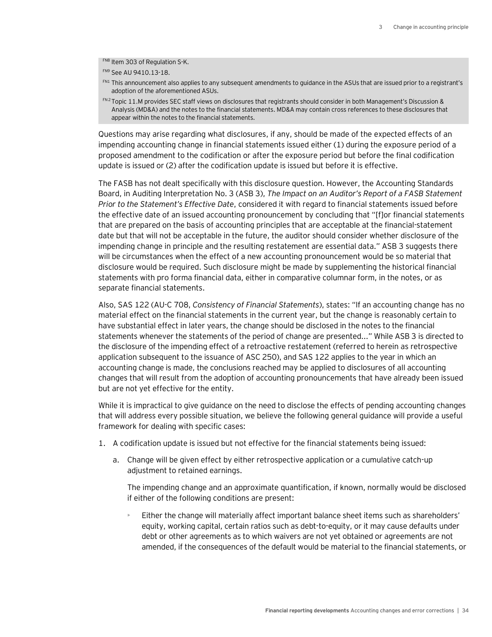FN8 Item 303 of Regulation S-K.

- FN1 This announcement also applies to any subsequent amendments to guidance in the ASUs that are issued prior to a registrant's adoption of the aforementioned ASUs.
- FN 2Topic 11.M provides SEC staff views on disclosures that registrants should consider in both Management's Discussion & Analysis (MD&A) and the notes to the financial statements. MD&A may contain cross references to these disclosures that appear within the notes to the financial statements.

Questions may arise regarding what disclosures, if any, should be made of the expected effects of an impending accounting change in financial statements issued either (1) during the exposure period of a proposed amendment to the codification or after the exposure period but before the final codification update is issued or (2) after the codification update is issued but before it is effective.

The FASB has not dealt specifically with this disclosure question. However, the Accounting Standards Board, in Auditing Interpretation No. 3 (ASB 3), *The Impact on an Auditor's Report of a FASB Statement Prior to the Statement's Effective Date*, considered it with regard to financial statements issued before the effective date of an issued accounting pronouncement by concluding that "[f]or financial statements that are prepared on the basis of accounting principles that are acceptable at the financial-statement date but that will not be acceptable in the future, the auditor should consider whether disclosure of the impending change in principle and the resulting restatement are essential data." ASB 3 suggests there will be circumstances when the effect of a new accounting pronouncement would be so material that disclosure would be required. Such disclosure might be made by supplementing the historical financial statements with pro forma financial data, either in comparative columnar form, in the notes, or as separate financial statements.

Also, SAS 122 (AU-C 708, *Consistency of Financial Statements*), states: "If an accounting change has no material effect on the financial statements in the current year, but the change is reasonably certain to have substantial effect in later years, the change should be disclosed in the notes to the financial statements whenever the statements of the period of change are presented..." While ASB 3 is directed to the disclosure of the impending effect of a retroactive restatement (referred to herein as retrospective application subsequent to the issuance of ASC 250), and SAS 122 applies to the year in which an accounting change is made, the conclusions reached may be applied to disclosures of all accounting changes that will result from the adoption of accounting pronouncements that have already been issued but are not yet effective for the entity.

While it is impractical to give guidance on the need to disclose the effects of pending accounting changes that will address every possible situation, we believe the following general guidance will provide a useful framework for dealing with specific cases:

- 1. A codification update is issued but not effective for the financial statements being issued:
	- a. Change will be given effect by either retrospective application or a cumulative catch-up adjustment to retained earnings.

The impending change and an approximate quantification, if known, normally would be disclosed if either of the following conditions are present:

• Either the change will materially affect important balance sheet items such as shareholders' equity, working capital, certain ratios such as debt-to-equity, or it may cause defaults under debt or other agreements as to which waivers are not yet obtained or agreements are not amended, if the consequences of the default would be material to the financial statements, or

FN9 See AU 9410.13-18.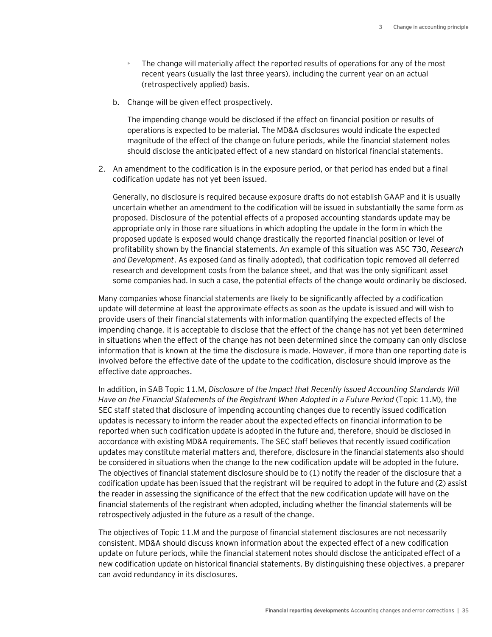- The change will materially affect the reported results of operations for any of the most recent years (usually the last three years), including the current year on an actual (retrospectively applied) basis.
- b. Change will be given effect prospectively.

The impending change would be disclosed if the effect on financial position or results of operations is expected to be material. The MD&A disclosures would indicate the expected magnitude of the effect of the change on future periods, while the financial statement notes should disclose the anticipated effect of a new standard on historical financial statements.

2. An amendment to the codification is in the exposure period, or that period has ended but a final codification update has not yet been issued.

Generally, no disclosure is required because exposure drafts do not establish GAAP and it is usually uncertain whether an amendment to the codification will be issued in substantially the same form as proposed. Disclosure of the potential effects of a proposed accounting standards update may be appropriate only in those rare situations in which adopting the update in the form in which the proposed update is exposed would change drastically the reported financial position or level of profitability shown by the financial statements. An example of this situation was ASC 730, *Research and Development*. As exposed (and as finally adopted), that codification topic removed all deferred research and development costs from the balance sheet, and that was the only significant asset some companies had. In such a case, the potential effects of the change would ordinarily be disclosed.

Many companies whose financial statements are likely to be significantly affected by a codification update will determine at least the approximate effects as soon as the update is issued and will wish to provide users of their financial statements with information quantifying the expected effects of the impending change. It is acceptable to disclose that the effect of the change has not yet been determined in situations when the effect of the change has not been determined since the company can only disclose information that is known at the time the disclosure is made. However, if more than one reporting date is involved before the effective date of the update to the codification, disclosure should improve as the effective date approaches.

In addition, in SAB Topic 11.M, *Disclosure of the Impact that Recently Issued Accounting Standards Will* Have on the Financial Statements of the Registrant When Adopted in a Future Period (Topic 11.M), the SEC staff stated that disclosure of impending accounting changes due to recently issued codification updates is necessary to inform the reader about the expected effects on financial information to be reported when such codification update is adopted in the future and, therefore, should be disclosed in accordance with existing MD&A requirements. The SEC staff believes that recently issued codification updates may constitute material matters and, therefore, disclosure in the financial statements also should be considered in situations when the change to the new codification update will be adopted in the future. The objectives of financial statement disclosure should be to (1) notify the reader of the disclosure that a codification update has been issued that the registrant will be required to adopt in the future and (2) assist the reader in assessing the significance of the effect that the new codification update will have on the financial statements of the registrant when adopted, including whether the financial statements will be retrospectively adjusted in the future as a result of the change.

The objectives of Topic 11.M and the purpose of financial statement disclosures are not necessarily consistent. MD&A should discuss known information about the expected effect of a new codification update on future periods, while the financial statement notes should disclose the anticipated effect of a new codification update on historical financial statements. By distinguishing these objectives, a preparer can avoid redundancy in its disclosures.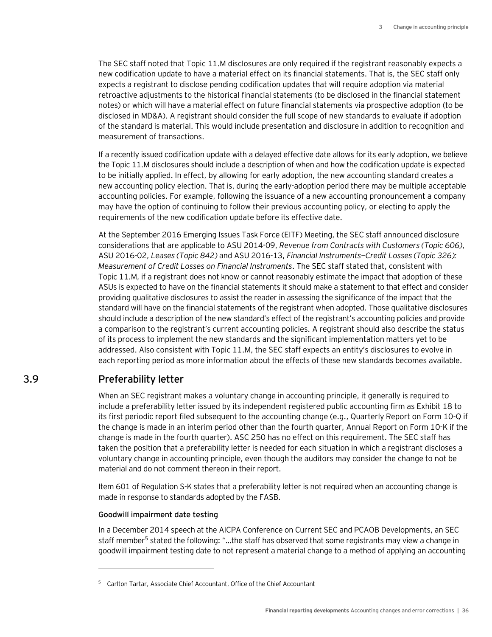The SEC staff noted that Topic 11.M disclosures are only required if the registrant reasonably expects a new codification update to have a material effect on its financial statements. That is, the SEC staff only expects a registrant to disclose pending codification updates that will require adoption via material retroactive adjustments to the historical financial statements (to be disclosed in the financial statement notes) or which will have a material effect on future financial statements via prospective adoption (to be disclosed in MD&A). A registrant should consider the full scope of new standards to evaluate if adoption of the standard is material. This would include presentation and disclosure in addition to recognition and measurement of transactions.

If a recently issued codification update with a delayed effective date allows for its early adoption, we believe the Topic 11.M disclosures should include a description of when and how the codification update is expected to be initially applied. In effect, by allowing for early adoption, the new accounting standard creates a new accounting policy election. That is, during the early-adoption period there may be multiple acceptable accounting policies. For example, following the issuance of a new accounting pronouncement a company may have the option of continuing to follow their previous accounting policy, or electing to apply the requirements of the new codification update before its effective date.

At the September 2016 Emerging Issues Task Force (EITF) Meeting, the SEC staff announced disclosure considerations that are applicable to ASU 2014-09, *Revenue from Contracts with Customers (Topic 606)*, ASU 2016-02, *Leases (Topic 842)* and ASU 2016-13, *Financial Instruments—Credit Losses (Topic 326): Measurement of Credit Losses on Financial Instruments*. The SEC staff stated that, consistent with Topic 11.M, if a registrant does not know or cannot reasonably estimate the impact that adoption of these ASUs is expected to have on the financial statements it should make a statement to that effect and consider providing qualitative disclosures to assist the reader in assessing the significance of the impact that the standard will have on the financial statements of the registrant when adopted. Those qualitative disclosures should include a description of the new standard's effect of the registrant's accounting policies and provide a comparison to the registrant's current accounting policies. A registrant should also describe the status of its process to implement the new standards and the significant implementation matters yet to be addressed. Also consistent with Topic 11.M, the SEC staff expects an entity's disclosures to evolve in each reporting period as more information about the effects of these new standards becomes available.

# **3.9 Preferability letter**

When an SEC registrant makes a voluntary change in accounting principle, it generally is required to include a preferability letter issued by its independent registered public accounting firm as Exhibit 18 to its first periodic report filed subsequent to the accounting change (e.g., Quarterly Report on Form 10-Q if the change is made in an interim period other than the fourth quarter, Annual Report on Form 10-K if the change is made in the fourth quarter). ASC 250 has no effect on this requirement. The SEC staff has taken the position that a preferability letter is needed for each situation in which a registrant discloses a voluntary change in accounting principle, even though the auditors may consider the change to not be material and do not comment thereon in their report.

Item 601 of Regulation S-K states that a preferability letter is not required when an accounting change is made in response to standards adopted by the FASB.

#### Goodwill impairment date testing

In a December 2014 speech at the AICPA Conference on Current SEC and PCAOB Developments, an SEC staff member<sup>5</sup> stated the following: "...the staff has observed that some registrants may view a change in goodwill impairment testing date to not represent a material change to a method of applying an accounting

<sup>5</sup> Carlton Tartar, Associate Chief Accountant, Office of the Chief Accountant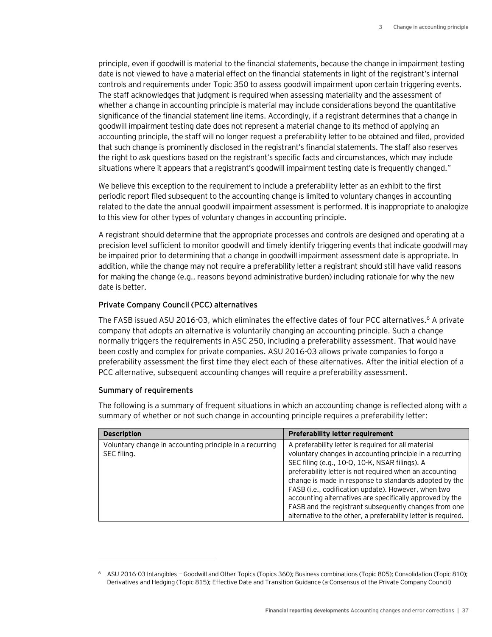principle, even if goodwill is material to the financial statements, because the change in impairment testing date is not viewed to have a material effect on the financial statements in light of the registrant's internal controls and requirements under Topic 350 to assess goodwill impairment upon certain triggering events. The staff acknowledges that judgment is required when assessing materiality and the assessment of whether a change in accounting principle is material may include considerations beyond the quantitative significance of the financial statement line items. Accordingly, if a registrant determines that a change in goodwill impairment testing date does not represent a material change to its method of applying an accounting principle, the staff will no longer request a preferability letter to be obtained and filed, provided that such change is prominently disclosed in the registrant's financial statements. The staff also reserves the right to ask questions based on the registrant's specific facts and circumstances, which may include situations where it appears that a registrant's goodwill impairment testing date is frequently changed."

We believe this exception to the requirement to include a preferability letter as an exhibit to the first periodic report filed subsequent to the accounting change is limited to voluntary changes in accounting related to the date the annual goodwill impairment assessment is performed. It is inappropriate to analogize to this view for other types of voluntary changes in accounting principle.

A registrant should determine that the appropriate processes and controls are designed and operating at a precision level sufficient to monitor goodwill and timely identify triggering events that indicate goodwill may be impaired prior to determining that a change in goodwill impairment assessment date is appropriate. In addition, while the change may not require a preferability letter a registrant should still have valid reasons for making the change (e.g., reasons beyond administrative burden) including rationale for why the new date is better.

#### Private Company Council (PCC) alternatives

The FASB issued ASU 2016-03, which eliminates the effective dates of four PCC alternatives.<sup>6</sup> A private company that adopts an alternative is voluntarily changing an accounting principle. Such a change normally triggers the requirements in ASC 250, including a preferability assessment. That would have been costly and complex for private companies. ASU 2016-03 allows private companies to forgo a preferability assessment the first time they elect each of these alternatives. After the initial election of a PCC alternative, subsequent accounting changes will require a preferability assessment.

#### Summary of requirements

The following is a summary of frequent situations in which an accounting change is reflected along with a summary of whether or not such change in accounting principle requires a preferability letter:

| <b>Description</b>                                                     | <b>Preferability letter requirement</b>                                                                                                                                                                                                                                                                                                                                                                                                                                                                                             |
|------------------------------------------------------------------------|-------------------------------------------------------------------------------------------------------------------------------------------------------------------------------------------------------------------------------------------------------------------------------------------------------------------------------------------------------------------------------------------------------------------------------------------------------------------------------------------------------------------------------------|
| Voluntary change in accounting principle in a recurring<br>SEC filing. | A preferability letter is required for all material<br>voluntary changes in accounting principle in a recurring<br>SEC filing (e.g., 10-Q, 10-K, NSAR filings). A<br>preferability letter is not required when an accounting<br>change is made in response to standards adopted by the<br>FASB (i.e., codification update). However, when two<br>accounting alternatives are specifically approved by the<br>FASB and the registrant subsequently changes from one<br>alternative to the other, a preferability letter is required. |

<sup>6</sup> ASU 2016-03 Intangibles — Goodwill and Other Topics (Topics 360); Business combinations (Topic 805); Consolidation (Topic 810); Derivatives and Hedging (Topic 815); Effective Date and Transition Guidance (a Consensus of the Private Company Council)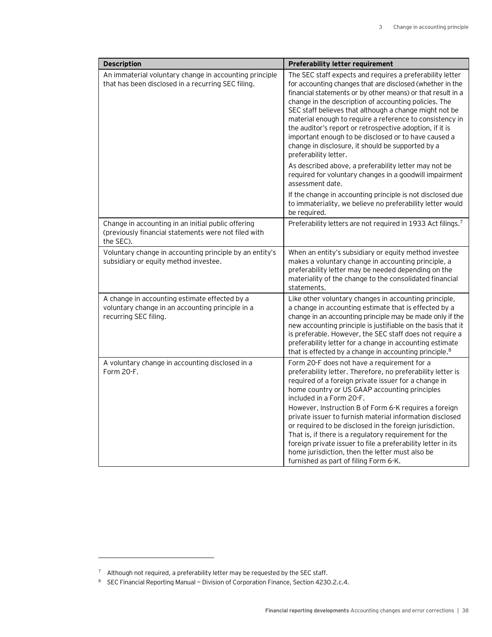| <b>Description</b>                                                                                                         | <b>Preferability letter requirement</b>                                                                                                                                                                                                                                                                                                                                                                                                                                                                                                                                |
|----------------------------------------------------------------------------------------------------------------------------|------------------------------------------------------------------------------------------------------------------------------------------------------------------------------------------------------------------------------------------------------------------------------------------------------------------------------------------------------------------------------------------------------------------------------------------------------------------------------------------------------------------------------------------------------------------------|
| An immaterial voluntary change in accounting principle<br>that has been disclosed in a recurring SEC filing.               | The SEC staff expects and requires a preferability letter<br>for accounting changes that are disclosed (whether in the<br>financial statements or by other means) or that result in a<br>change in the description of accounting policies. The<br>SEC staff believes that although a change might not be<br>material enough to require a reference to consistency in<br>the auditor's report or retrospective adoption, if it is<br>important enough to be disclosed or to have caused a<br>change in disclosure, it should be supported by a<br>preferability letter. |
|                                                                                                                            | As described above, a preferability letter may not be<br>required for voluntary changes in a goodwill impairment<br>assessment date.                                                                                                                                                                                                                                                                                                                                                                                                                                   |
|                                                                                                                            | If the change in accounting principle is not disclosed due<br>to immateriality, we believe no preferability letter would<br>be required.                                                                                                                                                                                                                                                                                                                                                                                                                               |
| Change in accounting in an initial public offering<br>(previously financial statements were not filed with<br>the SEC).    | Preferability letters are not required in 1933 Act filings. <sup>7</sup>                                                                                                                                                                                                                                                                                                                                                                                                                                                                                               |
| Voluntary change in accounting principle by an entity's<br>subsidiary or equity method investee.                           | When an entity's subsidiary or equity method investee<br>makes a voluntary change in accounting principle, a<br>preferability letter may be needed depending on the<br>materiality of the change to the consolidated financial<br>statements.                                                                                                                                                                                                                                                                                                                          |
| A change in accounting estimate effected by a<br>voluntary change in an accounting principle in a<br>recurring SEC filing. | Like other voluntary changes in accounting principle,<br>a change in accounting estimate that is effected by a<br>change in an accounting principle may be made only if the<br>new accounting principle is justifiable on the basis that it<br>is preferable. However, the SEC staff does not require a<br>preferability letter for a change in accounting estimate<br>that is effected by a change in accounting principle. <sup>8</sup>                                                                                                                              |
| A voluntary change in accounting disclosed in a<br>Form 20-F.                                                              | Form 20-F does not have a requirement for a<br>preferability letter. Therefore, no preferability letter is<br>required of a foreign private issuer for a change in<br>home country or US GAAP accounting principles<br>included in a Form 20-F.                                                                                                                                                                                                                                                                                                                        |
|                                                                                                                            | However, Instruction B of Form 6-K requires a foreign<br>private issuer to furnish material information disclosed<br>or required to be disclosed in the foreign jurisdiction.<br>That is, if there is a regulatory requirement for the<br>foreign private issuer to file a preferability letter in its<br>home jurisdiction, then the letter must also be<br>furnished as part of filing Form 6-K.                                                                                                                                                                     |

 $7$  Although not required, a preferability letter may be requested by the SEC staff.

<sup>8</sup> SEC Financial Reporting Manual - Division of Corporation Finance, Section 4230.2.c.4.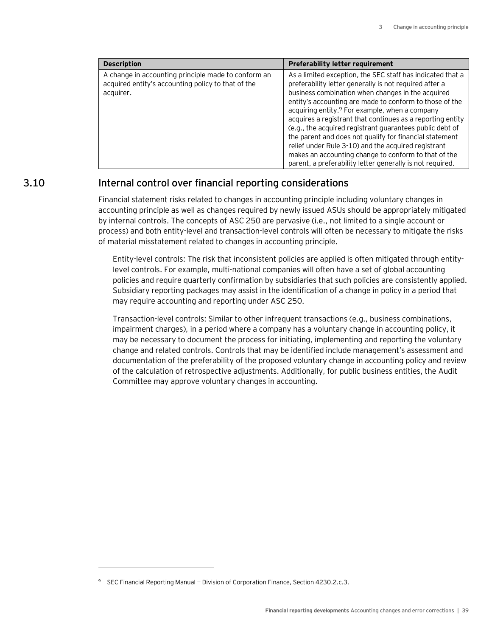| <b>Description</b>                                                                                                     | <b>Preferability letter requirement</b>                                                                                                                                                                                                                                                                                                                                                                                                                                                                                                                                                                                                                    |
|------------------------------------------------------------------------------------------------------------------------|------------------------------------------------------------------------------------------------------------------------------------------------------------------------------------------------------------------------------------------------------------------------------------------------------------------------------------------------------------------------------------------------------------------------------------------------------------------------------------------------------------------------------------------------------------------------------------------------------------------------------------------------------------|
| A change in accounting principle made to conform an<br>acquired entity's accounting policy to that of the<br>acquirer. | As a limited exception, the SEC staff has indicated that a<br>preferability letter generally is not required after a<br>business combination when changes in the acquired<br>entity's accounting are made to conform to those of the<br>acquiring entity. $9$ For example, when a company<br>acquires a registrant that continues as a reporting entity<br>(e.g., the acquired registrant guarantees public debt of<br>the parent and does not qualify for financial statement<br>relief under Rule 3-10) and the acquired registrant<br>makes an accounting change to conform to that of the<br>parent, a preferability letter generally is not required. |

# **3.10 Internal control over financial reporting considerations**

Financial statement risks related to changes in accounting principle including voluntary changes in accounting principle as well as changes required by newly issued ASUs should be appropriately mitigated by internal controls. The concepts of ASC 250 are pervasive (i.e., not limited to a single account or process) and both entity-level and transaction-level controls will often be necessary to mitigate the risks of material misstatement related to changes in accounting principle.

Entity-level controls: The risk that inconsistent policies are applied is often mitigated through entitylevel controls. For example, multi-national companies will often have a set of global accounting policies and require quarterly confirmation by subsidiaries that such policies are consistently applied. Subsidiary reporting packages may assist in the identification of a change in policy in a period that may require accounting and reporting under ASC 250.

Transaction-level controls: Similar to other infrequent transactions (e.g., business combinations, impairment charges), in a period where a company has a voluntary change in accounting policy, it may be necessary to document the process for initiating, implementing and reporting the voluntary change and related controls. Controls that may be identified include management's assessment and documentation of the preferability of the proposed voluntary change in accounting policy and review of the calculation of retrospective adjustments. Additionally, for public business entities, the Audit Committee may approve voluntary changes in accounting.

<sup>9</sup> SEC Financial Reporting Manual – Division of Corporation Finance, Section 4230.2.c.3.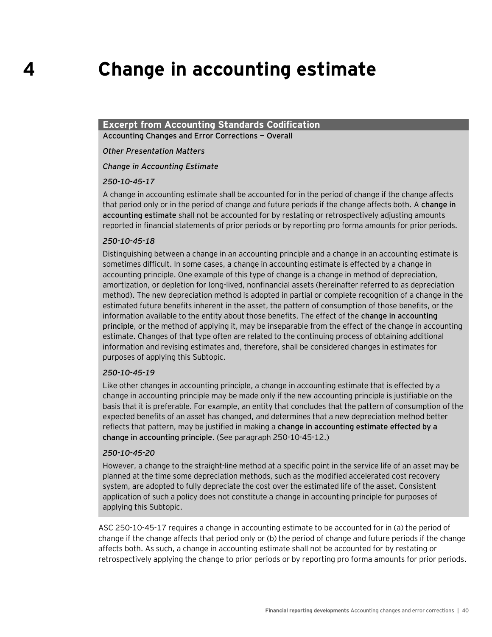# **4 Change in accounting estimate**

## **Excerpt from Accounting Standards Codification**

Accounting Changes and Error Corrections — Overall

*Other Presentation Matters*

*Change in Accounting Estimate*

## *250-10-45-17*

A change in accounting estimate shall be accounted for in the period of change if the change affects that period only or in the period of change and future periods if the change affects both. A **change in accounting estimate** shall not be accounted for by restating or retrospectively adjusting amounts reported in financial statements of prior periods or by reporting pro forma amounts for prior periods.

## *250-10-45-18*

Distinguishing between a change in an accounting principle and a change in an accounting estimate is sometimes difficult. In some cases, a change in accounting estimate is effected by a change in accounting principle. One example of this type of change is a change in method of depreciation, amortization, or depletion for long-lived, nonfinancial assets (hereinafter referred to as depreciation method). The new depreciation method is adopted in partial or complete recognition of a change in the estimated future benefits inherent in the asset, the pattern of consumption of those benefits, or the information available to the entity about those benefits. The effect of the **change in accounting principle**, or the method of applying it, may be inseparable from the effect of the change in accounting estimate. Changes of that type often are related to the continuing process of obtaining additional information and revising estimates and, therefore, shall be considered changes in estimates for purposes of applying this Subtopic.

## *250-10-45-19*

Like other changes in accounting principle, a change in accounting estimate that is effected by a change in accounting principle may be made only if the new accounting principle is justifiable on the basis that it is preferable. For example, an entity that concludes that the pattern of consumption of the expected benefits of an asset has changed, and determines that a new depreciation method better reflects that pattern, may be justified in making a **change in accounting estimate effected by a change in accounting principle**. (See paragraph 250-10-45-12.)

## *250-10-45-20*

However, a change to the straight-line method at a specific point in the service life of an asset may be planned at the time some depreciation methods, such as the modified accelerated cost recovery system, are adopted to fully depreciate the cost over the estimated life of the asset. Consistent application of such a policy does not constitute a change in accounting principle for purposes of applying this Subtopic.

ASC 250-10-45-17 requires a change in accounting estimate to be accounted for in (a) the period of change if the change affects that period only or (b) the period of change and future periods if the change affects both. As such, a change in accounting estimate shall not be accounted for by restating or retrospectively applying the change to prior periods or by reporting pro forma amounts for prior periods.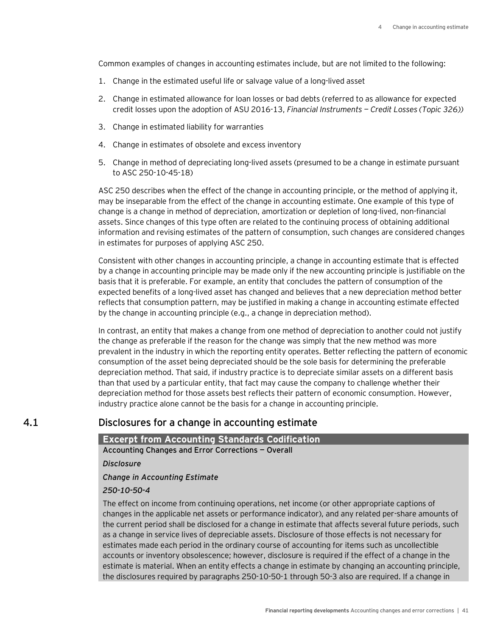Common examples of changes in accounting estimates include, but are not limited to the following:

- 1. Change in the estimated useful life or salvage value of a long-lived asset
- 2. Change in estimated allowance for loan losses or bad debts (referred to as allowance for expected credit losses upon the adoption of ASU 2016-13, *Financial Instruments — Credit Losses (Topic 326))*
- 3. Change in estimated liability for warranties
- 4. Change in estimates of obsolete and excess inventory
- 5. Change in method of depreciating long-lived assets (presumed to be a change in estimate pursuant to ASC 250-10-45-18)

ASC 250 describes when the effect of the change in accounting principle, or the method of applying it, may be inseparable from the effect of the change in accounting estimate. One example of this type of change is a change in method of depreciation, amortization or depletion of long-lived, non-financial assets. Since changes of this type often are related to the continuing process of obtaining additional information and revising estimates of the pattern of consumption, such changes are considered changes in estimates for purposes of applying ASC 250.

Consistent with other changes in accounting principle, a change in accounting estimate that is effected by a change in accounting principle may be made only if the new accounting principle is justifiable on the basis that it is preferable. For example, an entity that concludes the pattern of consumption of the expected benefits of a long-lived asset has changed and believes that a new depreciation method better reflects that consumption pattern, may be justified in making a change in accounting estimate effected by the change in accounting principle (e.g., a change in depreciation method).

In contrast, an entity that makes a change from one method of depreciation to another could not justify the change as preferable if the reason for the change was simply that the new method was more prevalent in the industry in which the reporting entity operates. Better reflecting the pattern of economic consumption of the asset being depreciated should be the sole basis for determining the preferable depreciation method. That said, if industry practice is to depreciate similar assets on a different basis than that used by a particular entity, that fact may cause the company to challenge whether their depreciation method for those assets best reflects their pattern of economic consumption. However, industry practice alone cannot be the basis for a change in accounting principle.

# **4.1 Disclosures for a change in accounting estimate**

## **Excerpt from Accounting Standards Codification**

Accounting Changes and Error Corrections — Overall

*Disclosure*

#### *Change in Accounting Estimate*

#### *250-10-50-4*

The effect on income from continuing operations, net income (or other appropriate captions of changes in the applicable net assets or performance indicator), and any related per-share amounts of the current period shall be disclosed for a change in estimate that affects several future periods, such as a change in service lives of depreciable assets. Disclosure of those effects is not necessary for estimates made each period in the ordinary course of accounting for items such as uncollectible accounts or inventory obsolescence; however, disclosure is required if the effect of a change in the estimate is material. When an entity effects a change in estimate by changing an accounting principle, the disclosures required by paragraphs 250-10-50-1 through 50-3 also are required. If a change in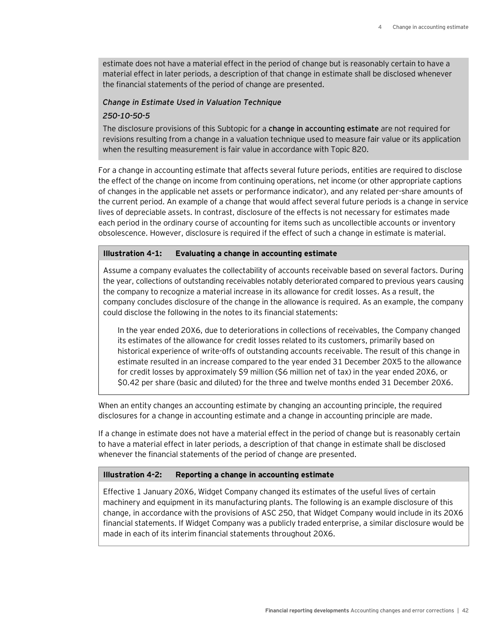estimate does not have a material effect in the period of change but is reasonably certain to have a material effect in later periods, a description of that change in estimate shall be disclosed whenever the financial statements of the period of change are presented.

#### *Change in Estimate Used in Valuation Technique*

#### *250-10-50-5*

The disclosure provisions of this Subtopic for a **change in accounting estimate** are not required for revisions resulting from a change in a valuation technique used to measure fair value or its application when the resulting measurement is fair value in accordance with Topic 820.

For a change in accounting estimate that affects several future periods, entities are required to disclose the effect of the change on income from continuing operations, net income (or other appropriate captions of changes in the applicable net assets or performance indicator), and any related per-share amounts of the current period. An example of a change that would affect several future periods is a change in service lives of depreciable assets. In contrast, disclosure of the effects is not necessary for estimates made each period in the ordinary course of accounting for items such as uncollectible accounts or inventory obsolescence. However, disclosure is required if the effect of such a change in estimate is material.

#### **Illustration 4-1: Evaluating a change in accounting estimate**

Assume a company evaluates the collectability of accounts receivable based on several factors. During the year, collections of outstanding receivables notably deteriorated compared to previous years causing the company to recognize a material increase in its allowance for credit losses. As a result, the company concludes disclosure of the change in the allowance is required. As an example, the company could disclose the following in the notes to its financial statements:

In the year ended 20X6, due to deteriorations in collections of receivables, the Company changed its estimates of the allowance for credit losses related to its customers, primarily based on historical experience of write-offs of outstanding accounts receivable. The result of this change in estimate resulted in an increase compared to the year ended 31 December 20X5 to the allowance for credit losses by approximately \$9 million (\$6 million net of tax) in the year ended 20X6, or \$0.42 per share (basic and diluted) for the three and twelve months ended 31 December 20X6.

When an entity changes an accounting estimate by changing an accounting principle, the required disclosures for a change in accounting estimate and a change in accounting principle are made.

If a change in estimate does not have a material effect in the period of change but is reasonably certain to have a material effect in later periods, a description of that change in estimate shall be disclosed whenever the financial statements of the period of change are presented.

#### **Illustration 4-2: Reporting a change in accounting estimate**

Effective 1 January 20X6, Widget Company changed its estimates of the useful lives of certain machinery and equipment in its manufacturing plants. The following is an example disclosure of this change, in accordance with the provisions of ASC 250, that Widget Company would include in its 20X6 financial statements. If Widget Company was a publicly traded enterprise, a similar disclosure would be made in each of its interim financial statements throughout 20X6.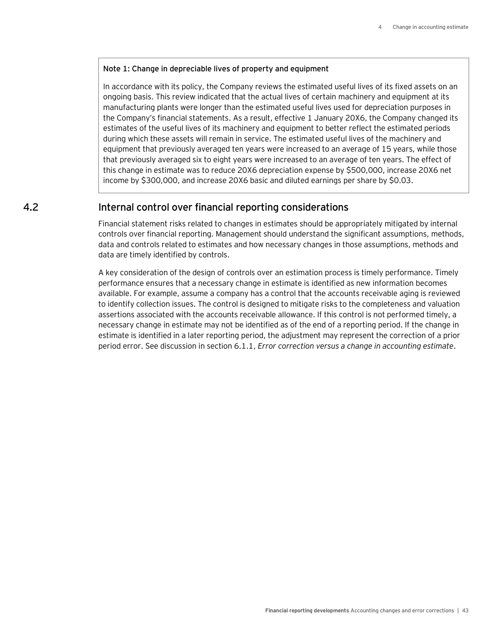#### **Note 1: Change in depreciable lives of property and equipment**

In accordance with its policy, the Company reviews the estimated useful lives of its fixed assets on an ongoing basis. This review indicated that the actual lives of certain machinery and equipment at its manufacturing plants were longer than the estimated useful lives used for depreciation purposes in the Company's financial statements. As a result, effective 1 January 20X6, the Company changed its estimates of the useful lives of its machinery and equipment to better reflect the estimated periods during which these assets will remain in service. The estimated useful lives of the machinery and equipment that previously averaged ten years were increased to an average of 15 years, while those that previously averaged six to eight years were increased to an average of ten years. The effect of this change in estimate was to reduce 20X6 depreciation expense by \$500,000, increase 20X6 net income by \$300,000, and increase 20X6 basic and diluted earnings per share by \$0.03.

# **4.2 Internal control over financial reporting considerations**

Financial statement risks related to changes in estimates should be appropriately mitigated by internal controls over financial reporting. Management should understand the significant assumptions, methods, data and controls related to estimates and how necessary changes in those assumptions, methods and data are timely identified by controls.

A key consideration of the design of controls over an estimation process is timely performance. Timely performance ensures that a necessary change in estimate is identified as new information becomes available. For example, assume a company has a control that the accounts receivable aging is reviewed to identify collection issues. The control is designed to mitigate risks to the completeness and valuation assertions associated with the accounts receivable allowance. If this control is not performed timely, a necessary change in estimate may not be identified as of the end of a reporting period. If the change in estimate is identified in a later reporting period, the adjustment may represent the correction of a prior period error. See discussion in section 6.1.1, *Error correction versus a change in accounting estimate*.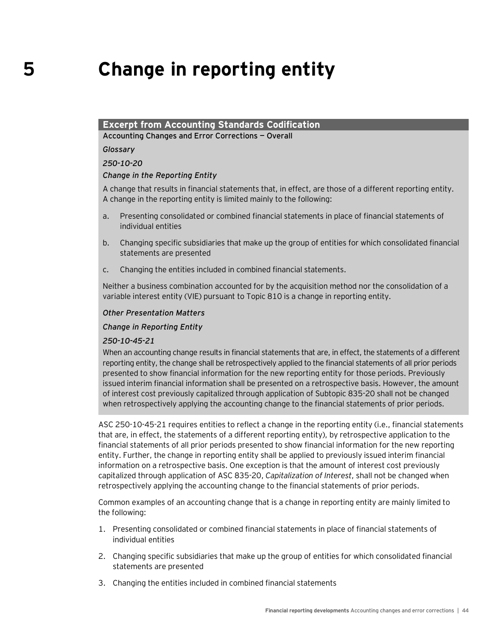# **5 Change in reporting entity**

# **Excerpt from Accounting Standards Codification**

Accounting Changes and Error Corrections — Overall

*Glossary*

#### *250-10-20*

## *Change in the Reporting Entity*

A change that results in financial statements that, in effect, are those of a different reporting entity. A change in the reporting entity is limited mainly to the following:

- a. Presenting consolidated or combined financial statements in place of financial statements of individual entities
- b. Changing specific subsidiaries that make up the group of entities for which consolidated financial statements are presented
- c. Changing the entities included in combined financial statements.

Neither a business combination accounted for by the acquisition method nor the consolidation of a variable interest entity (VIE) pursuant to Topic 810 is a change in reporting entity.

## *Other Presentation Matters*

## *Change in Reporting Entity*

#### *250-10-45-21*

When an accounting change results in financial statements that are, in effect, the statements of a different reporting entity, the change shall be retrospectively applied to the financial statements of all prior periods presented to show financial information for the new reporting entity for those periods. Previously issued interim financial information shall be presented on a retrospective basis. However, the amount of interest cost previously capitalized through application of Subtopic 835-20 shall not be changed when retrospectively applying the accounting change to the financial statements of prior periods.

ASC 250-10-45-21 requires entities to reflect a change in the reporting entity (i.e., financial statements that are, in effect, the statements of a different reporting entity), by retrospective application to the financial statements of all prior periods presented to show financial information for the new reporting entity. Further, the change in reporting entity shall be applied to previously issued interim financial information on a retrospective basis. One exception is that the amount of interest cost previously capitalized through application of ASC 835-20, *Capitalization of Interest*, shall not be changed when retrospectively applying the accounting change to the financial statements of prior periods.

Common examples of an accounting change that is a change in reporting entity are mainly limited to the following:

- 1. Presenting consolidated or combined financial statements in place of financial statements of individual entities
- 2. Changing specific subsidiaries that make up the group of entities for which consolidated financial statements are presented
- 3. Changing the entities included in combined financial statements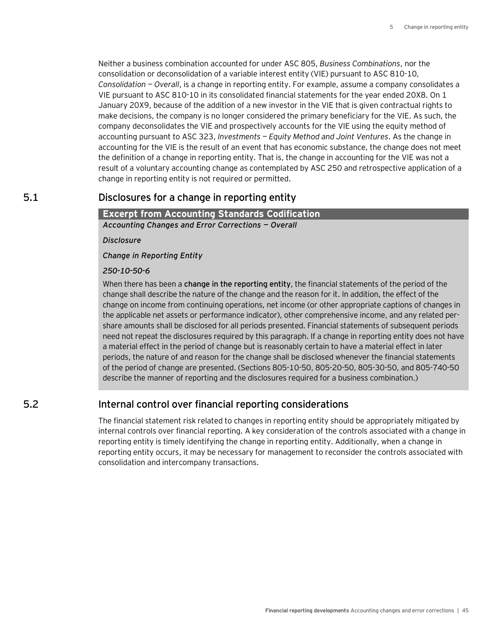Neither a business combination accounted for under ASC 805, *Business Combinations*, nor the consolidation or deconsolidation of a variable interest entity (VIE) pursuant to ASC 810-10, *Consolidation — Overall*, is a change in reporting entity. For example, assume a company consolidates a VIE pursuant to ASC 810-10 in its consolidated financial statements for the year ended 20X8. On 1 January 20X9, because of the addition of a new investor in the VIE that is given contractual rights to make decisions, the company is no longer considered the primary beneficiary for the VIE. As such, the company deconsolidates the VIE and prospectively accounts for the VIE using the equity method of accounting pursuant to ASC 323, *Investments — Equity Method and Joint Ventures*. As the change in accounting for the VIE is the result of an event that has economic substance, the change does not meet the definition of a change in reporting entity. That is, the change in accounting for the VIE was not a result of a voluntary accounting change as contemplated by ASC 250 and retrospective application of a change in reporting entity is not required or permitted.

# **5.1 Disclosures for a change in reporting entity**

# **Excerpt from Accounting Standards Codification**

*Accounting Changes and Error Corrections — Overall*

*Disclosure*

*Change in Reporting Entity*

#### *250-10-50-6*

When there has been a **change in the reporting entity**, the financial statements of the period of the change shall describe the nature of the change and the reason for it. In addition, the effect of the change on income from continuing operations, net income (or other appropriate captions of changes in the applicable net assets or performance indicator), other comprehensive income, and any related pershare amounts shall be disclosed for all periods presented. Financial statements of subsequent periods need not repeat the disclosures required by this paragraph. If a change in reporting entity does not have a material effect in the period of change but is reasonably certain to have a material effect in later periods, the nature of and reason for the change shall be disclosed whenever the financial statements of the period of change are presented. (Sections 805-10-50, 805-20-50, 805-30-50, and 805-740-50 describe the manner of reporting and the disclosures required for a business combination.)

# **5.2 Internal control over financial reporting considerations**

The financial statement risk related to changes in reporting entity should be appropriately mitigated by internal controls over financial reporting. A key consideration of the controls associated with a change in reporting entity is timely identifying the change in reporting entity. Additionally, when a change in reporting entity occurs, it may be necessary for management to reconsider the controls associated with consolidation and intercompany transactions.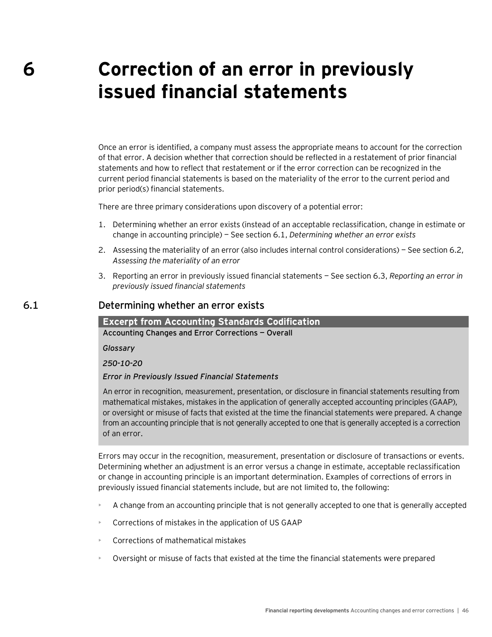# **6 Correction of an error in previously issued financial statements**

Once an error is identified, a company must assess the appropriate means to account for the correction of that error. A decision whether that correction should be reflected in a restatement of prior financial statements and how to reflect that restatement or if the error correction can be recognized in the current period financial statements is based on the materiality of the error to the current period and prior period(s) financial statements.

There are three primary considerations upon discovery of a potential error:

- 1. Determining whether an error exists (instead of an acceptable reclassification, change in estimate or change in accounting principle) — See section 6.1, *Determining whether an error exists*
- 2. Assessing the materiality of an error (also includes internal control considerations) See section 6.2, *Assessing the materiality of an error*
- 3. Reporting an error in previously issued financial statements See section 6.3, *Reporting an error in previously issued financial statements*

# **6.1 Determining whether an error exists**

## **Excerpt from Accounting Standards Codification**

Accounting Changes and Error Corrections — Overall

*Glossary*

*250-10-20*

#### *Error in Previously Issued Financial Statements*

An error in recognition, measurement, presentation, or disclosure in financial statements resulting from mathematical mistakes, mistakes in the application of generally accepted accounting principles (GAAP), or oversight or misuse of facts that existed at the time the financial statements were prepared. A change from an accounting principle that is not generally accepted to one that is generally accepted is a correction of an error.

Errors may occur in the recognition, measurement, presentation or disclosure of transactions or events. Determining whether an adjustment is an error versus a change in estimate, acceptable reclassification or change in accounting principle is an important determination. Examples of corrections of errors in previously issued financial statements include, but are not limited to, the following:

- A change from an accounting principle that is not generally accepted to one that is generally accepted
- Corrections of mistakes in the application of US GAAP
- Corrections of mathematical mistakes
- Oversight or misuse of facts that existed at the time the financial statements were prepared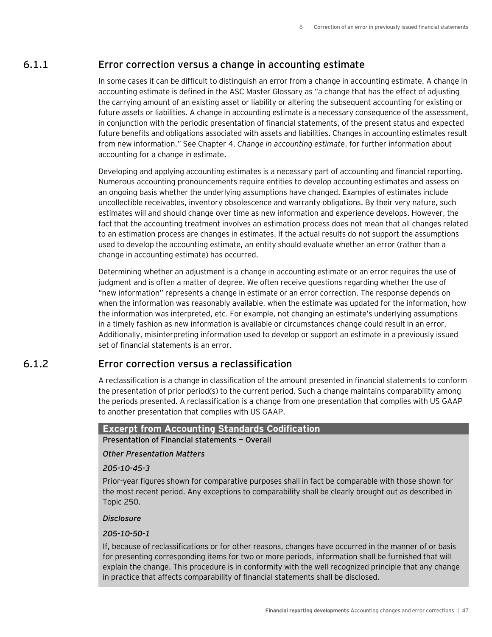# 6.1.1 Error correction versus a change in accounting estimate

In some cases it can be difficult to distinguish an error from a change in accounting estimate. A change in accounting estimate is defined in the ASC Master Glossary as "a change that has the effect of adjusting the carrying amount of an existing asset or liability or altering the subsequent accounting for existing or future assets or liabilities. A change in accounting estimate is a necessary consequence of the assessment, in conjunction with the periodic presentation of financial statements, of the present status and expected future benefits and obligations associated with assets and liabilities. Changes in accounting estimates result from new information." See Chapter 4, *Change in accounting estimate*, for further information about accounting for a change in estimate.

Developing and applying accounting estimates is a necessary part of accounting and financial reporting. Numerous accounting pronouncements require entities to develop accounting estimates and assess on an ongoing basis whether the underlying assumptions have changed. Examples of estimates include uncollectible receivables, inventory obsolescence and warranty obligations. By their very nature, such estimates will and should change over time as new information and experience develops. However, the fact that the accounting treatment involves an estimation process does not mean that all changes related to an estimation process are changes in estimates. If the actual results do not support the assumptions used to develop the accounting estimate, an entity should evaluate whether an error (rather than a change in accounting estimate) has occurred.

Determining whether an adjustment is a change in accounting estimate or an error requires the use of judgment and is often a matter of degree. We often receive questions regarding whether the use of "new information" represents a change in estimate or an error correction. The response depends on when the information was reasonably available, when the estimate was updated for the information, how the information was interpreted, etc. For example, not changing an estimate's underlying assumptions in a timely fashion as new information is available or circumstances change could result in an error. Additionally, misinterpreting information used to develop or support an estimate in a previously issued set of financial statements is an error.

# 6.1.2 Error correction versus a reclassification

A reclassification is a change in classification of the amount presented in financial statements to conform the presentation of prior period(s) to the current period. Such a change maintains comparability among the periods presented. A reclassification is a change from one presentation that complies with US GAAP to another presentation that complies with US GAAP.

#### **Excerpt from Accounting Standards Codification** Presentation of Financial statements — Overall

## *Other Presentation Matters*

## *205-10-45-3*

Prior-year figures shown for comparative purposes shall in fact be comparable with those shown for the most recent period. Any exceptions to comparability shall be clearly brought out as described in Topic 250.

## *Disclosure*

## *205-10-50-1*

If, because of reclassifications or for other reasons, changes have occurred in the manner of or basis for presenting corresponding items for two or more periods, information shall be furnished that will explain the change. This procedure is in conformity with the well recognized principle that any change in practice that affects comparability of financial statements shall be disclosed.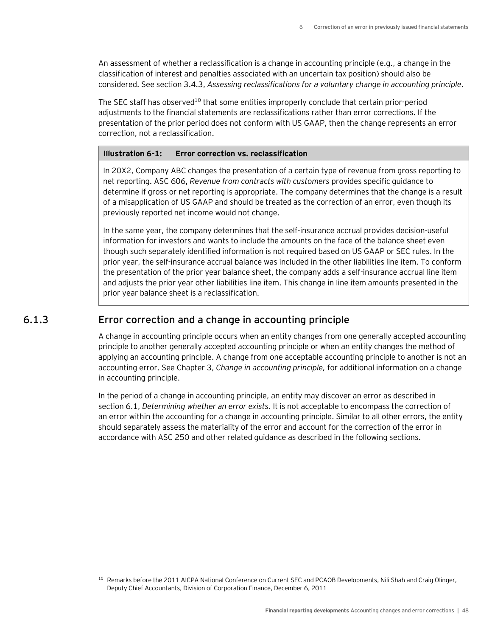An assessment of whether a reclassification is a change in accounting principle (e.g., a change in the classification of interest and penalties associated with an uncertain tax position) should also be considered. See section 3.4.3, *Assessing reclassifications for a voluntary change in accounting principle*.

The SEC staff has observed<sup>10</sup> that some entities improperly conclude that certain prior-period adjustments to the financial statements are reclassifications rather than error corrections. If the presentation of the prior period does not conform with US GAAP, then the change represents an error correction, not a reclassification.

### **Illustration 6-1: Error correction vs. reclassification**

In 20X2, Company ABC changes the presentation of a certain type of revenue from gross reporting to net reporting. ASC 606, *Revenue from contracts with customers* provides specific guidance to determine if gross or net reporting is appropriate. The company determines that the change is a result of a misapplication of US GAAP and should be treated as the correction of an error, even though its previously reported net income would not change.

In the same year, the company determines that the self-insurance accrual provides decision-useful information for investors and wants to include the amounts on the face of the balance sheet even though such separately identified information is not required based on US GAAP or SEC rules. In the prior year, the self-insurance accrual balance was included in the other liabilities line item. To conform the presentation of the prior year balance sheet, the company adds a self-insurance accrual line item and adjusts the prior year other liabilities line item. This change in line item amounts presented in the prior year balance sheet is a reclassification.

# 6.1.3 Error correction and a change in accounting principle

A change in accounting principle occurs when an entity changes from one generally accepted accounting principle to another generally accepted accounting principle or when an entity changes the method of applying an accounting principle. A change from one acceptable accounting principle to another is not an accounting error. See Chapter 3, *Change in accounting principle,* for additional information on a change in accounting principle.

In the period of a change in accounting principle, an entity may discover an error as described in section 6.1, *Determining whether an error exists*. It is not acceptable to encompass the correction of an error within the accounting for a change in accounting principle. Similar to all other errors, the entity should separately assess the materiality of the error and account for the correction of the error in accordance with ASC 250 and other related guidance as described in the following sections.

<sup>&</sup>lt;sup>10</sup> Remarks before the 2011 AICPA National Conference on Current SEC and PCAOB Developments, Nili Shah and Craig Olinger, Deputy Chief Accountants, Division of Corporation Finance, December 6, 2011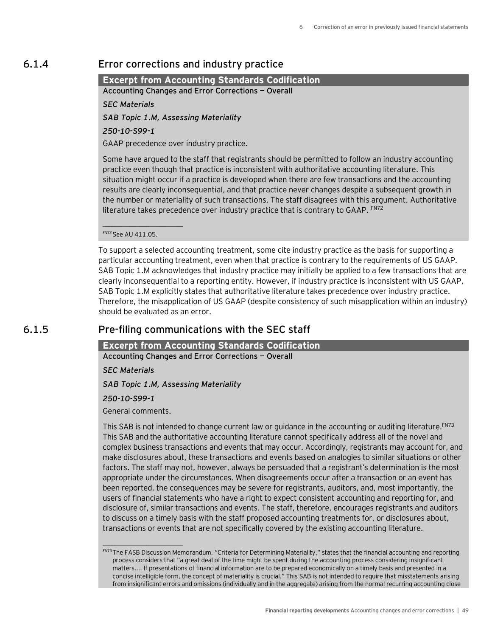# 6.1.4 Error corrections and industry practice

# **Excerpt from Accounting Standards Codification**

Accounting Changes and Error Corrections — Overall

*SEC Materials*

*SAB Topic 1.M, Assessing Materiality*

*250-10-S99-1*

GAAP precedence over industry practice.

Some have argued to the staff that registrants should be permitted to follow an industry accounting practice even though that practice is inconsistent with authoritative accounting literature. This situation might occur if a practice is developed when there are few transactions and the accounting results are clearly inconsequential, and that practice never changes despite a subsequent growth in the number or materiality of such transactions. The staff disagrees with this argument. Authoritative literature takes precedence over industry practice that is contrary to GAAP. FN72

FN72 See AU 411.05.

\_\_\_\_\_\_\_\_\_\_\_\_\_\_\_\_\_\_\_\_\_\_\_\_\_\_

To support a selected accounting treatment, some cite industry practice as the basis for supporting a particular accounting treatment, even when that practice is contrary to the requirements of US GAAP. SAB Topic 1.M acknowledges that industry practice may initially be applied to a few transactions that are clearly inconsequential to a reporting entity. However, if industry practice is inconsistent with US GAAP, SAB Topic 1.M explicitly states that authoritative literature takes precedence over industry practice. Therefore, the misapplication of US GAAP (despite consistency of such misapplication within an industry) should be evaluated as an error.

# 6.1.5 Pre-filing communications with the SEC staff

# **Excerpt from Accounting Standards Codification**

Accounting Changes and Error Corrections — Overall

*SEC Materials*

*SAB Topic 1.M, Assessing Materiality*

#### *250-10-S99-1*

General comments.

This SAB is not intended to change current law or guidance in the accounting or auditing literature.<sup>FN73</sup> This SAB and the authoritative accounting literature cannot specifically address all of the novel and complex business transactions and events that may occur. Accordingly, registrants may account for, and make disclosures about, these transactions and events based on analogies to similar situations or other factors. The staff may not, however, always be persuaded that a registrant's determination is the most appropriate under the circumstances. When disagreements occur after a transaction or an event has been reported, the consequences may be severe for registrants, auditors, and, most importantly, the users of financial statements who have a right to expect consistent accounting and reporting for, and disclosure of, similar transactions and events. The staff, therefore, encourages registrants and auditors to discuss on a timely basis with the staff proposed accounting treatments for, or disclosures about, transactions or events that are not specifically covered by the existing accounting literature.

FN73The FASB Discussion Memorandum, "Criteria for Determining Materiality," states that the financial accounting and reporting process considers that "a great deal of the time might be spent during the accounting process considering insignificant matters.... If presentations of financial information are to be prepared economically on a timely basis and presented in a concise intelligible form, the concept of materiality is crucial." This SAB is not intended to require that misstatements arising from insignificant errors and omissions (individually and in the aggregate) arising from the normal recurring accounting close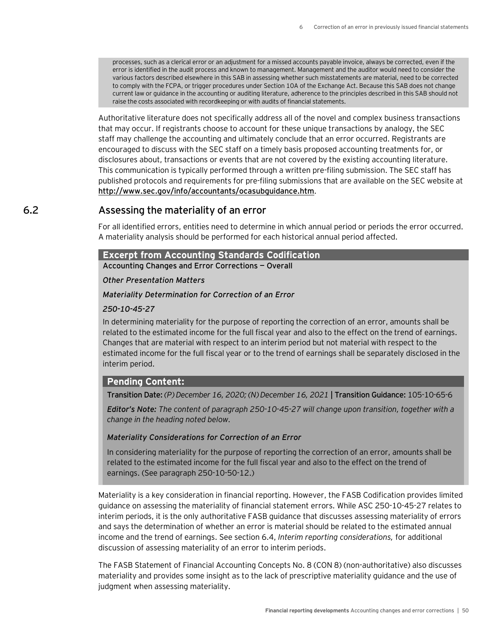processes, such as a clerical error or an adjustment for a missed accounts payable invoice, always be corrected, even if the error is identified in the audit process and known to management. Management and the auditor would need to consider the various factors described elsewhere in this SAB in assessing whether such misstatements are material, need to be corrected to comply with the FCPA, or trigger procedures under Section 10A of the Exchange Act. Because this SAB does not change current law or guidance in the accounting or auditing literature, adherence to the principles described in this SAB should not raise the costs associated with recordkeeping or with audits of financial statements.

Authoritative literature does not specifically address all of the novel and complex business transactions that may occur. If registrants choose to account for these unique transactions by analogy, the SEC staff may challenge the accounting and ultimately conclude that an error occurred. Registrants are encouraged to discuss with the SEC staff on a timely basis proposed accounting treatments for, or disclosures about, transactions or events that are not covered by the existing accounting literature. This communication is typically performed through a written pre-filing submission. The SEC staff has published protocols and requirements for pre-filing submissions that are available on the SEC website at **<http://www.sec.gov/info/accountants/ocasubguidance.htm>**.

# **6.2 Assessing the materiality of an error**

For all identified errors, entities need to determine in which annual period or periods the error occurred. A materiality analysis should be performed for each historical annual period affected.

#### **Excerpt from Accounting Standards Codification**

Accounting Changes and Error Corrections — Overall

*Other Presentation Matters*

*Materiality Determination for Correction of an Error*

*250-10-45-27*

In determining materiality for the purpose of reporting the correction of an error, amounts shall be related to the estimated income for the full fiscal year and also to the effect on the trend of earnings. Changes that are material with respect to an interim period but not material with respect to the estimated income for the full fiscal year or to the trend of earnings shall be separately disclosed in the interim period.

#### **Pending Content:**

**Transition Date:** *(P) December 16, 2020; (N) December 16, 2021* **| Transition Guidance:** 105-10-65-6

*Editor's Note: The content of paragraph 250-10-45-27 will change upon transition, together with a change in the heading noted below.*

#### *Materiality Considerations for Correction of an Error*

In considering materiality for the purpose of reporting the correction of an error, amounts shall be related to the estimated income for the full fiscal year and also to the effect on the trend of earnings. (See paragraph 250-10-50-12.)

Materiality is a key consideration in financial reporting. However, the FASB Codification provides limited guidance on assessing the materiality of financial statement errors. While ASC 250-10-45-27 relates to interim periods, it is the only authoritative FASB guidance that discusses assessing materiality of errors and says the determination of whether an error is material should be related to the estimated annual income and the trend of earnings. See section 6.4, *Interim reporting considerations,* for additional discussion of assessing materiality of an error to interim periods.

The FASB Statement of Financial Accounting Concepts No. 8 (CON 8) (non-authoritative) also discusses materiality and provides some insight as to the lack of prescriptive materiality guidance and the use of judgment when assessing materiality.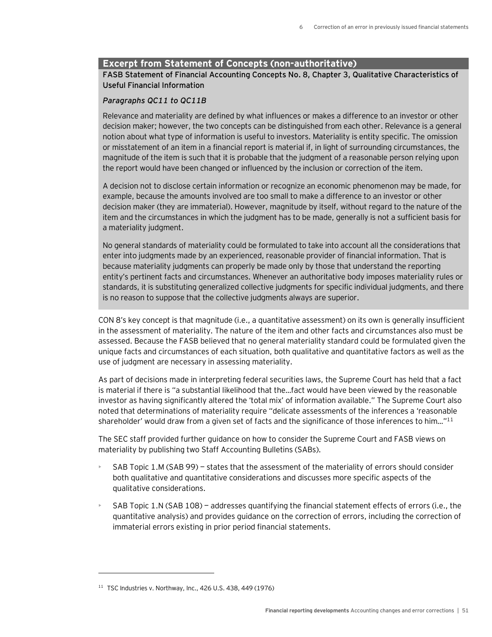# **Excerpt from Statement of Concepts (non-authoritative)**

FASB Statement of Financial Accounting Concepts No. 8, Chapter 3, Qualitative Characteristics of Useful Financial Information

#### *Paragraphs QC11 to QC11B*

Relevance and materiality are defined by what influences or makes a difference to an investor or other decision maker; however, the two concepts can be distinguished from each other. Relevance is a general notion about what type of information is useful to investors. Materiality is entity specific. The omission or misstatement of an item in a financial report is material if, in light of surrounding circumstances, the magnitude of the item is such that it is probable that the judgment of a reasonable person relying upon the report would have been changed or influenced by the inclusion or correction of the item.

A decision not to disclose certain information or recognize an economic phenomenon may be made, for example, because the amounts involved are too small to make a difference to an investor or other decision maker (they are immaterial). However, magnitude by itself, without regard to the nature of the item and the circumstances in which the judgment has to be made, generally is not a sufficient basis for a materiality judgment.

No general standards of materiality could be formulated to take into account all the considerations that enter into judgments made by an experienced, reasonable provider of financial information. That is because materiality judgments can properly be made only by those that understand the reporting entity's pertinent facts and circumstances. Whenever an authoritative body imposes materiality rules or standards, it is substituting generalized collective judgments for specific individual judgments, and there is no reason to suppose that the collective judgments always are superior.

CON 8's key concept is that magnitude (i.e., a quantitative assessment) on its own is generally insufficient in the assessment of materiality. The nature of the item and other facts and circumstances also must be assessed. Because the FASB believed that no general materiality standard could be formulated given the unique facts and circumstances of each situation, both qualitative and quantitative factors as well as the use of judgment are necessary in assessing materiality.

As part of decisions made in interpreting federal securities laws, the Supreme Court has held that a fact is material if there is "a substantial likelihood that the…fact would have been viewed by the reasonable investor as having significantly altered the 'total mix' of information available." The Supreme Court also noted that determinations of materiality require "delicate assessments of the inferences a 'reasonable shareholder' would draw from a given set of facts and the significance of those inferences to him..."<sup>11</sup>

The SEC staff provided further guidance on how to consider the Supreme Court and FASB views on materiality by publishing two Staff Accounting Bulletins (SABs).

- SAB Topic 1.M (SAB 99) states that the assessment of the materiality of errors should consider both qualitative and quantitative considerations and discusses more specific aspects of the qualitative considerations.
- SAB Topic 1.N (SAB 108) addresses quantifying the financial statement effects of errors (i.e., the quantitative analysis) and provides guidance on the correction of errors, including the correction of immaterial errors existing in prior period financial statements.

<sup>&</sup>lt;sup>11</sup> TSC Industries v. Northway, Inc., 426 U.S. 438, 449 (1976)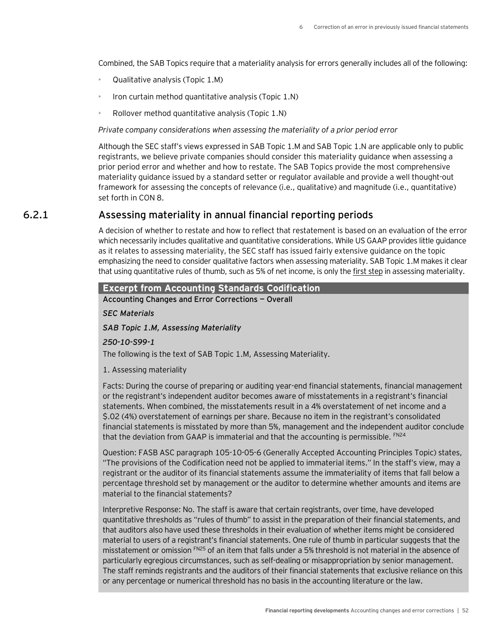Combined, the SAB Topics require that a materiality analysis for errors generally includes all of the following:

- Qualitative analysis (Topic 1.M)
- Iron curtain method quantitative analysis (Topic 1.N)
- Rollover method quantitative analysis (Topic 1.N)

*Private company considerations when assessing the materiality of a prior period error*

Although the SEC staff's views expressed in SAB Topic 1.M and SAB Topic 1.N are applicable only to public registrants, we believe private companies should consider this materiality guidance when assessing a prior period error and whether and how to restate. The SAB Topics provide the most comprehensive materiality guidance issued by a standard setter or regulator available and provide a well thought-out framework for assessing the concepts of relevance (i.e., qualitative) and magnitude (i.e., quantitative) set forth in CON 8.

# 6.2.1 Assessing materiality in annual financial reporting periods

A decision of whether to restate and how to reflect that restatement is based on an evaluation of the error which necessarily includes qualitative and quantitative considerations. While US GAAP provides little guidance as it relates to assessing materiality, the SEC staff has issued fairly extensive guidance on the topic emphasizing the need to consider qualitative factors when assessing materiality. SAB Topic 1.M makes it clear that using quantitative rules of thumb, such as 5% of net income, is only the first step in assessing materiality.

# **Excerpt from Accounting Standards Codification**

Accounting Changes and Error Corrections — Overall

*SEC Materials*

*SAB Topic 1.M, Assessing Materiality*

*250-10-S99-1*

The following is the text of SAB Topic 1.M, Assessing Materiality.

1. Assessing materiality

Facts: During the course of preparing or auditing year-end financial statements, financial management or the registrant's independent auditor becomes aware of misstatements in a registrant's financial statements. When combined, the misstatements result in a 4% overstatement of net income and a \$.02 (4%) overstatement of earnings per share. Because no item in the registrant's consolidated financial statements is misstated by more than 5%, management and the independent auditor conclude that the deviation from GAAP is immaterial and that the accounting is permissible.  $FNA4$ 

Question: FASB ASC paragraph 105-10-05-6 (Generally Accepted Accounting Principles Topic) states, "The provisions of the Codification need not be applied to immaterial items." In the staff's view, may a registrant or the auditor of its financial statements assume the immateriality of items that fall below a percentage threshold set by management or the auditor to determine whether amounts and items are material to the financial statements?

Interpretive Response: No. The staff is aware that certain registrants, over time, have developed quantitative thresholds as "rules of thumb" to assist in the preparation of their financial statements, and that auditors also have used these thresholds in their evaluation of whether items might be considered material to users of a registrant's financial statements. One rule of thumb in particular suggests that the misstatement or omission  $FN25$  of an item that falls under a 5% threshold is not material in the absence of particularly egregious circumstances, such as self-dealing or misappropriation by senior management. The staff reminds registrants and the auditors of their financial statements that exclusive reliance on this or any percentage or numerical threshold has no basis in the accounting literature or the law.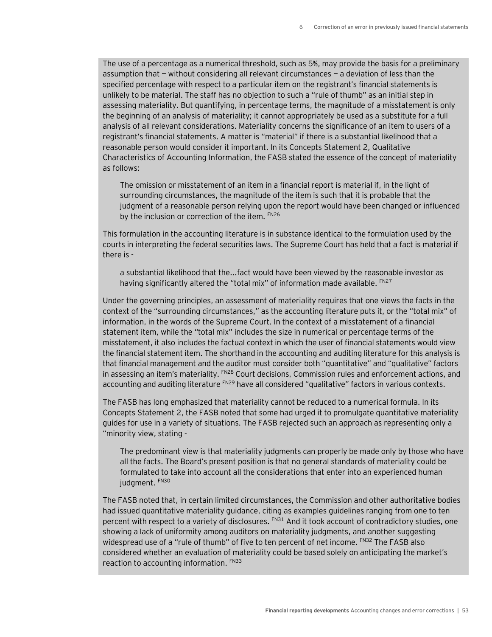The use of a percentage as a numerical threshold, such as 5%, may provide the basis for a preliminary assumption that — without considering all relevant circumstances — a deviation of less than the specified percentage with respect to a particular item on the registrant's financial statements is unlikely to be material. The staff has no objection to such a "rule of thumb" as an initial step in assessing materiality. But quantifying, in percentage terms, the magnitude of a misstatement is only the beginning of an analysis of materiality; it cannot appropriately be used as a substitute for a full analysis of all relevant considerations. Materiality concerns the significance of an item to users of a registrant's financial statements. A matter is "material" if there is a substantial likelihood that a reasonable person would consider it important. In its Concepts Statement 2, Qualitative Characteristics of Accounting Information, the FASB stated the essence of the concept of materiality as follows:

The omission or misstatement of an item in a financial report is material if, in the light of surrounding circumstances, the magnitude of the item is such that it is probable that the judgment of a reasonable person relying upon the report would have been changed or influenced by the inclusion or correction of the item. FN26

This formulation in the accounting literature is in substance identical to the formulation used by the courts in interpreting the federal securities laws. The Supreme Court has held that a fact is material if there is -

a substantial likelihood that the...fact would have been viewed by the reasonable investor as having significantly altered the "total mix" of information made available. FN27

Under the governing principles, an assessment of materiality requires that one views the facts in the context of the "surrounding circumstances," as the accounting literature puts it, or the "total mix" of information, in the words of the Supreme Court. In the context of a misstatement of a financial statement item, while the "total mix" includes the size in numerical or percentage terms of the misstatement, it also includes the factual context in which the user of financial statements would view the financial statement item. The shorthand in the accounting and auditing literature for this analysis is that financial management and the auditor must consider both "quantitative" and "qualitative" factors in assessing an item's materiality. FN28 Court decisions, Commission rules and enforcement actions, and accounting and auditing literature FN29 have all considered "qualitative" factors in various contexts.

The FASB has long emphasized that materiality cannot be reduced to a numerical formula. In its Concepts Statement 2, the FASB noted that some had urged it to promulgate quantitative materiality guides for use in a variety of situations. The FASB rejected such an approach as representing only a "minority view, stating -

The predominant view is that materiality judgments can properly be made only by those who have all the facts. The Board's present position is that no general standards of materiality could be formulated to take into account all the considerations that enter into an experienced human judgment. FN30

The FASB noted that, in certain limited circumstances, the Commission and other authoritative bodies had issued quantitative materiality guidance, citing as examples guidelines ranging from one to ten percent with respect to a variety of disclosures.  $F^{N31}$  And it took account of contradictory studies, one showing a lack of uniformity among auditors on materiality judgments, and another suggesting widespread use of a "rule of thumb" of five to ten percent of net income. FN32 The FASB also considered whether an evaluation of materiality could be based solely on anticipating the market's reaction to accounting information.  $F^{N33}$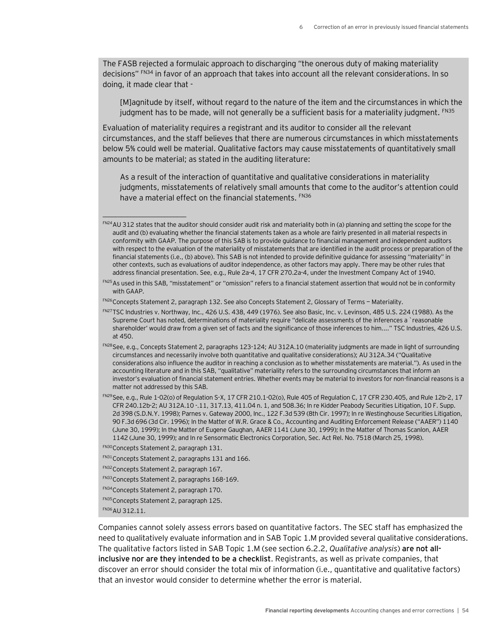The FASB rejected a formulaic approach to discharging "the onerous duty of making materiality decisions"  $F^{N34}$  in favor of an approach that takes into account all the relevant considerations. In so doing, it made clear that -

[M]agnitude by itself, without regard to the nature of the item and the circumstances in which the judgment has to be made, will not generally be a sufficient basis for a materiality judgment. FN35

Evaluation of materiality requires a registrant and its auditor to consider all the relevant circumstances, and the staff believes that there are numerous circumstances in which misstatements below 5% could well be material. Qualitative factors may cause misstatements of quantitatively small amounts to be material; as stated in the auditing literature:

As a result of the interaction of quantitative and qualitative considerations in materiality judgments, misstatements of relatively small amounts that come to the auditor's attention could have a material effect on the financial statements. FN36

\_\_\_\_\_\_\_\_\_\_\_\_\_\_\_\_\_\_\_\_\_\_\_\_\_\_\_

FN34Concepts Statement 2, paragraph 170.

Companies cannot solely assess errors based on quantitative factors. The SEC staff has emphasized the need to qualitatively evaluate information and in SAB Topic 1.M provided several qualitative considerations. The qualitative factors listed in SAB Topic 1.M (see section 6.2.2, *Qualitative analysis*) **are not allinclusive nor are they intended to be a checklist**. Registrants, as well as private companies, that discover an error should consider the total mix of information (i.e., quantitative and qualitative factors) that an investor would consider to determine whether the error is material.

FN24AU 312 states that the auditor should consider audit risk and materiality both in (a) planning and setting the scope for the audit and (b) evaluating whether the financial statements taken as a whole are fairly presented in all material respects in conformity with GAAP. The purpose of this SAB is to provide guidance to financial management and independent auditors with respect to the evaluation of the materiality of misstatements that are identified in the audit process or preparation of the financial statements (i.e., (b) above). This SAB is not intended to provide definitive guidance for assessing "materiality" in other contexts, such as evaluations of auditor independence, as other factors may apply. There may be other rules that address financial presentation. See, e.g., Rule 2a-4, 17 CFR 270.2a-4, under the Investment Company Act of 1940.

FN25As used in this SAB, "misstatement" or "omission" refers to a financial statement assertion that would not be in conformity with GAAP.

FN26Concepts Statement 2, paragraph 132. See also Concepts Statement 2, Glossary of Terms — Materiality.

FN27TSC Industries v. Northway, Inc., 426 U.S. 438, 449 (1976). See also Basic, Inc. v. Levinson, 485 U.S. 224 (1988). As the Supreme Court has noted, determinations of materiality require "delicate assessments of the inferences a `reasonable shareholder' would draw from a given set of facts and the significance of those inferences to him...." TSC Industries, 426 U.S. at 450.

FN28See, e.g., Concepts Statement 2, paragraphs 123-124; AU 312A.10 (materiality judgments are made in light of surrounding circumstances and necessarily involve both quantitative and qualitative considerations); AU 312A.34 ("Qualitative considerations also influence the auditor in reaching a conclusion as to whether misstatements are material."). As used in the accounting literature and in this SAB, "qualitative" materiality refers to the surrounding circumstances that inform an investor's evaluation of financial statement entries. Whether events may be material to investors for non-financial reasons is a matter not addressed by this SAB.

 $FN29$ See, e.g., Rule 1-02(o) of Regulation S-X, 17 CFR 210.1-02(o), Rule 405 of Regulation C, 17 CFR 230.405, and Rule 12b-2, 17 CFR 240.12b-2; AU 312A.10 -.11, 317.13, 411.04 n. 1, and 508.36; In re Kidder Peabody Securities Litigation, 10 F. Supp. 2d 398 (S.D.N.Y. 1998); Parnes v. Gateway 2000, Inc., 122 F.3d 539 (8th Cir. 1997); In re Westinghouse Securities Litigation, 90 F.3d 696 (3d Cir. 1996); In the Matter of W.R. Grace & Co., Accounting and Auditing Enforcement Release ("AAER") 1140 (June 30, 1999); In the Matter of Eugene Gaughan, AAER 1141 (June 30, 1999); In the Matter of Thomas Scanlon, AAER 1142 (June 30, 1999); and In re Sensormatic Electronics Corporation, Sec. Act Rel. No. 7518 (March 25, 1998).

FN30Concepts Statement 2, paragraph 131.

FN31Concepts Statement 2, paragraphs 131 and 166.

FN32Concepts Statement 2, paragraph 167.

FN33Concepts Statement 2, paragraphs 168-169.

FN35Concepts Statement 2, paragraph 125.

FN36AU 312.11.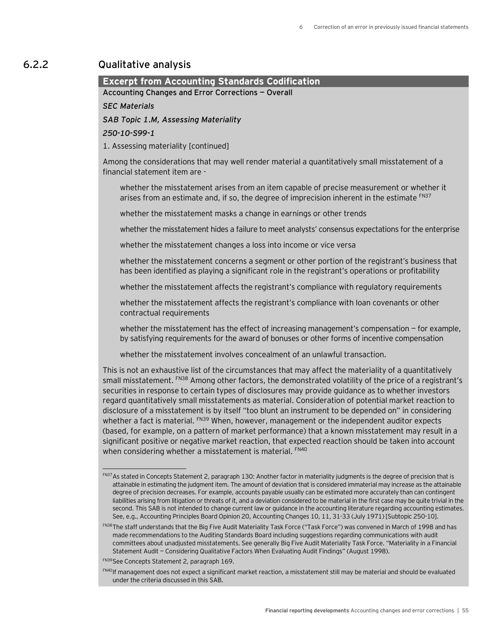# 6.2.2 Qualitative analysis

# **Excerpt from Accounting Standards Codification**

Accounting Changes and Error Corrections — Overall

*SEC Materials*

*SAB Topic 1.M, Assessing Materiality*

#### *250-10-S99-1*

1. Assessing materiality [continued]

Among the considerations that may well render material a quantitatively small misstatement of a financial statement item are -

whether the misstatement arises from an item capable of precise measurement or whether it arises from an estimate and, if so, the degree of imprecision inherent in the estimate  $F<sup>137</sup>$ 

whether the misstatement masks a change in earnings or other trends

whether the misstatement hides a failure to meet analysts' consensus expectations for the enterprise

whether the misstatement changes a loss into income or vice versa

whether the misstatement concerns a segment or other portion of the registrant's business that has been identified as playing a significant role in the registrant's operations or profitability

whether the misstatement affects the registrant's compliance with regulatory requirements

whether the misstatement affects the registrant's compliance with loan covenants or other contractual requirements

whether the misstatement has the effect of increasing management's compensation — for example, by satisfying requirements for the award of bonuses or other forms of incentive compensation

whether the misstatement involves concealment of an unlawful transaction.

This is not an exhaustive list of the circumstances that may affect the materiality of a quantitatively small misstatement. FN38 Among other factors, the demonstrated volatility of the price of a registrant's securities in response to certain types of disclosures may provide guidance as to whether investors regard quantitatively small misstatements as material. Consideration of potential market reaction to disclosure of a misstatement is by itself "too blunt an instrument to be depended on" in considering whether a fact is material. <sup>FN39</sup> When, however, management or the independent auditor expects (based, for example, on a pattern of market performance) that a known misstatement may result in a significant positive or negative market reaction, that expected reaction should be taken into account when considering whether a misstatement is material. FN40

\_\_\_\_\_\_\_\_\_\_\_\_\_\_\_\_\_\_\_\_\_\_\_\_\_\_\_

FN37As stated in Concepts Statement 2, paragraph 130: Another factor in materiality judgments is the degree of precision that is attainable in estimating the judgment item. The amount of deviation that is considered immaterial may increase as the attainable degree of precision decreases. For example, accounts payable usually can be estimated more accurately than can contingent liabilities arising from litigation or threats of it, and a deviation considered to be material in the first case may be quite trivial in the second. This SAB is not intended to change current law or guidance in the accounting literature regarding accounting estimates. See, e.g., Accounting Principles Board Opinion 20, Accounting Changes 10, 11, 31-33 (July 1971) [Subtopic 250-10].

FN38The staff understands that the Big Five Audit Materiality Task Force ("Task Force") was convened in March of 1998 and has made recommendations to the Auditing Standards Board including suggestions regarding communications with audit committees about unadjusted misstatements. See generally Big Five Audit Materiality Task Force. "Materiality in a Financial Statement Audit — Considering Qualitative Factors When Evaluating Audit Findings" (August 1998).

FN39See Concepts Statement 2, paragraph 169.

FN40If management does not expect a significant market reaction, a misstatement still may be material and should be evaluated under the criteria discussed in this SAB.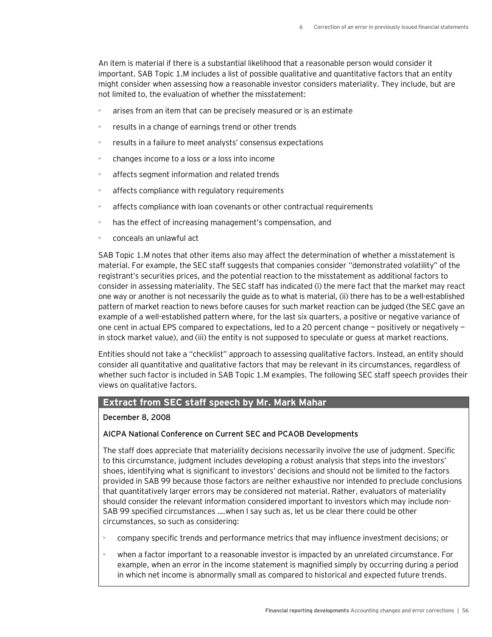An item is material if there is a substantial likelihood that a reasonable person would consider it important. SAB Topic 1.M includes a list of possible qualitative and quantitative factors that an entity might consider when assessing how a reasonable investor considers materiality. They include, but are not limited to, the evaluation of whether the misstatement:

- arises from an item that can be precisely measured or is an estimate
- results in a change of earnings trend or other trends
- results in a failure to meet analysts' consensus expectations
- changes income to a loss or a loss into income
- affects segment information and related trends
- affects compliance with regulatory requirements
- affects compliance with loan covenants or other contractual requirements
- has the effect of increasing management's compensation, and
- conceals an unlawful act

SAB Topic 1.M notes that other items also may affect the determination of whether a misstatement is material. For example, the SEC staff suggests that companies consider "demonstrated volatility" of the registrant's securities prices, and the potential reaction to the misstatement as additional factors to consider in assessing materiality. The SEC staff has indicated (i) the mere fact that the market may react one way or another is not necessarily the guide as to what is material, (ii) there has to be a well-established pattern of market reaction to news before causes for such market reaction can be judged (the SEC gave an example of a well-established pattern where, for the last six quarters, a positive or negative variance of one cent in actual EPS compared to expectations, led to a 20 percent change - positively or negatively in stock market value), and (iii) the entity is not supposed to speculate or guess at market reactions.

Entities should not take a "checklist" approach to assessing qualitative factors. Instead, an entity should consider all quantitative and qualitative factors that may be relevant in its circumstances, regardless of whether such factor is included in SAB Topic 1.M examples. The following SEC staff speech provides their views on qualitative factors.

# **Extract from SEC staff speech by Mr. Mark Mahar**

## **December 8, 2008**

## **AICPA National Conference on Current SEC and PCAOB Developments**

The staff does appreciate that materiality decisions necessarily involve the use of judgment. Specific to this circumstance, judgment includes developing a robust analysis that steps into the investors' shoes, identifying what is significant to investors' decisions and should not be limited to the factors provided in SAB 99 because those factors are neither exhaustive nor intended to preclude conclusions that quantitatively larger errors may be considered not material. Rather, evaluators of materiality should consider the relevant information considered important to investors which may include non-SAB 99 specified circumstances ….when I say such as, let us be clear there could be other circumstances, so such as considering:

- company specific trends and performance metrics that may influence investment decisions; or
- when a factor important to a reasonable investor is impacted by an unrelated circumstance. For example, when an error in the income statement is magnified simply by occurring during a period in which net income is abnormally small as compared to historical and expected future trends.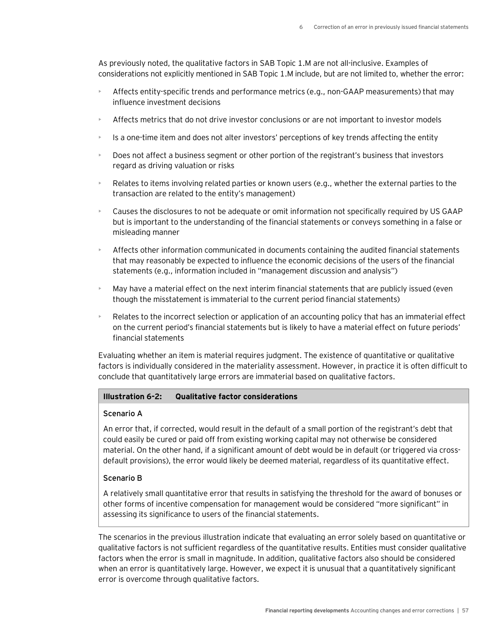As previously noted, the qualitative factors in SAB Topic 1.M are not all-inclusive. Examples of considerations not explicitly mentioned in SAB Topic 1.M include, but are not limited to, whether the error:

- Affects entity-specific trends and performance metrics (e.g., non-GAAP measurements) that may influence investment decisions
- Affects metrics that do not drive investor conclusions or are not important to investor models
- Is a one-time item and does not alter investors' perceptions of key trends affecting the entity
- Does not affect a business segment or other portion of the registrant's business that investors regard as driving valuation or risks
- Relates to items involving related parties or known users (e.g., whether the external parties to the transaction are related to the entity's management)
- Causes the disclosures to not be adequate or omit information not specifically required by US GAAP but is important to the understanding of the financial statements or conveys something in a false or misleading manner
- Affects other information communicated in documents containing the audited financial statements that may reasonably be expected to influence the economic decisions of the users of the financial statements (e.g., information included in "management discussion and analysis")
- May have a material effect on the next interim financial statements that are publicly issued (even though the misstatement is immaterial to the current period financial statements)
- Relates to the incorrect selection or application of an accounting policy that has an immaterial effect on the current period's financial statements but is likely to have a material effect on future periods' financial statements

Evaluating whether an item is material requires judgment. The existence of quantitative or qualitative factors is individually considered in the materiality assessment. However, in practice it is often difficult to conclude that quantitatively large errors are immaterial based on qualitative factors.

#### **Illustration 6-2: Qualitative factor considerations**

#### **Scenario A**

An error that, if corrected, would result in the default of a small portion of the registrant's debt that could easily be cured or paid off from existing working capital may not otherwise be considered material. On the other hand, if a significant amount of debt would be in default (or triggered via crossdefault provisions), the error would likely be deemed material, regardless of its quantitative effect.

#### **Scenario B**

A relatively small quantitative error that results in satisfying the threshold for the award of bonuses or other forms of incentive compensation for management would be considered "more significant" in assessing its significance to users of the financial statements.

The scenarios in the previous illustration indicate that evaluating an error solely based on quantitative or qualitative factors is not sufficient regardless of the quantitative results. Entities must consider qualitative factors when the error is small in magnitude. In addition, qualitative factors also should be considered when an error is quantitatively large. However, we expect it is unusual that a quantitatively significant error is overcome through qualitative factors.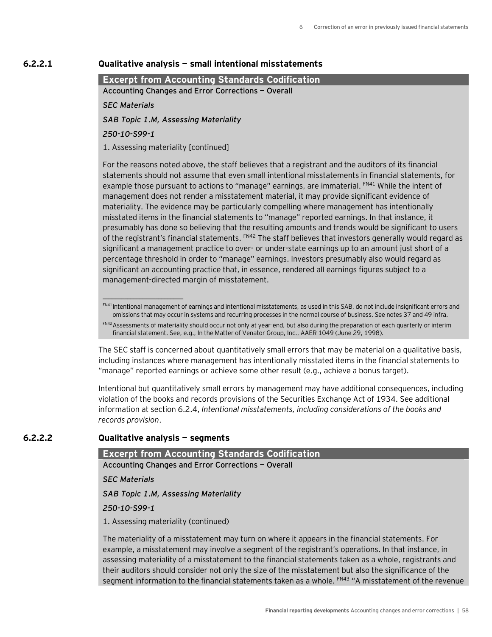# **6.2.2.1 Qualitative analysis — small intentional misstatements**

# **Excerpt from Accounting Standards Codification**

Accounting Changes and Error Corrections — Overall

*SEC Materials*

*SAB Topic 1.M, Assessing Materiality*

*250-10-S99-1*

1. Assessing materiality [continued]

For the reasons noted above, the staff believes that a registrant and the auditors of its financial statements should not assume that even small intentional misstatements in financial statements, for example those pursuant to actions to "manage" earnings, are immaterial. <sup>FN41</sup> While the intent of management does not render a misstatement material, it may provide significant evidence of materiality. The evidence may be particularly compelling where management has intentionally misstated items in the financial statements to "manage" reported earnings. In that instance, it presumably has done so believing that the resulting amounts and trends would be significant to users of the registrant's financial statements.  $F^{M2}$  The staff believes that investors generally would regard as significant a management practice to over- or under-state earnings up to an amount just short of a percentage threshold in order to "manage" earnings. Investors presumably also would regard as significant an accounting practice that, in essence, rendered all earnings figures subject to a management-directed margin of misstatement.

FN41Intentional management of earnings and intentional misstatements, as used in this SAB, do not include insignificant errors and omissions that may occur in systems and recurring processes in the normal course of business. See notes 37 and 49 infra.

FN42Assessments of materiality should occur not only at year-end, but also during the preparation of each quarterly or interim financial statement. See, e.g., In the Matter of Venator Group, Inc., AAER 1049 (June 29, 1998).

The SEC staff is concerned about quantitatively small errors that may be material on a qualitative basis, including instances where management has intentionally misstated items in the financial statements to "manage" reported earnings or achieve some other result (e.g., achieve a bonus target).

Intentional but quantitatively small errors by management may have additional consequences, including violation of the books and records provisions of the Securities Exchange Act of 1934. See additional information at section 6.2.4, *Intentional misstatements, including considerations of the books and records provision*.

## **6.2.2.2 Qualitative analysis — segments**

\_\_\_\_\_\_\_\_\_\_\_\_\_\_\_\_\_\_\_\_\_\_\_\_\_\_

## **Excerpt from Accounting Standards Codification**

Accounting Changes and Error Corrections — Overall

*SEC Materials*

*SAB Topic 1.M, Assessing Materiality*

*250-10-S99-1*

1. Assessing materiality (continued)

The materiality of a misstatement may turn on where it appears in the financial statements. For example, a misstatement may involve a segment of the registrant's operations. In that instance, in assessing materiality of a misstatement to the financial statements taken as a whole, registrants and their auditors should consider not only the size of the misstatement but also the significance of the segment information to the financial statements taken as a whole. <sup>FN43</sup> "A misstatement of the revenue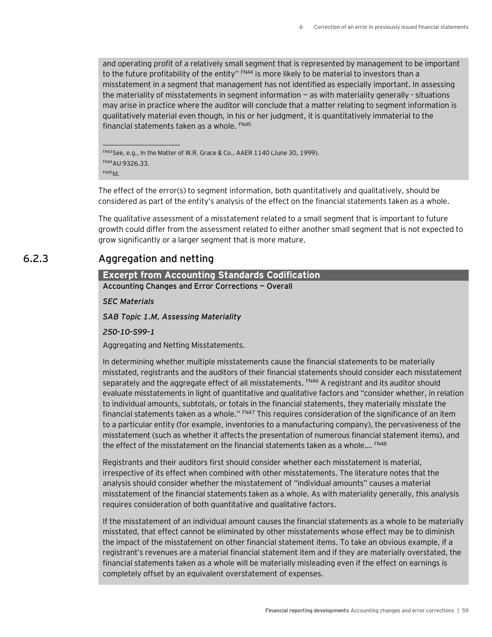and operating profit of a relatively small segment that is represented by management to be important to the future profitability of the entity"  $FNA4$  is more likely to be material to investors than a misstatement in a segment that management has not identified as especially important. In assessing the materiality of misstatements in segment information — as with materiality generally - situations may arise in practice where the auditor will conclude that a matter relating to segment information is qualitatively material even though, in his or her judgment, it is quantitatively immaterial to the financial statements taken as a whole. FN45

FN43See, e.g., In the Matter of W.R. Grace & Co., AAER 1140 (June 30, 1999). FN44AU 9326.33.  $FN45$ <sub>Id.</sub>

The effect of the error(s) to segment information, both quantitatively and qualitatively, should be considered as part of the entity's analysis of the effect on the financial statements taken as a whole.

The qualitative assessment of a misstatement related to a small segment that is important to future growth could differ from the assessment related to either another small segment that is not expected to grow significantly or a larger segment that is more mature.

# 6.2.3 Aggregation and netting

#### **Excerpt from Accounting Standards Codification**

Accounting Changes and Error Corrections — Overall

*SEC Materials*

\_\_\_\_\_\_\_\_\_\_\_\_\_\_\_\_\_\_\_\_\_\_\_\_\_

*SAB Topic 1.M, Assessing Materiality*

*250-10-S99-1*

Aggregating and Netting Misstatements.

In determining whether multiple misstatements cause the financial statements to be materially misstated, registrants and the auditors of their financial statements should consider each misstatement separately and the aggregate effect of all misstatements. FN46 A registrant and its auditor should evaluate misstatements in light of quantitative and qualitative factors and "consider whether, in relation to individual amounts, subtotals, or totals in the financial statements, they materially misstate the financial statements taken as a whole." <sup>FN47</sup> This requires consideration of the significance of an item to a particular entity (for example, inventories to a manufacturing company), the pervasiveness of the misstatement (such as whether it affects the presentation of numerous financial statement items), and the effect of the misstatement on the financial statements taken as a whole.... <sup>FN48</sup>

Registrants and their auditors first should consider whether each misstatement is material, irrespective of its effect when combined with other misstatements. The literature notes that the analysis should consider whether the misstatement of "individual amounts" causes a material misstatement of the financial statements taken as a whole. As with materiality generally, this analysis requires consideration of both quantitative and qualitative factors.

If the misstatement of an individual amount causes the financial statements as a whole to be materially misstated, that effect cannot be eliminated by other misstatements whose effect may be to diminish the impact of the misstatement on other financial statement items. To take an obvious example, if a registrant's revenues are a material financial statement item and if they are materially overstated, the financial statements taken as a whole will be materially misleading even if the effect on earnings is completely offset by an equivalent overstatement of expenses.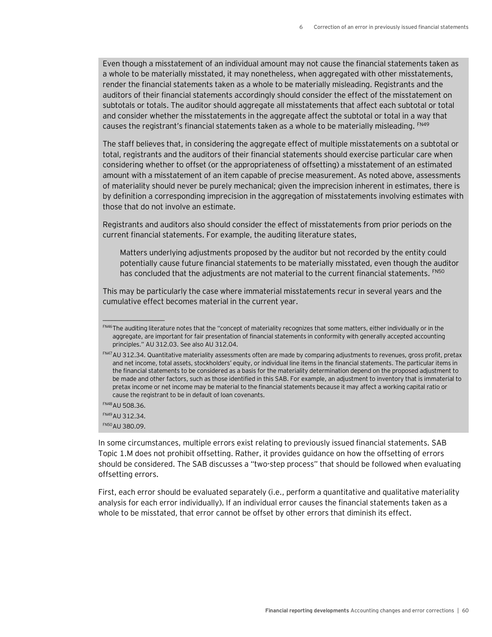Even though a misstatement of an individual amount may not cause the financial statements taken as a whole to be materially misstated, it may nonetheless, when aggregated with other misstatements, render the financial statements taken as a whole to be materially misleading. Registrants and the auditors of their financial statements accordingly should consider the effect of the misstatement on subtotals or totals. The auditor should aggregate all misstatements that affect each subtotal or total and consider whether the misstatements in the aggregate affect the subtotal or total in a way that causes the registrant's financial statements taken as a whole to be materially misleading. FN49

The staff believes that, in considering the aggregate effect of multiple misstatements on a subtotal or total, registrants and the auditors of their financial statements should exercise particular care when considering whether to offset (or the appropriateness of offsetting) a misstatement of an estimated amount with a misstatement of an item capable of precise measurement. As noted above, assessments of materiality should never be purely mechanical; given the imprecision inherent in estimates, there is by definition a corresponding imprecision in the aggregation of misstatements involving estimates with those that do not involve an estimate.

Registrants and auditors also should consider the effect of misstatements from prior periods on the current financial statements. For example, the auditing literature states,

Matters underlying adjustments proposed by the auditor but not recorded by the entity could potentially cause future financial statements to be materially misstated, even though the auditor has concluded that the adjustments are not material to the current financial statements. FN50

This may be particularly the case where immaterial misstatements recur in several years and the cumulative effect becomes material in the current year.

FN48AU 508.36.

\_\_\_\_\_\_\_\_\_\_\_\_\_\_\_\_\_\_\_\_

FN49AU 312.34. FN50AU 380.09.

In some circumstances, multiple errors exist relating to previously issued financial statements. SAB Topic 1.M does not prohibit offsetting. Rather, it provides guidance on how the offsetting of errors should be considered. The SAB discusses a "two-step process" that should be followed when evaluating offsetting errors.

First, each error should be evaluated separately (i.e., perform a quantitative and qualitative materiality analysis for each error individually). If an individual error causes the financial statements taken as a whole to be misstated, that error cannot be offset by other errors that diminish its effect.

FN46The auditing literature notes that the "concept of materiality recognizes that some matters, either individually or in the aggregate, are important for fair presentation of financial statements in conformity with generally accepted accounting principles." AU 312.03. See also AU 312.04.

FN47AU 312.34. Quantitative materiality assessments often are made by comparing adjustments to revenues, gross profit, pretax and net income, total assets, stockholders' equity, or individual line items in the financial statements. The particular items in the financial statements to be considered as a basis for the materiality determination depend on the proposed adjustment to be made and other factors, such as those identified in this SAB. For example, an adjustment to inventory that is immaterial to pretax income or net income may be material to the financial statements because it may affect a working capital ratio or cause the registrant to be in default of loan covenants.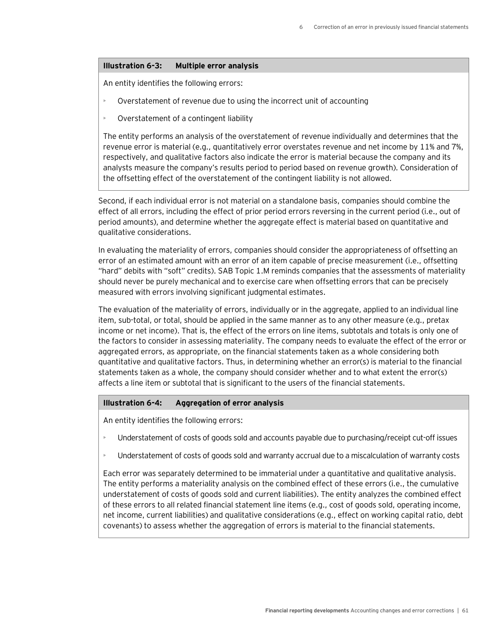#### **Illustration 6-3: Multiple error analysis**

An entity identifies the following errors:

- Overstatement of revenue due to using the incorrect unit of accounting
- Overstatement of a contingent liability

The entity performs an analysis of the overstatement of revenue individually and determines that the revenue error is material (e.g., quantitatively error overstates revenue and net income by 11% and 7%, respectively, and qualitative factors also indicate the error is material because the company and its analysts measure the company's results period to period based on revenue growth). Consideration of the offsetting effect of the overstatement of the contingent liability is not allowed.

Second, if each individual error is not material on a standalone basis, companies should combine the effect of all errors, including the effect of prior period errors reversing in the current period (i.e., out of period amounts), and determine whether the aggregate effect is material based on quantitative and qualitative considerations.

In evaluating the materiality of errors, companies should consider the appropriateness of offsetting an error of an estimated amount with an error of an item capable of precise measurement (i.e., offsetting "hard" debits with "soft" credits). SAB Topic 1.M reminds companies that the assessments of materiality should never be purely mechanical and to exercise care when offsetting errors that can be precisely measured with errors involving significant judgmental estimates.

The evaluation of the materiality of errors, individually or in the aggregate, applied to an individual line item, sub-total, or total, should be applied in the same manner as to any other measure (e.g., pretax income or net income). That is, the effect of the errors on line items, subtotals and totals is only one of the factors to consider in assessing materiality. The company needs to evaluate the effect of the error or aggregated errors, as appropriate, on the financial statements taken as a whole considering both quantitative and qualitative factors. Thus, in determining whether an error(s) is material to the financial statements taken as a whole, the company should consider whether and to what extent the error(s) affects a line item or subtotal that is significant to the users of the financial statements.

#### **Illustration 6-4: Aggregation of error analysis**

An entity identifies the following errors:

- Understatement of costs of goods sold and accounts payable due to purchasing/receipt cut-off issues
- Understatement of costs of goods sold and warranty accrual due to a miscalculation of warranty costs

Each error was separately determined to be immaterial under a quantitative and qualitative analysis. The entity performs a materiality analysis on the combined effect of these errors (i.e., the cumulative understatement of costs of goods sold and current liabilities). The entity analyzes the combined effect of these errors to all related financial statement line items (e.g., cost of goods sold, operating income, net income, current liabilities) and qualitative considerations (e.g., effect on working capital ratio, debt covenants) to assess whether the aggregation of errors is material to the financial statements.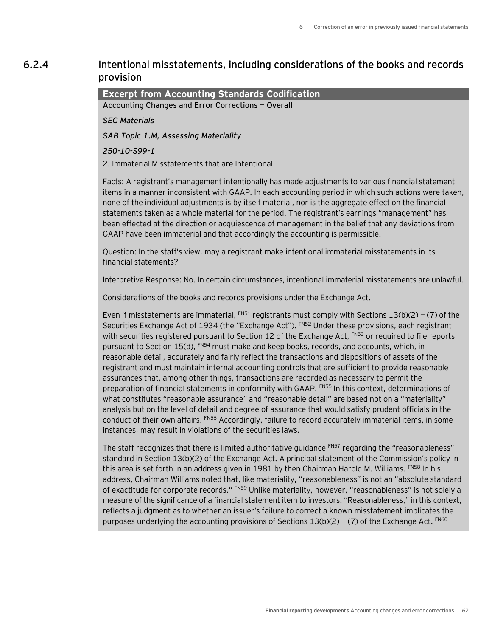# 6.2.4 Intentional misstatements, including considerations of the books and records provision

#### **Excerpt from Accounting Standards Codification** Accounting Changes and Error Corrections — Overall

*SEC Materials*

*SAB Topic 1.M, Assessing Materiality*

*250-10-S99-1*

2. Immaterial Misstatements that are Intentional

Facts: A registrant's management intentionally has made adjustments to various financial statement items in a manner inconsistent with GAAP. In each accounting period in which such actions were taken, none of the individual adjustments is by itself material, nor is the aggregate effect on the financial statements taken as a whole material for the period. The registrant's earnings "management" has been effected at the direction or acquiescence of management in the belief that any deviations from GAAP have been immaterial and that accordingly the accounting is permissible.

Question: In the staff's view, may a registrant make intentional immaterial misstatements in its financial statements?

Interpretive Response: No. In certain circumstances, intentional immaterial misstatements are unlawful.

Considerations of the books and records provisions under the Exchange Act.

Even if misstatements are immaterial,  $F<sup>NS1</sup>$  registrants must comply with Sections 13(b)(2) – (7) of the Securities Exchange Act of 1934 (the "Exchange Act"). <sup>FN52</sup> Under these provisions, each registrant with securities registered pursuant to Section 12 of the Exchange Act, FN53 or required to file reports pursuant to Section 15(d), <sup>FN54</sup> must make and keep books, records, and accounts, which, in reasonable detail, accurately and fairly reflect the transactions and dispositions of assets of the registrant and must maintain internal accounting controls that are sufficient to provide reasonable assurances that, among other things, transactions are recorded as necessary to permit the preparation of financial statements in conformity with GAAP. FN55 In this context, determinations of what constitutes "reasonable assurance" and "reasonable detail" are based not on a "materiality" analysis but on the level of detail and degree of assurance that would satisfy prudent officials in the conduct of their own affairs. FN56 Accordingly, failure to record accurately immaterial items, in some instances, may result in violations of the securities laws.

The staff recognizes that there is limited authoritative guidance  $F<sup>N57</sup>$  regarding the "reasonableness" standard in Section 13(b)(2) of the Exchange Act. A principal statement of the Commission's policy in this area is set forth in an address given in 1981 by then Chairman Harold M. Williams. FN58 In his address, Chairman Williams noted that, like materiality, "reasonableness" is not an "absolute standard of exactitude for corporate records." FN59 Unlike materiality, however, "reasonableness" is not solely a measure of the significance of a financial statement item to investors. "Reasonableness," in this context, reflects a judgment as to whether an issuer's failure to correct a known misstatement implicates the purposes underlying the accounting provisions of Sections  $13(b)(2) - (7)$  of the Exchange Act. FN60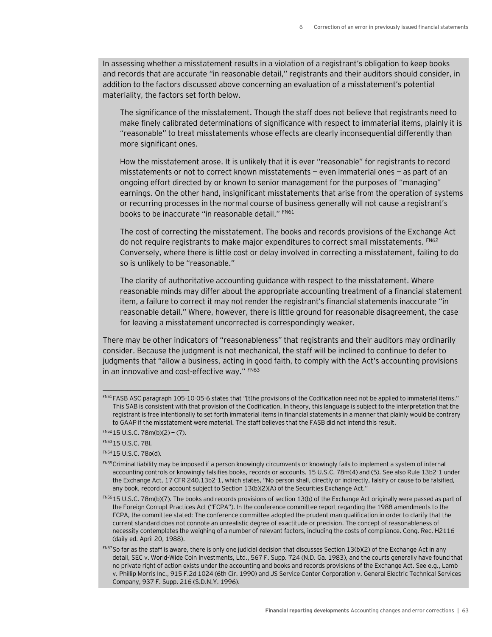In assessing whether a misstatement results in a violation of a registrant's obligation to keep books and records that are accurate "in reasonable detail," registrants and their auditors should consider, in addition to the factors discussed above concerning an evaluation of a misstatement's potential materiality, the factors set forth below.

The significance of the misstatement. Though the staff does not believe that registrants need to make finely calibrated determinations of significance with respect to immaterial items, plainly it is "reasonable" to treat misstatements whose effects are clearly inconsequential differently than more significant ones.

How the misstatement arose. It is unlikely that it is ever "reasonable" for registrants to record misstatements or not to correct known misstatements — even immaterial ones — as part of an ongoing effort directed by or known to senior management for the purposes of "managing" earnings. On the other hand, insignificant misstatements that arise from the operation of systems or recurring processes in the normal course of business generally will not cause a registrant's books to be inaccurate "in reasonable detail." FN61

The cost of correcting the misstatement. The books and records provisions of the Exchange Act do not require registrants to make major expenditures to correct small misstatements. FN62 Conversely, where there is little cost or delay involved in correcting a misstatement, failing to do so is unlikely to be "reasonable."

The clarity of authoritative accounting guidance with respect to the misstatement. Where reasonable minds may differ about the appropriate accounting treatment of a financial statement item, a failure to correct it may not render the registrant's financial statements inaccurate "in reasonable detail." Where, however, there is little ground for reasonable disagreement, the case for leaving a misstatement uncorrected is correspondingly weaker.

There may be other indicators of "reasonableness" that registrants and their auditors may ordinarily consider. Because the judgment is not mechanical, the staff will be inclined to continue to defer to judgments that "allow a business, acting in good faith, to comply with the Act's accounting provisions in an innovative and cost-effective way." FN63

\_\_\_\_\_\_\_\_\_\_\_\_\_\_\_\_\_\_\_\_\_\_\_\_\_\_\_\_

FN51FASB ASC paragraph 105-10-05-6 states that "[t]he provisions of the Codification need not be applied to immaterial items." This SAB is consistent with that provision of the Codification. In theory, this language is subject to the interpretation that the registrant is free intentionally to set forth immaterial items in financial statements in a manner that plainly would be contrary to GAAP if the misstatement were material. The staff believes that the FASB did not intend this result.

 $FNS2$  15 U.S.C. 78m(b)(2) – (7).

FN5315 U.S.C. 78l.

FN5415 U.S.C. 78o(d).

FN55Criminal liability may be imposed if a person knowingly circumvents or knowingly fails to implement a system of internal accounting controls or knowingly falsifies books, records or accounts. 15 U.S.C. 78m(4) and (5). See also Rule 13b2-1 under the Exchange Act, 17 CFR 240.13b2-1, which states, "No person shall, directly or indirectly, falsify or cause to be falsified, any book, record or account subject to Section 13(b)(2)(A) of the Securities Exchange Act."

FN5615 U.S.C. 78m(b)(7). The books and records provisions of section 13(b) of the Exchange Act originally were passed as part of the Foreign Corrupt Practices Act ("FCPA"). In the conference committee report regarding the 1988 amendments to the FCPA, the committee stated: The conference committee adopted the prudent man qualification in order to clarify that the current standard does not connote an unrealistic degree of exactitude or precision. The concept of reasonableness of necessity contemplates the weighing of a number of relevant factors, including the costs of compliance. Cong. Rec. H2116 (daily ed. April 20, 1988).

 $FNS7$ So far as the staff is aware, there is only one judicial decision that discusses Section 13(b)(2) of the Exchange Act in any detail, SEC v. World-Wide Coin Investments, Ltd., 567 F. Supp. 724 (N.D. Ga. 1983), and the courts generally have found that no private right of action exists under the accounting and books and records provisions of the Exchange Act. See e.g., Lamb v. Phillip Morris Inc., 915 F.2d 1024 (6th Cir. 1990) and JS Service Center Corporation v. General Electric Technical Services Company, 937 F. Supp. 216 (S.D.N.Y. 1996).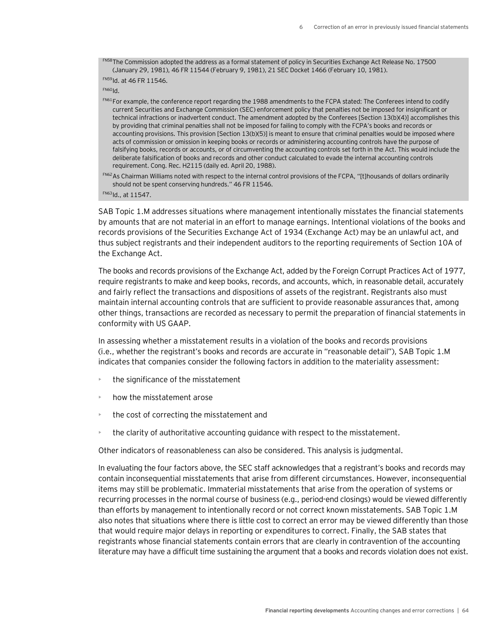FN58The Commission adopted the address as a formal statement of policy in Securities Exchange Act Release No. 17500 (January 29, 1981), 46 FR 11544 (February 9, 1981), 21 SEC Docket 1466 (February 10, 1981).

FN59Id. at 46 FR 11546.

 $FN60$ <sub>Id.</sub>

FN61For example, the conference report regarding the 1988 amendments to the FCPA stated: The Conferees intend to codify current Securities and Exchange Commission (SEC) enforcement policy that penalties not be imposed for insignificant or technical infractions or inadvertent conduct. The amendment adopted by the Conferees [Section 13(b)(4)] accomplishes this by providing that criminal penalties shall not be imposed for failing to comply with the FCPA's books and records or accounting provisions. This provision [Section 13(b)(5)] is meant to ensure that criminal penalties would be imposed where acts of commission or omission in keeping books or records or administering accounting controls have the purpose of falsifying books, records or accounts, or of circumventing the accounting controls set forth in the Act. This would include the deliberate falsification of books and records and other conduct calculated to evade the internal accounting controls requirement. Cong. Rec. H2115 (daily ed. April 20, 1988).

FN62As Chairman Williams noted with respect to the internal control provisions of the FCPA, "[t]housands of dollars ordinarily should not be spent conserving hundreds." 46 FR 11546.

FN63Id., at 11547.

SAB Topic 1.M addresses situations where management intentionally misstates the financial statements by amounts that are not material in an effort to manage earnings. Intentional violations of the books and records provisions of the Securities Exchange Act of 1934 (Exchange Act) may be an unlawful act, and thus subject registrants and their independent auditors to the reporting requirements of Section 10A of the Exchange Act.

The books and records provisions of the Exchange Act, added by the Foreign Corrupt Practices Act of 1977, require registrants to make and keep books, records, and accounts, which, in reasonable detail, accurately and fairly reflect the transactions and dispositions of assets of the registrant. Registrants also must maintain internal accounting controls that are sufficient to provide reasonable assurances that, among other things, transactions are recorded as necessary to permit the preparation of financial statements in conformity with US GAAP.

In assessing whether a misstatement results in a violation of the books and records provisions (i.e., whether the registrant's books and records are accurate in "reasonable detail"), SAB Topic 1.M indicates that companies consider the following factors in addition to the materiality assessment:

- the significance of the misstatement
- how the misstatement arose
- the cost of correcting the misstatement and
- the clarity of authoritative accounting guidance with respect to the misstatement.

Other indicators of reasonableness can also be considered. This analysis is judgmental.

In evaluating the four factors above, the SEC staff acknowledges that a registrant's books and records may contain inconsequential misstatements that arise from different circumstances. However, inconsequential items may still be problematic. Immaterial misstatements that arise from the operation of systems or recurring processes in the normal course of business (e.g., period-end closings) would be viewed differently than efforts by management to intentionally record or not correct known misstatements. SAB Topic 1.M also notes that situations where there is little cost to correct an error may be viewed differently than those that would require major delays in reporting or expenditures to correct. Finally, the SAB states that registrants whose financial statements contain errors that are clearly in contravention of the accounting literature may have a difficult time sustaining the argument that a books and records violation does not exist.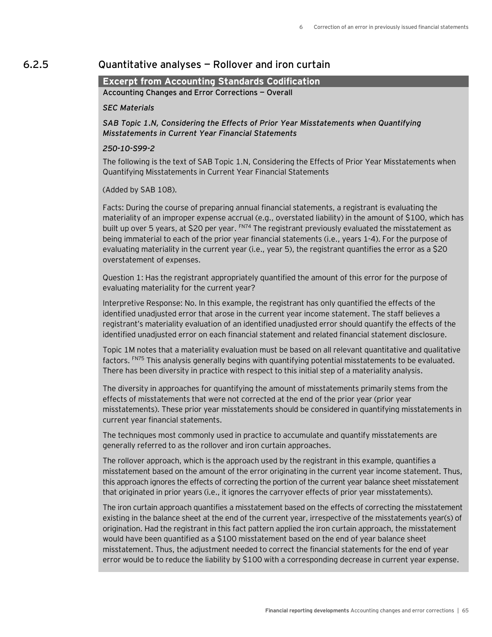# 6.2.5 Quantitative analyses — Rollover and iron curtain

# **Excerpt from Accounting Standards Codification**

Accounting Changes and Error Corrections — Overall

#### *SEC Materials*

*SAB Topic 1.N, Considering the Effects of Prior Year Misstatements when Quantifying Misstatements in Current Year Financial Statements*

#### *250-10-S99-2*

The following is the text of SAB Topic 1.N, Considering the Effects of Prior Year Misstatements when Quantifying Misstatements in Current Year Financial Statements

(Added by SAB 108).

Facts: During the course of preparing annual financial statements, a registrant is evaluating the materiality of an improper expense accrual (e.g., overstated liability) in the amount of \$100, which has built up over 5 years, at \$20 per year.  $FN74$  The registrant previously evaluated the misstatement as being immaterial to each of the prior year financial statements (i.e., years 1-4). For the purpose of evaluating materiality in the current year (i.e., year 5), the registrant quantifies the error as a \$20 overstatement of expenses.

Question 1: Has the registrant appropriately quantified the amount of this error for the purpose of evaluating materiality for the current year?

Interpretive Response: No. In this example, the registrant has only quantified the effects of the identified unadjusted error that arose in the current year income statement. The staff believes a registrant's materiality evaluation of an identified unadjusted error should quantify the effects of the identified unadjusted error on each financial statement and related financial statement disclosure.

Topic 1M notes that a materiality evaluation must be based on all relevant quantitative and qualitative factors. <sup>FN75</sup> This analysis generally begins with quantifying potential misstatements to be evaluated. There has been diversity in practice with respect to this initial step of a materiality analysis.

The diversity in approaches for quantifying the amount of misstatements primarily stems from the effects of misstatements that were not corrected at the end of the prior year (prior year misstatements). These prior year misstatements should be considered in quantifying misstatements in current year financial statements.

The techniques most commonly used in practice to accumulate and quantify misstatements are generally referred to as the rollover and iron curtain approaches.

The rollover approach, which is the approach used by the registrant in this example, quantifies a misstatement based on the amount of the error originating in the current year income statement. Thus, this approach ignores the effects of correcting the portion of the current year balance sheet misstatement that originated in prior years (i.e., it ignores the carryover effects of prior year misstatements).

The iron curtain approach quantifies a misstatement based on the effects of correcting the misstatement existing in the balance sheet at the end of the current year, irrespective of the misstatements year(s) of origination. Had the registrant in this fact pattern applied the iron curtain approach, the misstatement would have been quantified as a \$100 misstatement based on the end of year balance sheet misstatement. Thus, the adjustment needed to correct the financial statements for the end of year error would be to reduce the liability by \$100 with a corresponding decrease in current year expense.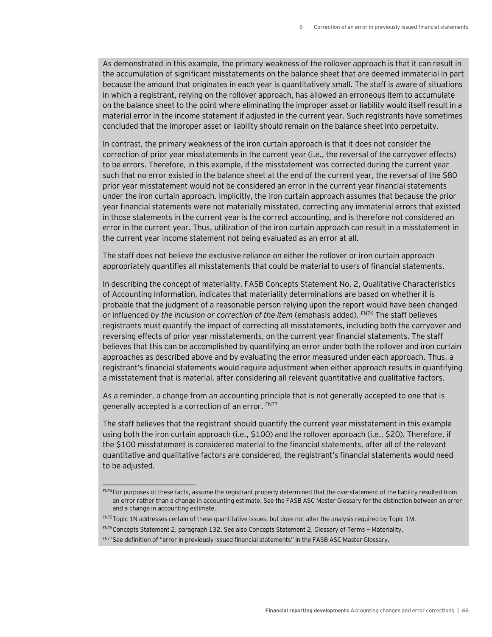As demonstrated in this example, the primary weakness of the rollover approach is that it can result in the accumulation of significant misstatements on the balance sheet that are deemed immaterial in part because the amount that originates in each year is quantitatively small. The staff is aware of situations in which a registrant, relying on the rollover approach, has allowed an erroneous item to accumulate on the balance sheet to the point where eliminating the improper asset or liability would itself result in a material error in the income statement if adjusted in the current year. Such registrants have sometimes concluded that the improper asset or liability should remain on the balance sheet into perpetuity.

In contrast, the primary weakness of the iron curtain approach is that it does not consider the correction of prior year misstatements in the current year (i.e., the reversal of the carryover effects) to be errors. Therefore, in this example, if the misstatement was corrected during the current year such that no error existed in the balance sheet at the end of the current year, the reversal of the \$80 prior year misstatement would not be considered an error in the current year financial statements under the iron curtain approach. Implicitly, the iron curtain approach assumes that because the prior year financial statements were not materially misstated, correcting any immaterial errors that existed in those statements in the current year is the correct accounting, and is therefore not considered an error in the current year. Thus, utilization of the iron curtain approach can result in a misstatement in the current year income statement not being evaluated as an error at all.

The staff does not believe the exclusive reliance on either the rollover or iron curtain approach appropriately quantifies all misstatements that could be material to users of financial statements.

In describing the concept of materiality, FASB Concepts Statement No. 2, Qualitative Characteristics of Accounting Information, indicates that materiality determinations are based on whether it is probable that the judgment of a reasonable person relying upon the report would have been changed or influenced *by the inclusion or correction of the item* (emphasis added). FN76 The staff believes registrants must quantify the impact of correcting all misstatements, including both the carryover and reversing effects of prior year misstatements, on the current year financial statements. The staff believes that this can be accomplished by quantifying an error under both the rollover and iron curtain approaches as described above and by evaluating the error measured under each approach. Thus, a registrant's financial statements would require adjustment when either approach results in quantifying a misstatement that is material, after considering all relevant quantitative and qualitative factors.

As a reminder, a change from an accounting principle that is not generally accepted to one that is generally accepted is a correction of an error. FN77

The staff believes that the registrant should quantify the current year misstatement in this example using both the iron curtain approach (i.e., \$100) and the rollover approach (i.e., \$20). Therefore, if the \$100 misstatement is considered material to the financial statements, after all of the relevant quantitative and qualitative factors are considered, the registrant's financial statements would need to be adjusted.

\_\_\_\_\_\_\_\_\_\_\_\_\_\_\_\_\_\_\_\_\_\_\_\_\_\_\_\_\_\_

FN74For purposes of these facts, assume the registrant properly determined that the overstatement of the liability resulted from an error rather than a change in accounting estimate. See the FASB ASC Master Glossary for the distinction between an error and a change in accounting estimate.

FN75Topic 1N addresses certain of these quantitative issues, but does not alter the analysis required by Topic 1M.

FN76Concepts Statement 2, paragraph 132. See also Concepts Statement 2, Glossary of Terms — Materiality.

FN77See definition of "error in previously issued financial statements" in the FASB ASC Master Glossary.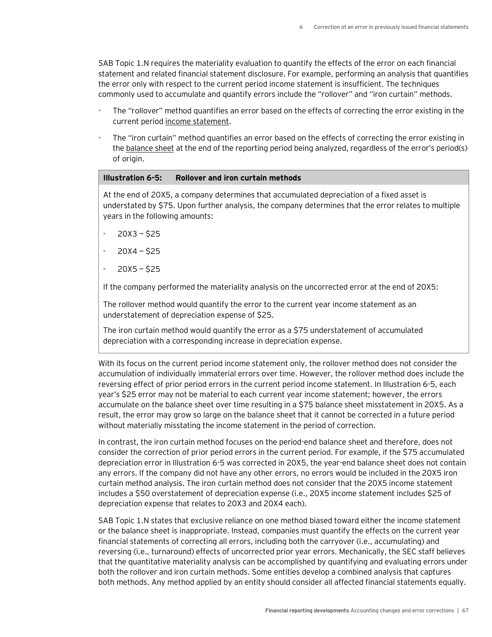SAB Topic 1.N requires the materiality evaluation to quantify the effects of the error on each financial statement and related financial statement disclosure. For example, performing an analysis that quantifies the error only with respect to the current period income statement is insufficient. The techniques commonly used to accumulate and quantify errors include the "rollover" and "iron curtain" methods.

- The "rollover" method quantifies an error based on the effects of correcting the error existing in the current period income statement.
- The "iron curtain" method quantifies an error based on the effects of correcting the error existing in the balance sheet at the end of the reporting period being analyzed, regardless of the error's period(s) of origin.

#### **Illustration 6-5: Rollover and iron curtain methods**

At the end of 20X5, a company determines that accumulated depreciation of a fixed asset is understated by \$75. Upon further analysis, the company determines that the error relates to multiple years in the following amounts:

- $20X3 $25$
- $20X4 $25$
- $20X5 $25$

If the company performed the materiality analysis on the uncorrected error at the end of 20X5:

The rollover method would quantify the error to the current year income statement as an understatement of depreciation expense of \$25.

The iron curtain method would quantify the error as a \$75 understatement of accumulated depreciation with a corresponding increase in depreciation expense.

With its focus on the current period income statement only, the rollover method does not consider the accumulation of individually immaterial errors over time. However, the rollover method does include the reversing effect of prior period errors in the current period income statement. In Illustration 6-5, each year's \$25 error may not be material to each current year income statement; however, the errors accumulate on the balance sheet over time resulting in a \$75 balance sheet misstatement in 20X5. As a result, the error may grow so large on the balance sheet that it cannot be corrected in a future period without materially misstating the income statement in the period of correction.

In contrast, the iron curtain method focuses on the period-end balance sheet and therefore, does not consider the correction of prior period errors in the current period. For example, if the \$75 accumulated depreciation error in Illustration 6-5 was corrected in 20X5, the year-end balance sheet does not contain any errors. If the company did not have any other errors, no errors would be included in the 20X5 iron curtain method analysis. The iron curtain method does not consider that the 20X5 income statement includes a \$50 overstatement of depreciation expense (i.e., 20X5 income statement includes \$25 of depreciation expense that relates to 20X3 and 20X4 each).

SAB Topic 1.N states that exclusive reliance on one method biased toward either the income statement or the balance sheet is inappropriate. Instead, companies must quantify the effects on the current year financial statements of correcting all errors, including both the carryover (i.e., accumulating) and reversing (i.e., turnaround) effects of uncorrected prior year errors. Mechanically, the SEC staff believes that the quantitative materiality analysis can be accomplished by quantifying and evaluating errors under both the rollover and iron curtain methods. Some entities develop a combined analysis that captures both methods. Any method applied by an entity should consider all affected financial statements equally.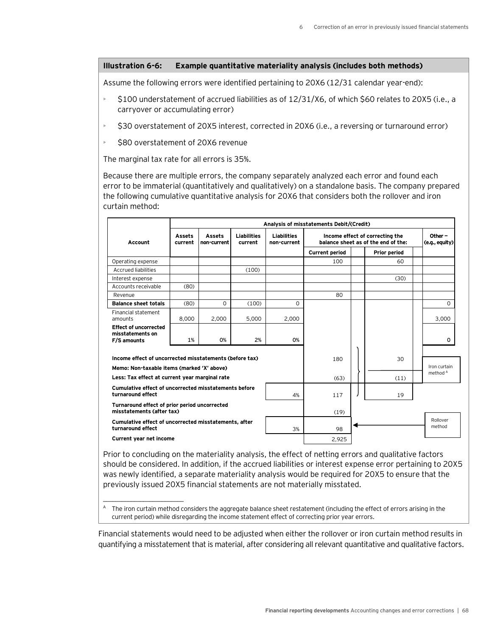#### **Illustration 6-6: Example quantitative materiality analysis (includes both methods)**

Assume the following errors were identified pertaining to 20X6 (12/31 calendar year-end):

- \$100 understatement of accrued liabilities as of 12/31/X6, of which \$60 relates to 20X5 (i.e., a carryover or accumulating error)
- \$30 overstatement of 20X5 interest, corrected in 20X6 (i.e., a reversing or turnaround error)
- \$80 overstatement of 20X6 revenue

The marginal tax rate for all errors is 35%.

 $\overline{\phantom{a}}$  , where  $\overline{\phantom{a}}$ 

Because there are multiple errors, the company separately analyzed each error and found each error to be immaterial (quantitatively and qualitatively) on a standalone basis. The company prepared the following cumulative quantitative analysis for 20X6 that considers both the rollover and iron curtain method:

|                                                                                                       | Analysis of misstatements Debit/(Credit) |                              |                        |                            |                                                                        |  |                     |                             |  |
|-------------------------------------------------------------------------------------------------------|------------------------------------------|------------------------------|------------------------|----------------------------|------------------------------------------------------------------------|--|---------------------|-----------------------------|--|
| Account                                                                                               | <b>Assets</b><br>current                 | <b>Assets</b><br>non-current | Liabilities<br>current | Liabilities<br>non-current | Income effect of correcting the<br>balance sheet as of the end of the: |  |                     | Other $-$<br>(e.g., equity) |  |
|                                                                                                       |                                          |                              |                        |                            | <b>Current period</b>                                                  |  | <b>Prior period</b> |                             |  |
| Operating expense                                                                                     |                                          |                              |                        |                            | 100                                                                    |  | 60                  |                             |  |
| Accrued liabilities                                                                                   |                                          |                              | (100)                  |                            |                                                                        |  |                     |                             |  |
| Interest expense                                                                                      |                                          |                              |                        |                            |                                                                        |  | (30)                |                             |  |
| Accounts receivable                                                                                   | (80)                                     |                              |                        |                            |                                                                        |  |                     |                             |  |
| Revenue                                                                                               |                                          |                              |                        |                            | 80                                                                     |  |                     |                             |  |
| <b>Balance sheet totals</b>                                                                           | (80)                                     | $\Omega$                     | (100)                  | $\Omega$                   |                                                                        |  |                     | $\Omega$                    |  |
| Financial statement<br>amounts                                                                        | 8.000                                    | 2.000                        | 5.000                  | 2,000                      |                                                                        |  |                     | 3,000                       |  |
| <b>Effect of uncorrected</b><br>misstatements on<br>F/S amounts                                       | 1%                                       | <b>O%</b>                    | 2%                     | <b>O%</b>                  |                                                                        |  |                     | 0                           |  |
| Income effect of uncorrected misstatements (before tax)<br>Memo: Non-taxable items (marked 'X' above) |                                          |                              |                        |                            | 180                                                                    |  | 30                  | Iron curtain                |  |
| Less: Tax effect at current year marginal rate                                                        |                                          |                              |                        |                            | (63)                                                                   |  | (11)                | method <sup>A</sup>         |  |
| Cumulative effect of uncorrected misstatements before<br>turnaround effect                            |                                          |                              |                        | 4%                         | 117                                                                    |  | 19                  |                             |  |
| Turnaround effect of prior period uncorrected<br>misstatements (after tax)                            |                                          |                              |                        |                            | (19)                                                                   |  |                     |                             |  |
| Cumulative effect of uncorrected misstatements, after<br>turnaround effect                            |                                          |                              |                        | 3%                         | 98                                                                     |  |                     | Rollover<br>method          |  |
| Current year net income                                                                               |                                          |                              |                        | 2,925                      |                                                                        |  |                     |                             |  |

Prior to concluding on the materiality analysis, the effect of netting errors and qualitative factors should be considered. In addition, if the accrued liabilities or interest expense error pertaining to 20X5 was newly identified, a separate materiality analysis would be required for 20X5 to ensure that the previously issued 20X5 financial statements are not materially misstated.

A The iron curtain method considers the aggregate balance sheet restatement (including the effect of errors arising in the current period) while disregarding the income statement effect of correcting prior year errors.

Financial statements would need to be adjusted when either the rollover or iron curtain method results in quantifying a misstatement that is material, after considering all relevant quantitative and qualitative factors.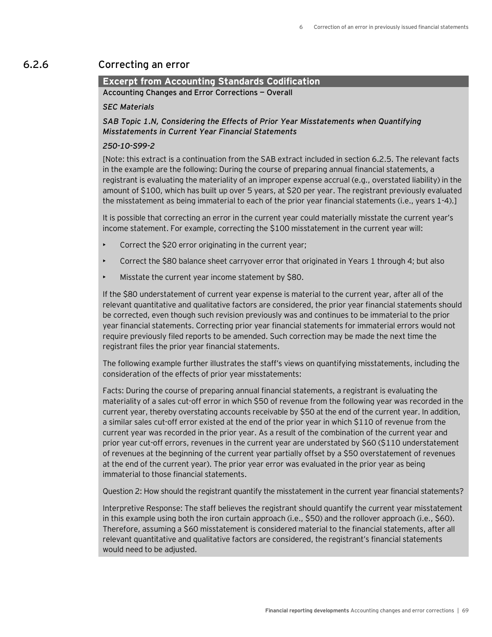# 6.2.6 Correcting an error

# **Excerpt from Accounting Standards Codification** Accounting Changes and Error Corrections — Overall

#### *SEC Materials*

*SAB Topic 1.N, Considering the Effects of Prior Year Misstatements when Quantifying Misstatements in Current Year Financial Statements*

# *250-10-S99-2*

[Note: this extract is a continuation from the SAB extract included in section 6.2.5. The relevant facts in the example are the following: During the course of preparing annual financial statements, a registrant is evaluating the materiality of an improper expense accrual (e.g., overstated liability) in the amount of \$100, which has built up over 5 years, at \$20 per year. The registrant previously evaluated the misstatement as being immaterial to each of the prior year financial statements (i.e., years 1-4).]

It is possible that correcting an error in the current year could materially misstate the current year's income statement. For example, correcting the \$100 misstatement in the current year will:

- Correct the \$20 error originating in the current year;
- Correct the \$80 balance sheet carryover error that originated in Years 1 through 4; but also
- Misstate the current year income statement by \$80.

If the \$80 understatement of current year expense is material to the current year, after all of the relevant quantitative and qualitative factors are considered, the prior year financial statements should be corrected, even though such revision previously was and continues to be immaterial to the prior year financial statements. Correcting prior year financial statements for immaterial errors would not require previously filed reports to be amended. Such correction may be made the next time the registrant files the prior year financial statements.

The following example further illustrates the staff's views on quantifying misstatements, including the consideration of the effects of prior year misstatements:

Facts: During the course of preparing annual financial statements, a registrant is evaluating the materiality of a sales cut-off error in which \$50 of revenue from the following year was recorded in the current year, thereby overstating accounts receivable by \$50 at the end of the current year. In addition, a similar sales cut-off error existed at the end of the prior year in which \$110 of revenue from the current year was recorded in the prior year. As a result of the combination of the current year and prior year cut-off errors, revenues in the current year are understated by \$60 (\$110 understatement of revenues at the beginning of the current year partially offset by a \$50 overstatement of revenues at the end of the current year). The prior year error was evaluated in the prior year as being immaterial to those financial statements.

Question 2: How should the registrant quantify the misstatement in the current year financial statements?

Interpretive Response: The staff believes the registrant should quantify the current year misstatement in this example using both the iron curtain approach (i.e., \$50) and the rollover approach (i.e., \$60). Therefore, assuming a \$60 misstatement is considered material to the financial statements, after all relevant quantitative and qualitative factors are considered, the registrant's financial statements would need to be adjusted.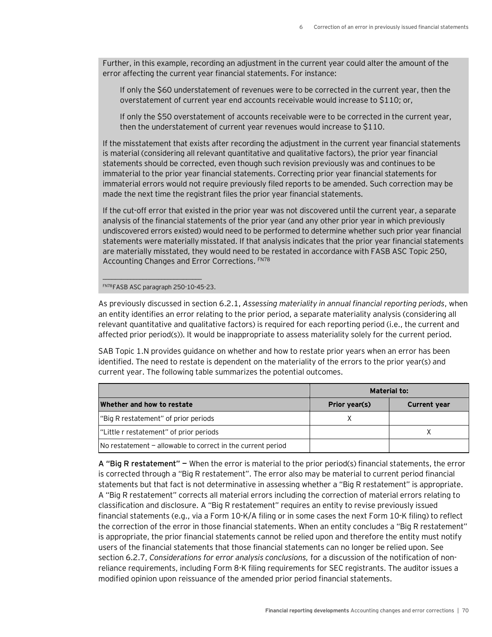Further, in this example, recording an adjustment in the current year could alter the amount of the error affecting the current year financial statements. For instance:

If only the \$60 understatement of revenues were to be corrected in the current year, then the overstatement of current year end accounts receivable would increase to \$110; or,

If only the \$50 overstatement of accounts receivable were to be corrected in the current year, then the understatement of current year revenues would increase to \$110.

If the misstatement that exists after recording the adjustment in the current year financial statements is material (considering all relevant quantitative and qualitative factors), the prior year financial statements should be corrected, even though such revision previously was and continues to be immaterial to the prior year financial statements. Correcting prior year financial statements for immaterial errors would not require previously filed reports to be amended. Such correction may be made the next time the registrant files the prior year financial statements.

If the cut-off error that existed in the prior year was not discovered until the current year, a separate analysis of the financial statements of the prior year (and any other prior year in which previously undiscovered errors existed) would need to be performed to determine whether such prior year financial statements were materially misstated. If that analysis indicates that the prior year financial statements are materially misstated, they would need to be restated in accordance with FASB ASC Topic 250, Accounting Changes and Error Corrections. FN78

#### FN78FASB ASC paragraph 250-10-45-23.

\_\_\_\_\_\_\_\_\_\_\_\_\_\_\_\_\_\_\_\_\_\_\_\_\_\_\_\_\_\_\_\_

As previously discussed in section 6.2.1, *Assessing materiality in annual financial reporting periods*, when an entity identifies an error relating to the prior period, a separate materiality analysis (considering all relevant quantitative and qualitative factors) is required for each reporting period (i.e., the current and affected prior period(s)). It would be inappropriate to assess materiality solely for the current period.

SAB Topic 1.N provides guidance on whether and how to restate prior years when an error has been identified. The need to restate is dependent on the materiality of the errors to the prior year(s) and current year. The following table summarizes the potential outcomes.

|                                                             | <b>Material to:</b> |                     |  |
|-------------------------------------------------------------|---------------------|---------------------|--|
| Whether and how to restate                                  | Prior year(s)       | <b>Current year</b> |  |
| "Big R restatement" of prior periods                        |                     |                     |  |
| "Little r restatement" of prior periods                     |                     |                     |  |
| No restatement – allowable to correct in the current period |                     |                     |  |

**A "Big R restatement" —** When the error is material to the prior period(s) financial statements, the error is corrected through a "Big R restatement". The error also may be material to current period financial statements but that fact is not determinative in assessing whether a "Big R restatement" is appropriate. A "Big R restatement" corrects all material errors including the correction of material errors relating to classification and disclosure. A "Big R restatement" requires an entity to revise previously issued financial statements (e.g., via a Form 10-K/A filing or in some cases the next Form 10-K filing) to reflect the correction of the error in those financial statements. When an entity concludes a "Big R restatement" is appropriate, the prior financial statements cannot be relied upon and therefore the entity must notify users of the financial statements that those financial statements can no longer be relied upon. See section 6.2.7, *Considerations for error analysis conclusions,* for a discussion of the notification of nonreliance requirements, including Form 8-K filing requirements for SEC registrants. The auditor issues a modified opinion upon reissuance of the amended prior period financial statements.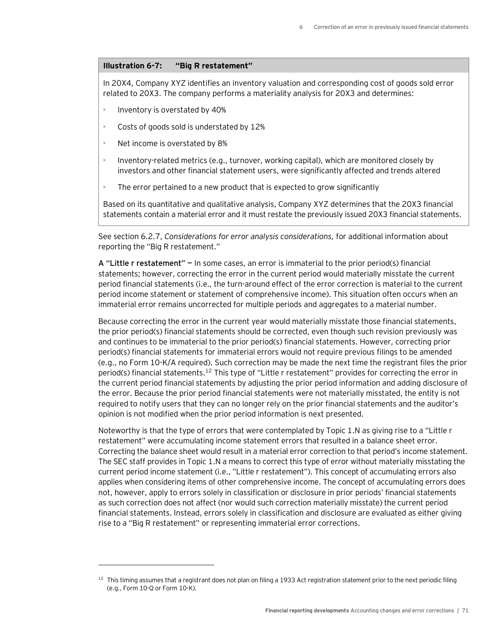#### **Illustration 6-7: "Big R restatement"**

In 20X4, Company XYZ identifies an inventory valuation and corresponding cost of goods sold error related to 20X3. The company performs a materiality analysis for 20X3 and determines:

- Inventory is overstated by 40%
- Costs of goods sold is understated by 12%
- Net income is overstated by 8%
- Inventory-related metrics (e.g., turnover, working capital), which are monitored closely by investors and other financial statement users, were significantly affected and trends altered
- The error pertained to a new product that is expected to grow significantly

Based on its quantitative and qualitative analysis, Company XYZ determines that the 20X3 financial statements contain a material error and it must restate the previously issued 20X3 financial statements.

See section 6.2.7, *Considerations for error analysis considerations,* for additional information about reporting the "Big R restatement."

**A "Little r restatement" —** In some cases, an error is immaterial to the prior period(s) financial statements; however, correcting the error in the current period would materially misstate the current period financial statements (i.e., the turn-around effect of the error correction is material to the current period income statement or statement of comprehensive income). This situation often occurs when an immaterial error remains uncorrected for multiple periods and aggregates to a material number.

Because correcting the error in the current year would materially misstate those financial statements, the prior period(s) financial statements should be corrected, even though such revision previously was and continues to be immaterial to the prior period(s) financial statements. However, correcting prior period(s) financial statements for immaterial errors would not require previous filings to be amended (e.g., no Form 10-K/A required). Such correction may be made the next time the registrant files the prior period(s) financial statements.<sup>12</sup> This type of "Little r restatement" provides for correcting the error in the current period financial statements by adjusting the prior period information and adding disclosure of the error. Because the prior period financial statements were not materially misstated, the entity is not required to notify users that they can no longer rely on the prior financial statements and the auditor's opinion is not modified when the prior period information is next presented.

Noteworthy is that the type of errors that were contemplated by Topic 1.N as giving rise to a "Little r restatement" were accumulating income statement errors that resulted in a balance sheet error. Correcting the balance sheet would result in a material error correction to that period's income statement. The SEC staff provides in Topic 1.N a means to correct this type of error without materially misstating the current period income statement (i.e., "Little r restatement"). This concept of accumulating errors also applies when considering items of other comprehensive income. The concept of accumulating errors does not, however, apply to errors solely in classification or disclosure in prior periods' financial statements as such correction does not affect (nor would such correction materially misstate) the current period financial statements. Instead, errors solely in classification and disclosure are evaluated as either giving rise to a "Big R restatement" or representing immaterial error corrections.

 $12$  This timing assumes that a registrant does not plan on filing a 1933 Act registration statement prior to the next periodic filing (e.g., Form 10-Q or Form 10-K).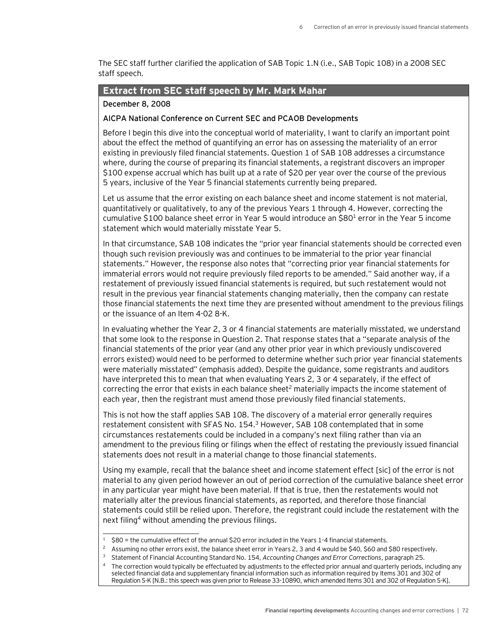The SEC staff further clarified the application of SAB Topic 1.N (i.e., SAB Topic 108) in a 2008 SEC staff speech.

# **Extract from SEC staff speech by Mr. Mark Mahar**

#### **December 8, 2008**

#### **AICPA National Conference on Current SEC and PCAOB Developments**

Before I begin this dive into the conceptual world of materiality, I want to clarify an important point about the effect the method of quantifying an error has on assessing the materiality of an error existing in previously filed financial statements. Question 1 of SAB 108 addresses a circumstance where, during the course of preparing its financial statements, a registrant discovers an improper \$100 expense accrual which has built up at a rate of \$20 per year over the course of the previous 5 years, inclusive of the Year 5 financial statements currently being prepared.

Let us assume that the error existing on each balance sheet and income statement is not material, quantitatively or qualitatively, to any of the previous Years 1 through 4. However, correcting the cumulative \$100 balance sheet error in Year 5 would introduce an \$80<sup>1</sup> error in the Year 5 income statement which would materially misstate Year 5.

In that circumstance, SAB 108 indicates the "prior year financial statements should be corrected even though such revision previously was and continues to be immaterial to the prior year financial statements." However, the response also notes that "correcting prior year financial statements for immaterial errors would not require previously filed reports to be amended." Said another way, if a restatement of previously issued financial statements is required, but such restatement would not result in the previous year financial statements changing materially, then the company can restate those financial statements the next time they are presented without amendment to the previous filings or the issuance of an Item 4-02 8-K.

In evaluating whether the Year 2, 3 or 4 financial statements are materially misstated, we understand that some look to the response in Question 2. That response states that a "separate analysis of the financial statements of the prior year (and any other prior year in which previously undiscovered errors existed) would need to be performed to determine whether such prior year financial statements were materially misstated" (emphasis added). Despite the guidance, some registrants and auditors have interpreted this to mean that when evaluating Years 2, 3 or 4 separately, if the effect of correcting the error that exists in each balance sheet<sup>2</sup> materially impacts the income statement of each year, then the registrant must amend those previously filed financial statements.

This is not how the staff applies SAB 108. The discovery of a material error generally requires restatement consistent with SFAS No. 154.<sup>3</sup> However, SAB 108 contemplated that in some circumstances restatements could be included in a company's next filing rather than via an amendment to the previous filing or filings when the effect of restating the previously issued financial statements does not result in a material change to those financial statements.

Using my example, recall that the balance sheet and income statement effect [sic] of the error is not material to any given period however an out of period correction of the cumulative balance sheet error in any particular year might have been material. If that is true, then the restatements would not materially alter the previous financial statements, as reported, and therefore those financial statements could still be relied upon. Therefore, the registrant could include the restatement with the next filing<sup>4</sup> without amending the previous filings.

\_\_\_\_\_\_\_\_\_\_\_\_\_\_\_\_\_\_\_\_\_\_\_\_\_\_\_\_\_\_\_

 $1580$  = the cumulative effect of the annual \$20 error included in the Years 1-4 financial statements.

<sup>&</sup>lt;sup>2</sup> Assuming no other errors exist, the balance sheet error in Years 2, 3 and 4 would be \$40, \$60 and \$80 respectively.

<sup>3</sup> Statement of Financial Accounting Standard No. 154, *Accounting Changes and Error Corrections*, paragraph 25.

<sup>&</sup>lt;sup>4</sup> The correction would typically be effectuated by adjustments to the effected prior annual and quarterly periods, including any selected financial data and supplementary financial information such as information required by Items 301 and 302 of Regulation S-K [N.B.: this speech was given prior to Release 33-10890, which amended Items 301 and 302 of Regulation S-K].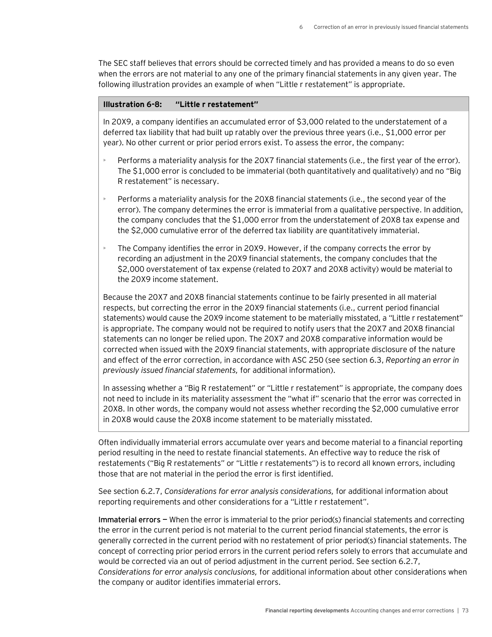The SEC staff believes that errors should be corrected timely and has provided a means to do so even when the errors are not material to any one of the primary financial statements in any given year. The following illustration provides an example of when "Little r restatement" is appropriate.

#### **Illustration 6-8: "Little r restatement"**

In 20X9, a company identifies an accumulated error of \$3,000 related to the understatement of a deferred tax liability that had built up ratably over the previous three years (i.e., \$1,000 error per year). No other current or prior period errors exist. To assess the error, the company:

- Performs a materiality analysis for the 20X7 financial statements (i.e., the first year of the error). The \$1,000 error is concluded to be immaterial (both quantitatively and qualitatively) and no "Big R restatement" is necessary.
- Performs a materiality analysis for the 20X8 financial statements (i.e., the second year of the error). The company determines the error is immaterial from a qualitative perspective. In addition, the company concludes that the \$1,000 error from the understatement of 20X8 tax expense and the \$2,000 cumulative error of the deferred tax liability are quantitatively immaterial.
- The Company identifies the error in 20X9. However, if the company corrects the error by recording an adjustment in the 20X9 financial statements, the company concludes that the \$2,000 overstatement of tax expense (related to 20X7 and 20X8 activity) would be material to the 20X9 income statement.

Because the 20X7 and 20X8 financial statements continue to be fairly presented in all material respects, but correcting the error in the 20X9 financial statements (i.e., current period financial statements) would cause the 20X9 income statement to be materially misstated, a "Little r restatement" is appropriate. The company would not be required to notify users that the 20X7 and 20X8 financial statements can no longer be relied upon. The 20X7 and 20X8 comparative information would be corrected when issued with the 20X9 financial statements, with appropriate disclosure of the nature and effect of the error correction, in accordance with ASC 250 (see section 6.3, *Reporting an error in previously issued financial statements,* for additional information).

In assessing whether a "Big R restatement" or "Little r restatement" is appropriate, the company does not need to include in its materiality assessment the "what if" scenario that the error was corrected in 20X8. In other words, the company would not assess whether recording the \$2,000 cumulative error in 20X8 would cause the 20X8 income statement to be materially misstated.

Often individually immaterial errors accumulate over years and become material to a financial reporting period resulting in the need to restate financial statements. An effective way to reduce the risk of restatements ("Big R restatements" or "Little r restatements") is to record all known errors, including those that are not material in the period the error is first identified.

See section 6.2.7, *Considerations for error analysis considerations,* for additional information about reporting requirements and other considerations for a "Little r restatement".

**Immaterial errors —** When the error is immaterial to the prior period(s) financial statements and correcting the error in the current period is not material to the current period financial statements, the error is generally corrected in the current period with no restatement of prior period(s) financial statements. The concept of correcting prior period errors in the current period refers solely to errors that accumulate and would be corrected via an out of period adjustment in the current period. See section 6.2.7, *Considerations for error analysis conclusions,* for additional information about other considerations when the company or auditor identifies immaterial errors.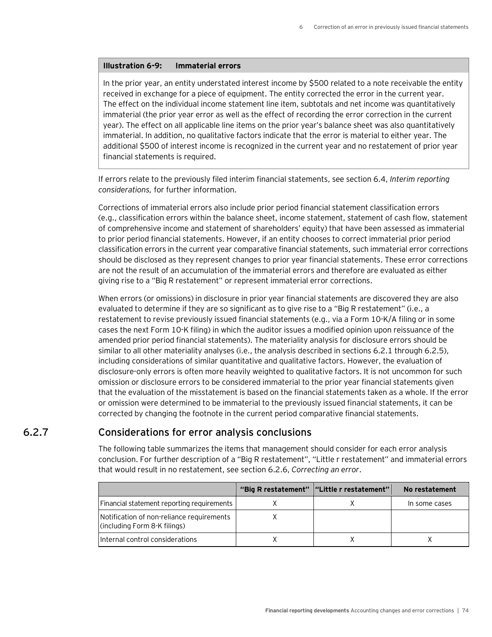#### **Illustration 6-9: Immaterial errors**

In the prior year, an entity understated interest income by \$500 related to a note receivable the entity received in exchange for a piece of equipment. The entity corrected the error in the current year. The effect on the individual income statement line item, subtotals and net income was quantitatively immaterial (the prior year error as well as the effect of recording the error correction in the current year). The effect on all applicable line items on the prior year's balance sheet was also quantitatively immaterial. In addition, no qualitative factors indicate that the error is material to either year. The additional \$500 of interest income is recognized in the current year and no restatement of prior year financial statements is required.

If errors relate to the previously filed interim financial statements, see section 6.4, *Interim reporting considerations,* for further information.

Corrections of immaterial errors also include prior period financial statement classification errors (e.g., classification errors within the balance sheet, income statement, statement of cash flow, statement of comprehensive income and statement of shareholders' equity) that have been assessed as immaterial to prior period financial statements. However, if an entity chooses to correct immaterial prior period classification errors in the current year comparative financial statements, such immaterial error corrections should be disclosed as they represent changes to prior year financial statements. These error corrections are not the result of an accumulation of the immaterial errors and therefore are evaluated as either giving rise to a "Big R restatement" or represent immaterial error corrections.

When errors (or omissions) in disclosure in prior year financial statements are discovered they are also evaluated to determine if they are so significant as to give rise to a "Big R restatement" (i.e., a restatement to revise previously issued financial statements (e.g., via a Form 10-K/A filing or in some cases the next Form 10-K filing) in which the auditor issues a modified opinion upon reissuance of the amended prior period financial statements). The materiality analysis for disclosure errors should be similar to all other materiality analyses (i.e., the analysis described in sections 6.2.1 through 6.2.5), including considerations of similar quantitative and qualitative factors. However, the evaluation of disclosure-only errors is often more heavily weighted to qualitative factors. It is not uncommon for such omission or disclosure errors to be considered immaterial to the prior year financial statements given that the evaluation of the misstatement is based on the financial statements taken as a whole. If the error or omission were determined to be immaterial to the previously issued financial statements, it can be corrected by changing the footnote in the current period comparative financial statements.

# 6.2.7 Considerations for error analysis conclusions

The following table summarizes the items that management should consider for each error analysis conclusion. For further description of a "Big R restatement", "Little r restatement" and immaterial errors that would result in no restatement, see section 6.2.6, *Correcting an error*.

|                                                                           | "Big R restatement"   "Little r restatement" | No restatement |
|---------------------------------------------------------------------------|----------------------------------------------|----------------|
| Financial statement reporting requirements                                |                                              | In some cases  |
| Notification of non-reliance requirements<br>(including Form 8-K filings) |                                              |                |
| Internal control considerations                                           |                                              |                |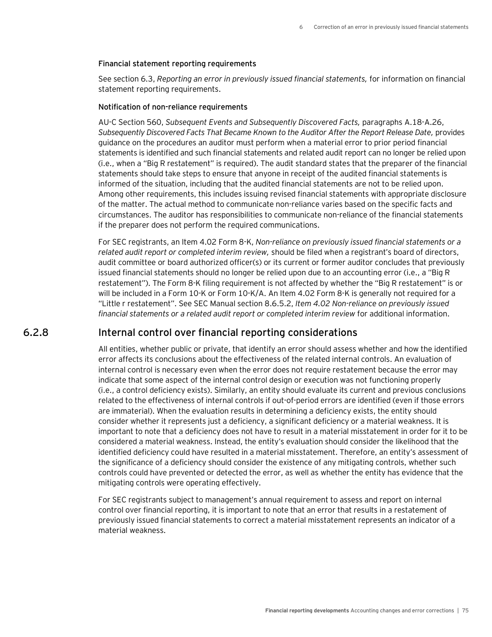#### Financial statement reporting requirements

See section 6.3, *Reporting an error in previously issued financial statements,* for information on financial statement reporting requirements.

#### Notification of non-reliance requirements

AU-C Section 560, *Subsequent Events and Subsequently Discovered Facts,* paragraphs A.18-A.26, *Subsequently Discovered Facts That Became Known to the Auditor After the Report Release Date,* provides guidance on the procedures an auditor must perform when a material error to prior period financial statements is identified and such financial statements and related audit report can no longer be relied upon (i.e., when a "Big R restatement" is required). The audit standard states that the preparer of the financial statements should take steps to ensure that anyone in receipt of the audited financial statements is informed of the situation, including that the audited financial statements are not to be relied upon. Among other requirements, this includes issuing revised financial statements with appropriate disclosure of the matter. The actual method to communicate non-reliance varies based on the specific facts and circumstances. The auditor has responsibilities to communicate non-reliance of the financial statements if the preparer does not perform the required communications.

For SEC registrants, an Item 4.02 Form 8-K, *Non-reliance on previously issued financial statements or a related audit report or completed interim review,* should be filed when a registrant's board of directors, audit committee or board authorized officer(s) or its current or former auditor concludes that previously issued financial statements should no longer be relied upon due to an accounting error (i.e., a "Big R restatement"). The Form 8-K filing requirement is not affected by whether the "Big R restatement" is or will be included in a Form 10-K or Form 10-K/A. An Item 4.02 Form 8-K is generally not required for a "Little r restatement". See SEC Manual section 8.6.5.2, *Item 4.02 Non-reliance on previously issued financial statements or a related audit report or completed interim review* for additional information.

# 6.2.8 Internal control over financial reporting considerations

All entities, whether public or private, that identify an error should assess whether and how the identified error affects its conclusions about the effectiveness of the related internal controls. An evaluation of internal control is necessary even when the error does not require restatement because the error may indicate that some aspect of the internal control design or execution was not functioning properly (i.e., a control deficiency exists). Similarly, an entity should evaluate its current and previous conclusions related to the effectiveness of internal controls if out-of-period errors are identified (even if those errors are immaterial). When the evaluation results in determining a deficiency exists, the entity should consider whether it represents just a deficiency, a significant deficiency or a material weakness. It is important to note that a deficiency does not have to result in a material misstatement in order for it to be considered a material weakness. Instead, the entity's evaluation should consider the likelihood that the identified deficiency could have resulted in a material misstatement. Therefore, an entity's assessment of the significance of a deficiency should consider the existence of any mitigating controls, whether such controls could have prevented or detected the error, as well as whether the entity has evidence that the mitigating controls were operating effectively.

For SEC registrants subject to management's annual requirement to assess and report on internal control over financial reporting, it is important to note that an error that results in a restatement of previously issued financial statements to correct a material misstatement represents an indicator of a material weakness.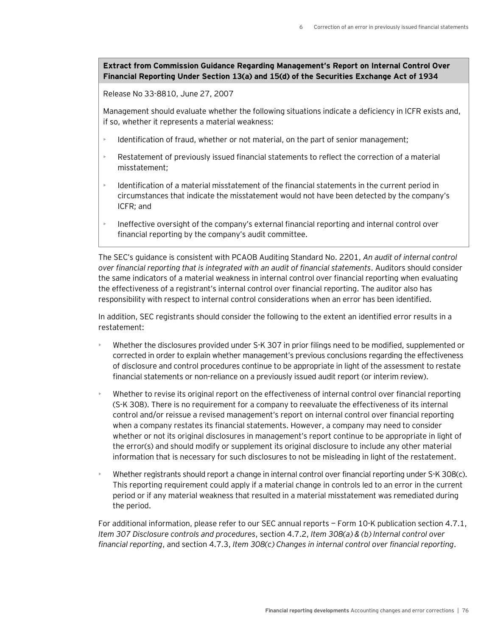**Extract from Commission Guidance Regarding Management's Report on Internal Control Over Financial Reporting Under Section 13(a) and 15(d) of the Securities Exchange Act of 1934**

Release No 33-8810, June 27, 2007

Management should evaluate whether the following situations indicate a deficiency in ICFR exists and, if so, whether it represents a material weakness:

- Identification of fraud, whether or not material, on the part of senior management;
- Restatement of previously issued financial statements to reflect the correction of a material misstatement;
- Identification of a material misstatement of the financial statements in the current period in circumstances that indicate the misstatement would not have been detected by the company's ICFR; and
- Ineffective oversight of the company's external financial reporting and internal control over financial reporting by the company's audit committee.

The SEC's guidance is consistent with PCAOB Auditing Standard No. 2201, *An audit of internal control over financial reporting that is integrated with an audit of financial statements*. Auditors should consider the same indicators of a material weakness in internal control over financial reporting when evaluating the effectiveness of a registrant's internal control over financial reporting. The auditor also has responsibility with respect to internal control considerations when an error has been identified.

In addition, SEC registrants should consider the following to the extent an identified error results in a restatement:

- Whether the disclosures provided under S-K 307 in prior filings need to be modified, supplemented or corrected in order to explain whether management's previous conclusions regarding the effectiveness of disclosure and control procedures continue to be appropriate in light of the assessment to restate financial statements or non-reliance on a previously issued audit report (or interim review).
- Whether to revise its original report on the effectiveness of internal control over financial reporting (S-K 308). There is no requirement for a company to reevaluate the effectiveness of its internal control and/or reissue a revised management's report on internal control over financial reporting when a company restates its financial statements. However, a company may need to consider whether or not its original disclosures in management's report continue to be appropriate in light of the error(s) and should modify or supplement its original disclosure to include any other material information that is necessary for such disclosures to not be misleading in light of the restatement.
- Whether registrants should report a change in internal control over financial reporting under S-K 308(c). This reporting requirement could apply if a material change in controls led to an error in the current period or if any material weakness that resulted in a material misstatement was remediated during the period.

For additional information, please refer to our SEC annual reports — Form 10-K publication section 4.7.1, *Item 307 Disclosure controls and procedures*, section 4.7.2, *Item 308(a) & (b) Internal control over financial reporting*, and section 4.7.3, *Item 308(c) Changes in internal control over financial reporting*.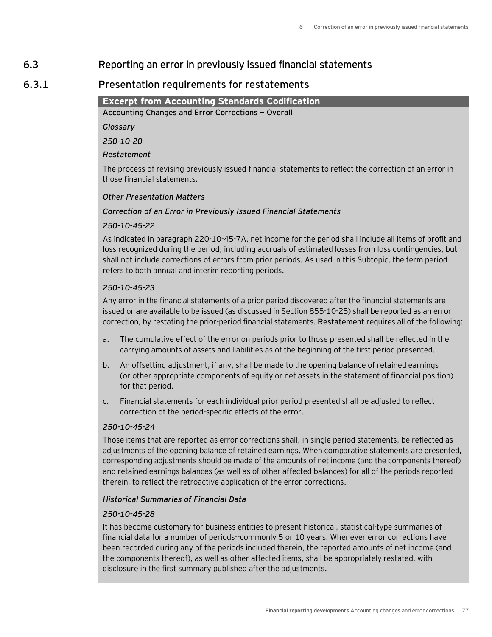# **6.3 Reporting an error in previously issued financial statements**

# 6.3.1 Presentation requirements for restatements

# **Excerpt from Accounting Standards Codification**

Accounting Changes and Error Corrections — Overall

*Glossary*

*250-10-20*

## *Restatement*

The process of revising previously issued financial statements to reflect the correction of an error in those financial statements.

# *Other Presentation Matters*

## *Correction of an Error in Previously Issued Financial Statements*

# *250-10-45-22*

As indicated in paragraph 220-10-45-7A, net income for the period shall include all items of profit and loss recognized during the period, including accruals of estimated losses from loss contingencies, but shall not include corrections of errors from prior periods. As used in this Subtopic, the term period refers to both annual and interim reporting periods.

# *250-10-45-23*

Any error in the financial statements of a prior period discovered after the financial statements are issued or are available to be issued (as discussed in Section 855-10-25) shall be reported as an error correction, by restating the prior-period financial statements. **Restatement** requires all of the following:

- a. The cumulative effect of the error on periods prior to those presented shall be reflected in the carrying amounts of assets and liabilities as of the beginning of the first period presented.
- b. An offsetting adjustment, if any, shall be made to the opening balance of retained earnings (or other appropriate components of equity or net assets in the statement of financial position) for that period.
- c. Financial statements for each individual prior period presented shall be adjusted to reflect correction of the period-specific effects of the error.

# *250-10-45-24*

Those items that are reported as error corrections shall, in single period statements, be reflected as adjustments of the opening balance of retained earnings. When comparative statements are presented, corresponding adjustments should be made of the amounts of net income (and the components thereof) and retained earnings balances (as well as of other affected balances) for all of the periods reported therein, to reflect the retroactive application of the error corrections.

# *Historical Summaries of Financial Data*

# *250-10-45-28*

It has become customary for business entities to present historical, statistical-type summaries of financial data for a number of periods--commonly 5 or 10 years. Whenever error corrections have been recorded during any of the periods included therein, the reported amounts of net income (and the components thereof), as well as other affected items, shall be appropriately restated, with disclosure in the first summary published after the adjustments.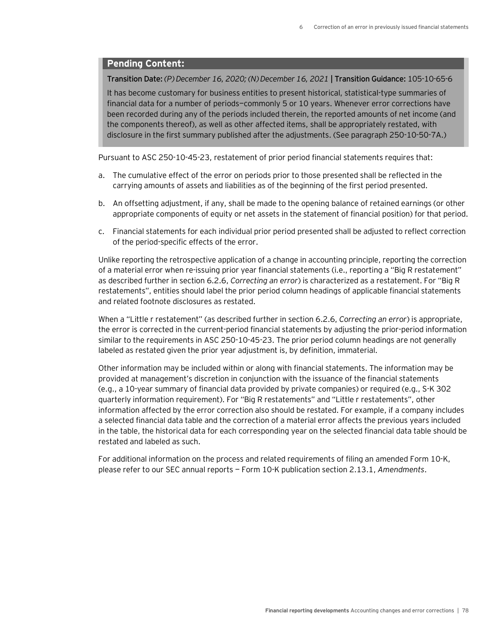#### **Pending Content:**

**Transition Date:** *(P) December 16, 2020; (N) December 16, 2021* **| Transition Guidance:** 105-10-65-6

It has become customary for business entities to present historical, statistical-type summaries of financial data for a number of periods—commonly 5 or 10 years. Whenever error corrections have been recorded during any of the periods included therein, the reported amounts of net income (and the components thereof), as well as other affected items, shall be appropriately restated, with disclosure in the first summary published after the adjustments. (See paragraph 250-10-50-7A.)

Pursuant to ASC 250-10-45-23, restatement of prior period financial statements requires that:

- a. The cumulative effect of the error on periods prior to those presented shall be reflected in the carrying amounts of assets and liabilities as of the beginning of the first period presented.
- b. An offsetting adjustment, if any, shall be made to the opening balance of retained earnings (or other appropriate components of equity or net assets in the statement of financial position) for that period.
- c. Financial statements for each individual prior period presented shall be adjusted to reflect correction of the period-specific effects of the error.

Unlike reporting the retrospective application of a change in accounting principle, reporting the correction of a material error when re-issuing prior year financial statements (i.e., reporting a "Big R restatement" as described further in section 6.2.6, *Correcting an error*) is characterized as a restatement. For "Big R restatements", entities should label the prior period column headings of applicable financial statements and related footnote disclosures as restated.

When a "Little r restatement" (as described further in section 6.2.6, *Correcting an error*) is appropriate, the error is corrected in the current-period financial statements by adjusting the prior-period information similar to the requirements in ASC 250-10-45-23. The prior period column headings are not generally labeled as restated given the prior year adjustment is, by definition, immaterial.

Other information may be included within or along with financial statements. The information may be provided at management's discretion in conjunction with the issuance of the financial statements (e.g., a 10-year summary of financial data provided by private companies) or required (e.g., S-K 302 quarterly information requirement). For "Big R restatements" and "Little r restatements", other information affected by the error correction also should be restated. For example, if a company includes a selected financial data table and the correction of a material error affects the previous years included in the table, the historical data for each corresponding year on the selected financial data table should be restated and labeled as such.

For additional information on the process and related requirements of filing an amended Form 10-K, please refer to our SEC annual reports — Form 10-K publication section 2.13.1, *Amendments*.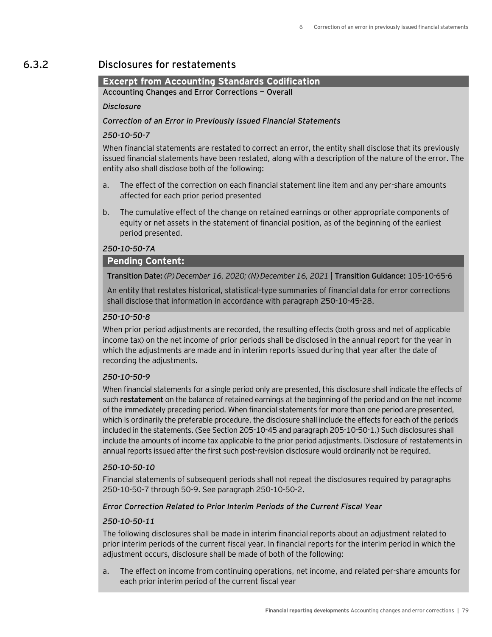# 6.3.2 Disclosures for restatements

# **Excerpt from Accounting Standards Codification**

Accounting Changes and Error Corrections — Overall

#### *Disclosure*

#### *Correction of an Error in Previously Issued Financial Statements*

#### *250-10-50-7*

When financial statements are restated to correct an error, the entity shall disclose that its previously issued financial statements have been restated, along with a description of the nature of the error. The entity also shall disclose both of the following:

- a. The effect of the correction on each financial statement line item and any per-share amounts affected for each prior period presented
- b. The cumulative effect of the change on retained earnings or other appropriate components of equity or net assets in the statement of financial position, as of the beginning of the earliest period presented.

## *250-10-50-7A*

# **Pending Content:**

**Transition Date:** *(P) December 16, 2020; (N) December 16, 2021* **| Transition Guidance:** 105-10-65-6

An entity that restates historical, statistical-type summaries of financial data for error corrections shall disclose that information in accordance with paragraph 250-10-45-28.

## *250-10-50-8*

When prior period adjustments are recorded, the resulting effects (both gross and net of applicable income tax) on the net income of prior periods shall be disclosed in the annual report for the year in which the adjustments are made and in interim reports issued during that year after the date of recording the adjustments.

# *250-10-50-9*

When financial statements for a single period only are presented, this disclosure shall indicate the effects of such **restatement** on the balance of retained earnings at the beginning of the period and on the net income of the immediately preceding period. When financial statements for more than one period are presented, which is ordinarily the preferable procedure, the disclosure shall include the effects for each of the periods included in the statements. (See Section 205-10-45 and paragraph 205-10-50-1.) Such disclosures shall include the amounts of income tax applicable to the prior period adjustments. Disclosure of restatements in annual reports issued after the first such post-revision disclosure would ordinarily not be required.

#### *250-10-50-10*

Financial statements of subsequent periods shall not repeat the disclosures required by paragraphs 250-10-50-7 through 50-9. See paragraph 250-10-50-2.

# *Error Correction Related to Prior Interim Periods of the Current Fiscal Year*

#### *250-10-50-11*

The following disclosures shall be made in interim financial reports about an adjustment related to prior interim periods of the current fiscal year. In financial reports for the interim period in which the adjustment occurs, disclosure shall be made of both of the following:

a. The effect on income from continuing operations, net income, and related per-share amounts for each prior interim period of the current fiscal year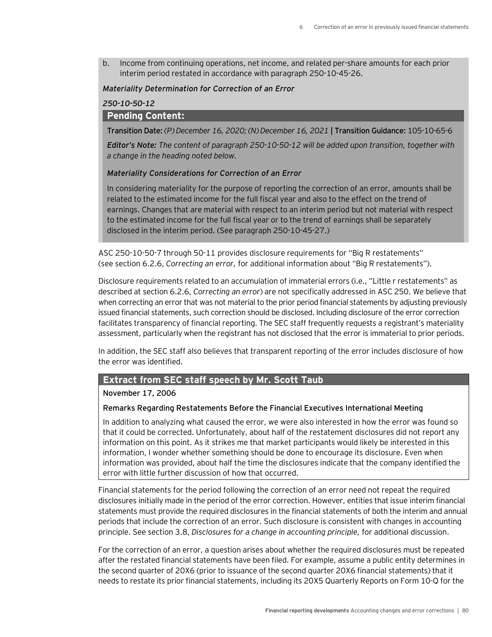b. Income from continuing operations, net income, and related per-share amounts for each prior interim period restated in accordance with paragraph 250-10-45-26.

*Materiality Determination for Correction of an Error*

*250-10-50-12*

## **Pending Content:**

**Transition Date:** *(P) December 16, 2020; (N) December 16, 2021* **| Transition Guidance:** 105-10-65-6

*Editor's Note: The content of paragraph 250-10-50-12 will be added upon transition, together with a change in the heading noted below.*

#### *Materiality Considerations for Correction of an Error*

In considering materiality for the purpose of reporting the correction of an error, amounts shall be related to the estimated income for the full fiscal year and also to the effect on the trend of earnings. Changes that are material with respect to an interim period but not material with respect to the estimated income for the full fiscal year or to the trend of earnings shall be separately disclosed in the interim period. (See paragraph 250-10-45-27.)

ASC 250-10-50-7 through 50-11 provides disclosure requirements for "Big R restatements" (see section 6.2.6, *Correcting an error,* for additional information about "Big R restatements").

Disclosure requirements related to an accumulation of immaterial errors (i.e., "Little r restatements" as described at section 6.2.6, *Correcting an error*) are not specifically addressed in ASC 250. We believe that when correcting an error that was not material to the prior period financial statements by adjusting previously issued financial statements, such correction should be disclosed. Including disclosure of the error correction facilitates transparency of financial reporting. The SEC staff frequently requests a registrant's materiality assessment, particularly when the registrant has not disclosed that the error is immaterial to prior periods.

In addition, the SEC staff also believes that transparent reporting of the error includes disclosure of how the error was identified.

# **Extract from SEC staff speech by Mr. Scott Taub**

#### **November 17, 2006**

#### **Remarks Regarding Restatements Before the Financial Executives International Meeting**

In addition to analyzing what caused the error, we were also interested in how the error was found so that it could be corrected. Unfortunately, about half of the restatement disclosures did not report any information on this point. As it strikes me that market participants would likely be interested in this information, I wonder whether something should be done to encourage its disclosure. Even when information was provided, about half the time the disclosures indicate that the company identified the error with little further discussion of how that occurred.

Financial statements for the period following the correction of an error need not repeat the required disclosures initially made in the period of the error correction. However, entities that issue interim financial statements must provide the required disclosures in the financial statements of both the interim and annual periods that include the correction of an error. Such disclosure is consistent with changes in accounting principle. See section 3.8, *Disclosures for a change in accounting principle,* for additional discussion.

For the correction of an error, a question arises about whether the required disclosures must be repeated after the restated financial statements have been filed. For example, assume a public entity determines in the second quarter of 20X6 (prior to issuance of the second quarter 20X6 financial statements) that it needs to restate its prior financial statements, including its 20X5 Quarterly Reports on Form 10-Q for the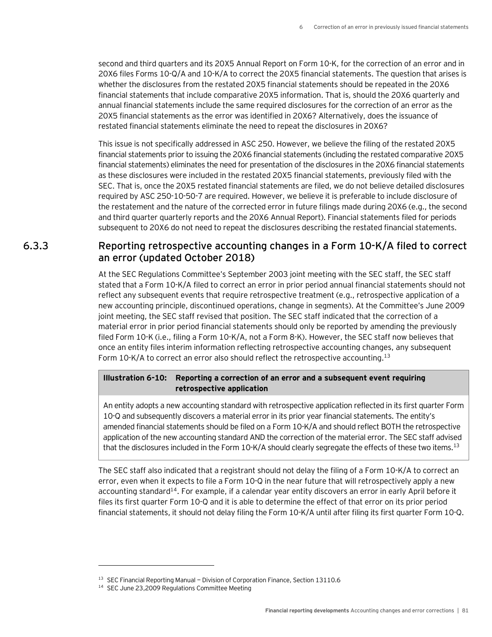second and third quarters and its 20X5 Annual Report on Form 10-K, for the correction of an error and in 20X6 files Forms 10-Q/A and 10-K/A to correct the 20X5 financial statements. The question that arises is whether the disclosures from the restated 20X5 financial statements should be repeated in the 20X6 financial statements that include comparative 20X5 information. That is, should the 20X6 quarterly and annual financial statements include the same required disclosures for the correction of an error as the 20X5 financial statements as the error was identified in 20X6? Alternatively, does the issuance of restated financial statements eliminate the need to repeat the disclosures in 20X6?

This issue is not specifically addressed in ASC 250. However, we believe the filing of the restated 20X5 financial statements prior to issuing the 20X6 financial statements (including the restated comparative 20X5 financial statements) eliminates the need for presentation of the disclosures in the 20X6 financial statements as these disclosures were included in the restated 20X5 financial statements, previously filed with the SEC. That is, once the 20X5 restated financial statements are filed, we do not believe detailed disclosures required by ASC 250-10-50-7 are required. However, we believe it is preferable to include disclosure of the restatement and the nature of the corrected error in future filings made during 20X6 (e.g., the second and third quarter quarterly reports and the 20X6 Annual Report). Financial statements filed for periods subsequent to 20X6 do not need to repeat the disclosures describing the restated financial statements.

# 6.3.3 Reporting retrospective accounting changes in a Form 10-K/A filed to correct an error (updated October 2018)

At the SEC Regulations Committee's September 2003 joint meeting with the SEC staff, the SEC staff stated that a Form 10-K/A filed to correct an error in prior period annual financial statements should not reflect any subsequent events that require retrospective treatment (e.g., retrospective application of a new accounting principle, discontinued operations, change in segments). At the Committee's June 2009 joint meeting, the SEC staff revised that position. The SEC staff indicated that the correction of a material error in prior period financial statements should only be reported by amending the previously filed Form 10-K (i.e., filing a Form 10-K/A, not a Form 8-K). However, the SEC staff now believes that once an entity files interim information reflecting retrospective accounting changes, any subsequent Form 10-K/A to correct an error also should reflect the retrospective accounting.<sup>13</sup>

# **Illustration 6-10: Reporting a correction of an error and a subsequent event requiring retrospective application**

An entity adopts a new accounting standard with retrospective application reflected in its first quarter Form 10-Q and subsequently discovers a material error in its prior year financial statements. The entity's amended financial statements should be filed on a Form 10-K/A and should reflect BOTH the retrospective application of the new accounting standard AND the correction of the material error. The SEC staff advised that the disclosures included in the Form 10-K/A should clearly segregate the effects of these two items.<sup>13</sup>

The SEC staff also indicated that a registrant should not delay the filing of a Form 10-K/A to correct an error, even when it expects to file a Form 10-Q in the near future that will retrospectively apply a new accounting standard<sup>14</sup>. For example, if a calendar year entity discovers an error in early April before it files its first quarter Form 10-Q and it is able to determine the effect of that error on its prior period financial statements, it should not delay filing the Form 10-K/A until after filing its first quarter Form 10-Q.

<sup>&</sup>lt;sup>13</sup> SEC Financial Reporting Manual - Division of Corporation Finance, Section 13110.6

<sup>&</sup>lt;sup>14</sup> SEC June 23,2009 Regulations Committee Meeting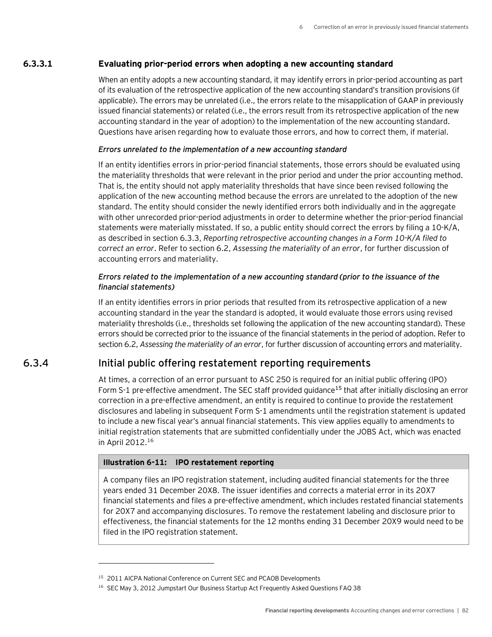# **6.3.3.1 Evaluating prior-period errors when adopting a new accounting standard**

When an entity adopts a new accounting standard, it may identify errors in prior-period accounting as part of its evaluation of the retrospective application of the new accounting standard's transition provisions (if applicable). The errors may be unrelated (i.e., the errors relate to the misapplication of GAAP in previously issued financial statements) or related (i.e., the errors result from its retrospective application of the new accounting standard in the year of adoption) to the implementation of the new accounting standard. Questions have arisen regarding how to evaluate those errors, and how to correct them, if material.

## *Errors unrelated to the implementation of a new accounting standard*

If an entity identifies errors in prior-period financial statements, those errors should be evaluated using the materiality thresholds that were relevant in the prior period and under the prior accounting method. That is, the entity should not apply materiality thresholds that have since been revised following the application of the new accounting method because the errors are unrelated to the adoption of the new standard. The entity should consider the newly identified errors both individually and in the aggregate with other unrecorded prior-period adjustments in order to determine whether the prior-period financial statements were materially misstated. If so, a public entity should correct the errors by filing a 10-K/A, as described in section 6.3.3, *Reporting retrospective accounting changes in a Form 10-K/A filed to correct an error*. Refer to section 6.2, *Assessing the materiality of an error*, for further discussion of accounting errors and materiality.

# *Errors related to the implementation of a new accounting standard (prior to the issuance of the financial statements)*

If an entity identifies errors in prior periods that resulted from its retrospective application of a new accounting standard in the year the standard is adopted, it would evaluate those errors using revised materiality thresholds (i.e., thresholds set following the application of the new accounting standard). These errors should be corrected prior to the issuance of the financial statements in the period of adoption. Refer to section 6.2, *Assessing the materiality of an error*, for further discussion of accounting errors and materiality.

# 6.3.4 Initial public offering restatement reporting requirements

At times, a correction of an error pursuant to ASC 250 is required for an initial public offering (IPO) Form S-1 pre-effective amendment. The SEC staff provided guidance<sup>15</sup> that after initially disclosing an error correction in a pre-effective amendment, an entity is required to continue to provide the restatement disclosures and labeling in subsequent Form S-1 amendments until the registration statement is updated to include a new fiscal year's annual financial statements. This view applies equally to amendments to initial registration statements that are submitted confidentially under the JOBS Act, which was enacted in April 2012.<sup>16</sup>

#### **Illustration 6-11: IPO restatement reporting**

A company files an IPO registration statement, including audited financial statements for the three years ended 31 December 20X8. The issuer identifies and corrects a material error in its 20X7 financial statements and files a pre-effective amendment, which includes restated financial statements for 20X7 and accompanying disclosures. To remove the restatement labeling and disclosure prior to effectiveness, the financial statements for the 12 months ending 31 December 20X9 would need to be filed in the IPO registration statement.

<sup>&</sup>lt;sup>15</sup> 2011 AICPA National Conference on Current SEC and PCAOB Developments

<sup>&</sup>lt;sup>16</sup> SEC May 3, 2012 Jumpstart Our Business Startup Act Frequently Asked Questions FAQ 38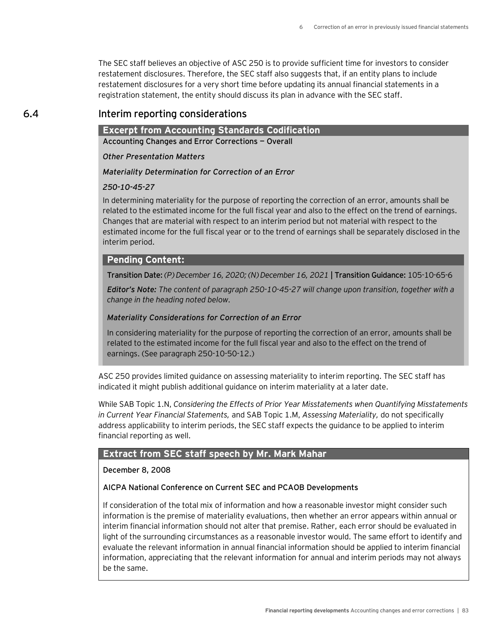The SEC staff believes an objective of ASC 250 is to provide sufficient time for investors to consider restatement disclosures. Therefore, the SEC staff also suggests that, if an entity plans to include restatement disclosures for a very short time before updating its annual financial statements in a registration statement, the entity should discuss its plan in advance with the SEC staff.

# **6.4 Interim reporting considerations**

# **Excerpt from Accounting Standards Codification**

Accounting Changes and Error Corrections — Overall

*Other Presentation Matters*

*Materiality Determination for Correction of an Error*

*250-10-45-27*

In determining materiality for the purpose of reporting the correction of an error, amounts shall be related to the estimated income for the full fiscal year and also to the effect on the trend of earnings. Changes that are material with respect to an interim period but not material with respect to the estimated income for the full fiscal year or to the trend of earnings shall be separately disclosed in the interim period.

# **Pending Content:**

**Transition Date:** *(P) December 16, 2020; (N) December 16, 2021* **| Transition Guidance:** 105-10-65-6

*Editor's Note: The content of paragraph 250-10-45-27 will change upon transition, together with a change in the heading noted below.*

## *Materiality Considerations for Correction of an Error*

In considering materiality for the purpose of reporting the correction of an error, amounts shall be related to the estimated income for the full fiscal year and also to the effect on the trend of earnings. (See paragraph 250-10-50-12.)

ASC 250 provides limited guidance on assessing materiality to interim reporting. The SEC staff has indicated it might publish additional guidance on interim materiality at a later date.

While SAB Topic 1.N, *Considering the Effects of Prior Year Misstatements when Quantifying Misstatements in Current Year Financial Statements,* and SAB Topic 1.M, *Assessing Materiality,* do not specifically address applicability to interim periods, the SEC staff expects the guidance to be applied to interim financial reporting as well.

# **Extract from SEC staff speech by Mr. Mark Mahar**

#### **December 8, 2008**

# **AICPA National Conference on Current SEC and PCAOB Developments**

If consideration of the total mix of information and how a reasonable investor might consider such information is the premise of materiality evaluations, then whether an error appears within annual or interim financial information should not alter that premise. Rather, each error should be evaluated in light of the surrounding circumstances as a reasonable investor would. The same effort to identify and evaluate the relevant information in annual financial information should be applied to interim financial information, appreciating that the relevant information for annual and interim periods may not always be the same.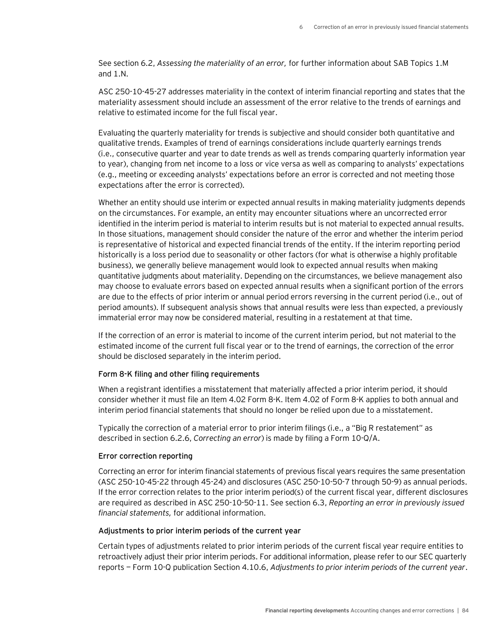See section 6.2, *Assessing the materiality of an error,* for further information about SAB Topics 1.M and 1.N.

ASC 250-10-45-27 addresses materiality in the context of interim financial reporting and states that the materiality assessment should include an assessment of the error relative to the trends of earnings and relative to estimated income for the full fiscal year.

Evaluating the quarterly materiality for trends is subjective and should consider both quantitative and qualitative trends. Examples of trend of earnings considerations include quarterly earnings trends (i.e., consecutive quarter and year to date trends as well as trends comparing quarterly information year to year), changing from net income to a loss or vice versa as well as comparing to analysts' expectations (e.g., meeting or exceeding analysts' expectations before an error is corrected and not meeting those expectations after the error is corrected).

Whether an entity should use interim or expected annual results in making materiality judgments depends on the circumstances. For example, an entity may encounter situations where an uncorrected error identified in the interim period is material to interim results but is not material to expected annual results. In those situations, management should consider the nature of the error and whether the interim period is representative of historical and expected financial trends of the entity. If the interim reporting period historically is a loss period due to seasonality or other factors (for what is otherwise a highly profitable business), we generally believe management would look to expected annual results when making quantitative judgments about materiality. Depending on the circumstances, we believe management also may choose to evaluate errors based on expected annual results when a significant portion of the errors are due to the effects of prior interim or annual period errors reversing in the current period (i.e., out of period amounts). If subsequent analysis shows that annual results were less than expected, a previously immaterial error may now be considered material, resulting in a restatement at that time.

If the correction of an error is material to income of the current interim period, but not material to the estimated income of the current full fiscal year or to the trend of earnings, the correction of the error should be disclosed separately in the interim period.

#### Form 8-K filing and other filing requirements

When a registrant identifies a misstatement that materially affected a prior interim period, it should consider whether it must file an Item 4.02 Form 8-K. Item 4.02 of Form 8-K applies to both annual and interim period financial statements that should no longer be relied upon due to a misstatement.

Typically the correction of a material error to prior interim filings (i.e., a "Big R restatement" as described in section 6.2.6, *Correcting an error*) is made by filing a Form 10-Q/A.

#### Error correction reporting

Correcting an error for interim financial statements of previous fiscal years requires the same presentation (ASC 250-10-45-22 through 45-24) and disclosures (ASC 250-10-50-7 through 50-9) as annual periods. If the error correction relates to the prior interim period(s) of the current fiscal year, different disclosures are required as described in ASC 250-10-50-11. See section 6.3, *Reporting an error in previously issued financial statements,* for additional information.

#### Adjustments to prior interim periods of the current year

Certain types of adjustments related to prior interim periods of the current fiscal year require entities to retroactively adjust their prior interim periods. For additional information, please refer to our SEC quarterly reports — Form 10-Q publication Section 4.10.6, *Adjustments to prior interim periods of the current year*.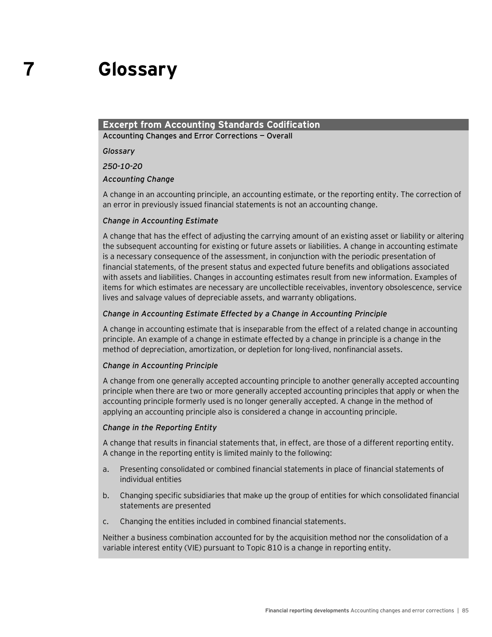# **7 Glossary**

# **Excerpt from Accounting Standards Codification**

Accounting Changes and Error Corrections — Overall

*Glossary*

*250-10-20*

*Accounting Change*

A change in an accounting principle, an accounting estimate, or the reporting entity. The correction of an error in previously issued financial statements is not an accounting change.

# *Change in Accounting Estimate*

A change that has the effect of adjusting the carrying amount of an existing asset or liability or altering the subsequent accounting for existing or future assets or liabilities. A change in accounting estimate is a necessary consequence of the assessment, in conjunction with the periodic presentation of financial statements, of the present status and expected future benefits and obligations associated with assets and liabilities. Changes in accounting estimates result from new information. Examples of items for which estimates are necessary are uncollectible receivables, inventory obsolescence, service lives and salvage values of depreciable assets, and warranty obligations.

## *Change in Accounting Estimate Effected by a Change in Accounting Principle*

A change in accounting estimate that is inseparable from the effect of a related change in accounting principle. An example of a change in estimate effected by a change in principle is a change in the method of depreciation, amortization, or depletion for long-lived, nonfinancial assets.

# *Change in Accounting Principle*

A change from one generally accepted accounting principle to another generally accepted accounting principle when there are two or more generally accepted accounting principles that apply or when the accounting principle formerly used is no longer generally accepted. A change in the method of applying an accounting principle also is considered a change in accounting principle.

# *Change in the Reporting Entity*

A change that results in financial statements that, in effect, are those of a different reporting entity. A change in the reporting entity is limited mainly to the following:

- a. Presenting consolidated or combined financial statements in place of financial statements of individual entities
- b. Changing specific subsidiaries that make up the group of entities for which consolidated financial statements are presented
- c. Changing the entities included in combined financial statements.

Neither a business combination accounted for by the acquisition method nor the consolidation of a variable interest entity (VIE) pursuant to Topic 810 is a change in reporting entity.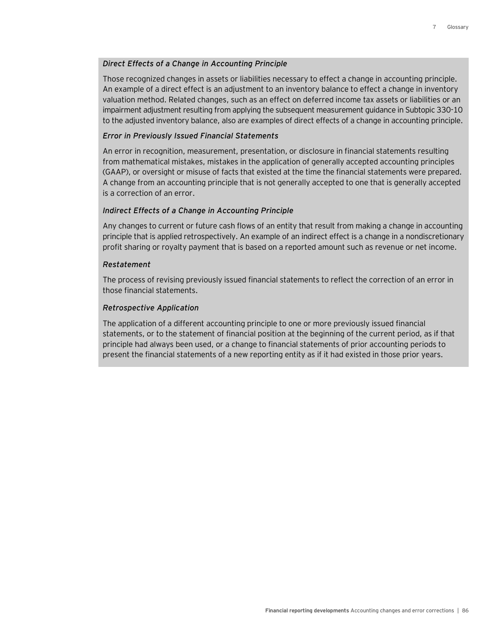#### *Direct Effects of a Change in Accounting Principle*

Those recognized changes in assets or liabilities necessary to effect a change in accounting principle. An example of a direct effect is an adjustment to an inventory balance to effect a change in inventory valuation method. Related changes, such as an effect on deferred income tax assets or liabilities or an impairment adjustment resulting from applying the subsequent measurement guidance in Subtopic 330-10 to the adjusted inventory balance, also are examples of direct effects of a change in accounting principle.

#### *Error in Previously Issued Financial Statements*

An error in recognition, measurement, presentation, or disclosure in financial statements resulting from mathematical mistakes, mistakes in the application of generally accepted accounting principles (GAAP), or oversight or misuse of facts that existed at the time the financial statements were prepared. A change from an accounting principle that is not generally accepted to one that is generally accepted is a correction of an error.

#### *Indirect Effects of a Change in Accounting Principle*

Any changes to current or future cash flows of an entity that result from making a change in accounting principle that is applied retrospectively. An example of an indirect effect is a change in a nondiscretionary profit sharing or royalty payment that is based on a reported amount such as revenue or net income.

#### *Restatement*

The process of revising previously issued financial statements to reflect the correction of an error in those financial statements.

#### *Retrospective Application*

The application of a different accounting principle to one or more previously issued financial statements, or to the statement of financial position at the beginning of the current period, as if that principle had always been used, or a change to financial statements of prior accounting periods to present the financial statements of a new reporting entity as if it had existed in those prior years.